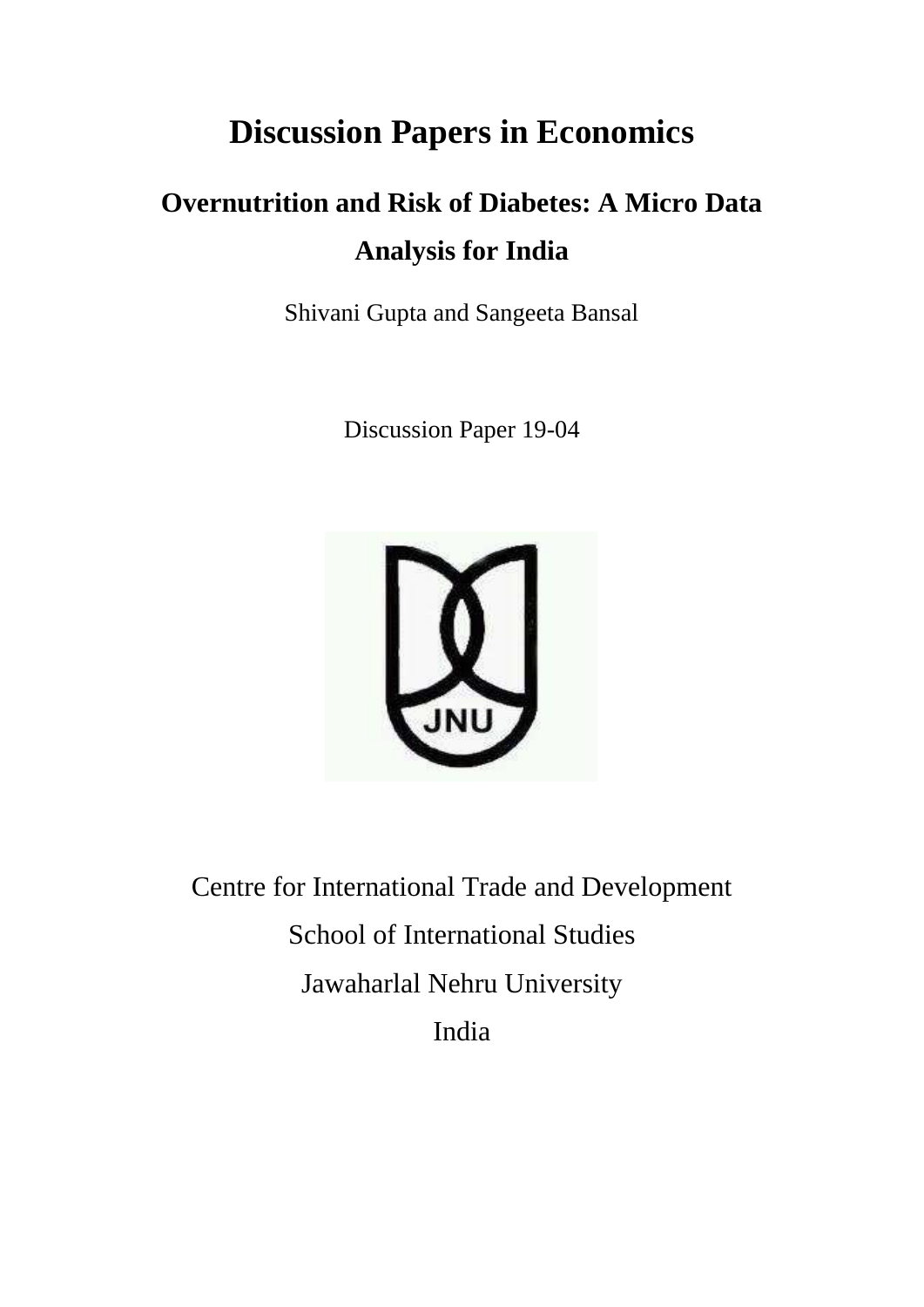# **Discussion Papers in Economics**

# **Overnutrition and Risk of Diabetes: A Micro Data Analysis for India**

Shivani Gupta and Sangeeta Bansal

Discussion Paper 19-04



Centre for International Trade and Development School of International Studies Jawaharlal Nehru University India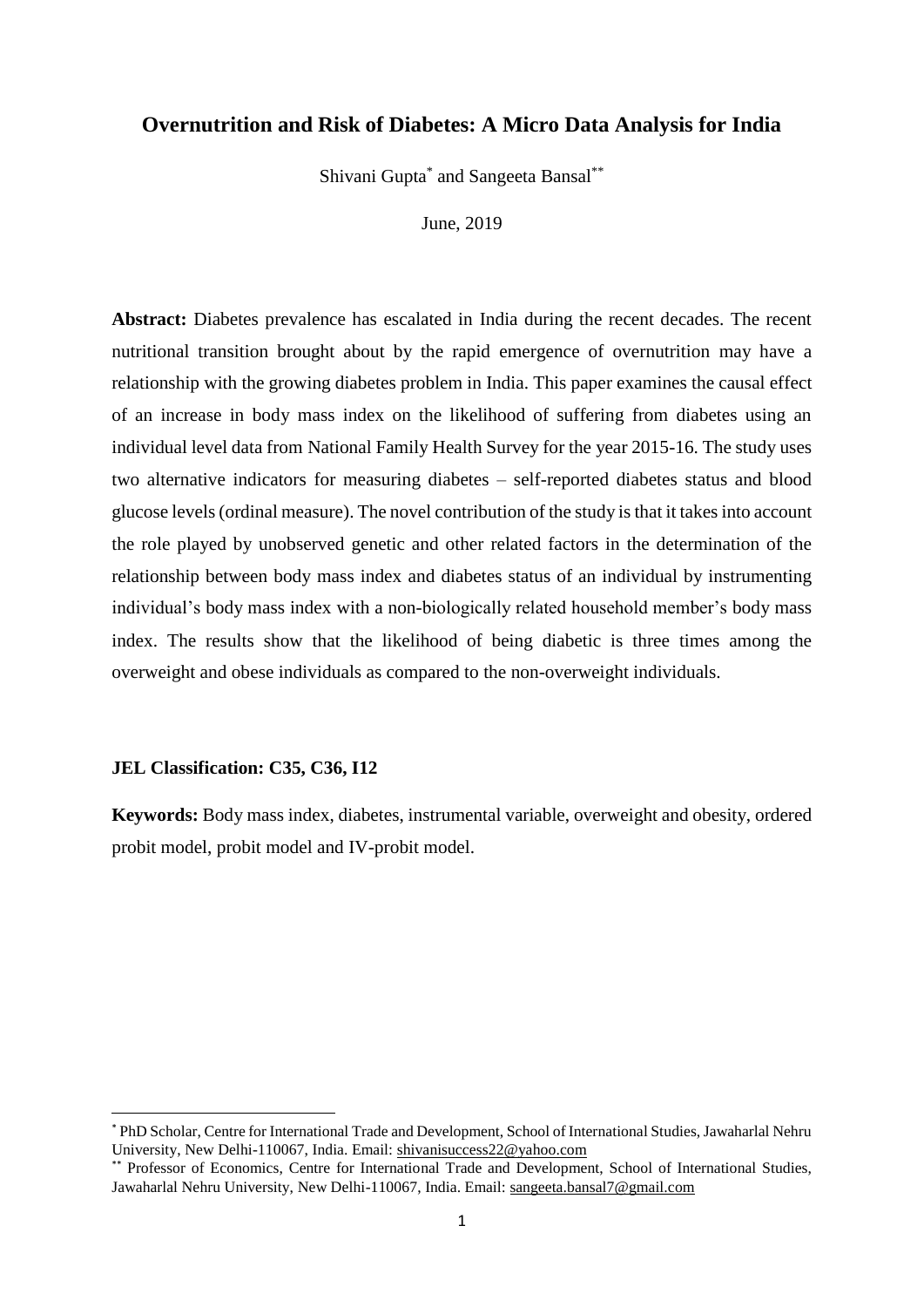### **Overnutrition and Risk of Diabetes: A Micro Data Analysis for India**

Shivani Gupta<sup>\*</sup> and Sangeeta Bansal<sup>\*\*</sup>

June, 2019

**Abstract:** Diabetes prevalence has escalated in India during the recent decades. The recent nutritional transition brought about by the rapid emergence of overnutrition may have a relationship with the growing diabetes problem in India. This paper examines the causal effect of an increase in body mass index on the likelihood of suffering from diabetes using an individual level data from National Family Health Survey for the year 2015-16. The study uses two alternative indicators for measuring diabetes – self-reported diabetes status and blood glucose levels (ordinal measure). The novel contribution of the study is that it takes into account the role played by unobserved genetic and other related factors in the determination of the relationship between body mass index and diabetes status of an individual by instrumenting individual's body mass index with a non-biologically related household member's body mass index. The results show that the likelihood of being diabetic is three times among the overweight and obese individuals as compared to the non-overweight individuals.

#### **JEL Classification: C35, C36, I12**

1

**Keywords:** Body mass index, diabetes, instrumental variable, overweight and obesity, ordered probit model, probit model and IV-probit model.

<sup>\*</sup> PhD Scholar, Centre for International Trade and Development, School of International Studies, Jawaharlal Nehru University, New Delhi-110067, India. Email: [shivanisuccess22@yahoo.com](mailto:shivanisuccess22@yahoo.com)

<sup>\*\*</sup> Professor of Economics, Centre for International Trade and Development, School of International Studies, Jawaharlal Nehru University, New Delhi-110067, India. Email: [sangeeta.bansal7@gmail.com](mailto:sangeeta.bansal7@gmail.com)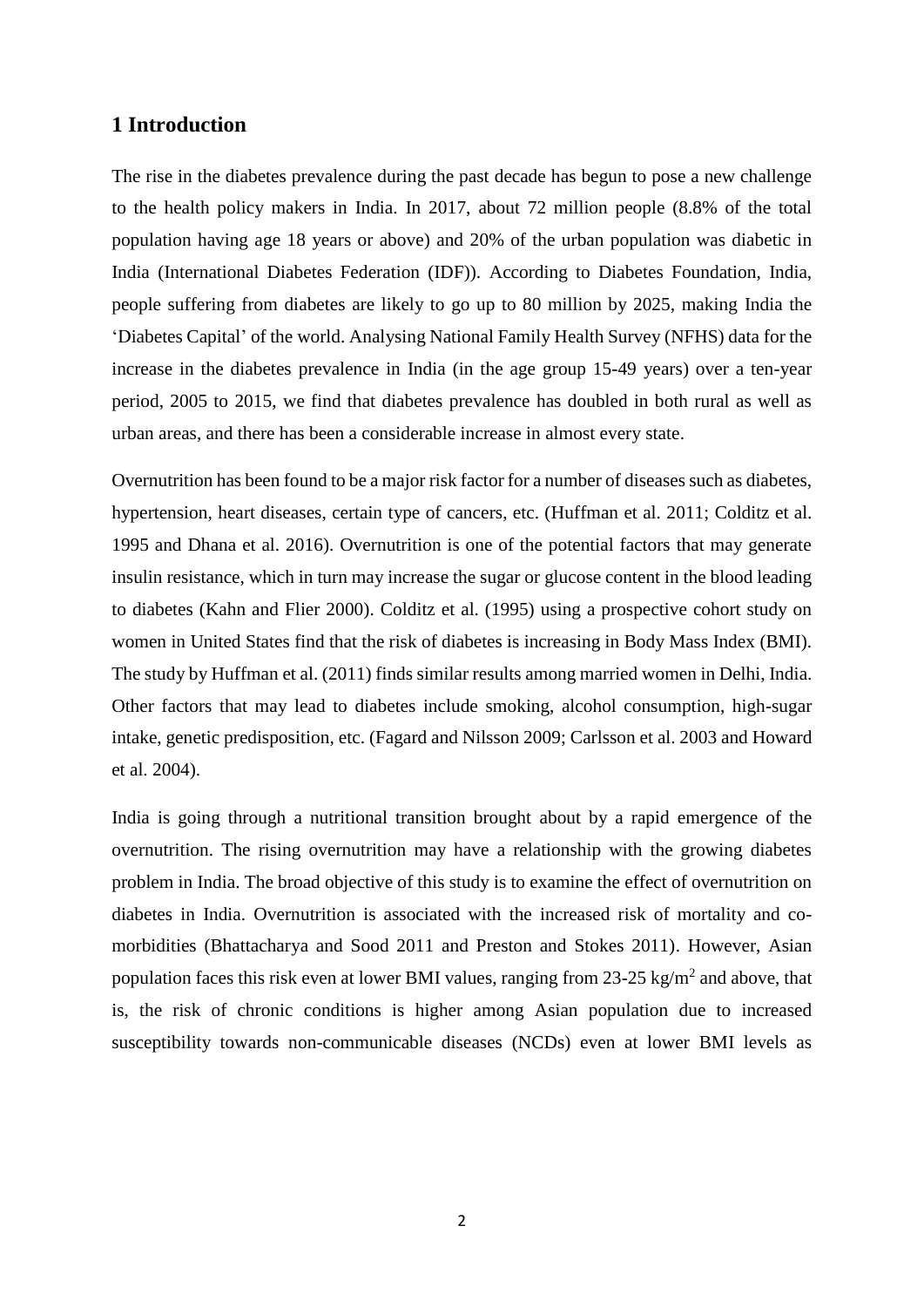### **1 Introduction**

The rise in the diabetes prevalence during the past decade has begun to pose a new challenge to the health policy makers in India. In 2017, about 72 million people (8.8% of the total population having age 18 years or above) and 20% of the urban population was diabetic in India (International Diabetes Federation (IDF)). According to Diabetes Foundation, India, people suffering from diabetes are likely to go up to 80 million by 2025, making India the 'Diabetes Capital' of the world. Analysing National Family Health Survey (NFHS) data for the increase in the diabetes prevalence in India (in the age group 15-49 years) over a ten-year period, 2005 to 2015, we find that diabetes prevalence has doubled in both rural as well as urban areas, and there has been a considerable increase in almost every state.

Overnutrition has been found to be a major risk factor for a number of diseases such as diabetes, hypertension, heart diseases, certain type of cancers, etc. (Huffman et al. 2011; Colditz et al. 1995 and Dhana et al. 2016). Overnutrition is one of the potential factors that may generate insulin resistance, which in turn may increase the sugar or glucose content in the blood leading to diabetes (Kahn and Flier 2000). Colditz et al. (1995) using a prospective cohort study on women in United States find that the risk of diabetes is increasing in Body Mass Index (BMI). The study by Huffman et al. (2011) finds similar results among married women in Delhi, India. Other factors that may lead to diabetes include smoking, alcohol consumption, high-sugar intake, genetic predisposition, etc. (Fagard and Nilsson 2009; Carlsson et al. 2003 and Howard et al. 2004).

India is going through a nutritional transition brought about by a rapid emergence of the overnutrition. The rising overnutrition may have a relationship with the growing diabetes problem in India. The broad objective of this study is to examine the effect of overnutrition on diabetes in India. Overnutrition is associated with the increased risk of mortality and comorbidities (Bhattacharya and Sood 2011 and Preston and Stokes 2011). However, Asian population faces this risk even at lower BMI values, ranging from  $23{\text -}25$  kg/m<sup>2</sup> and above, that is, the risk of chronic conditions is higher among Asian population due to increased susceptibility towards non-communicable diseases (NCDs) even at lower BMI levels as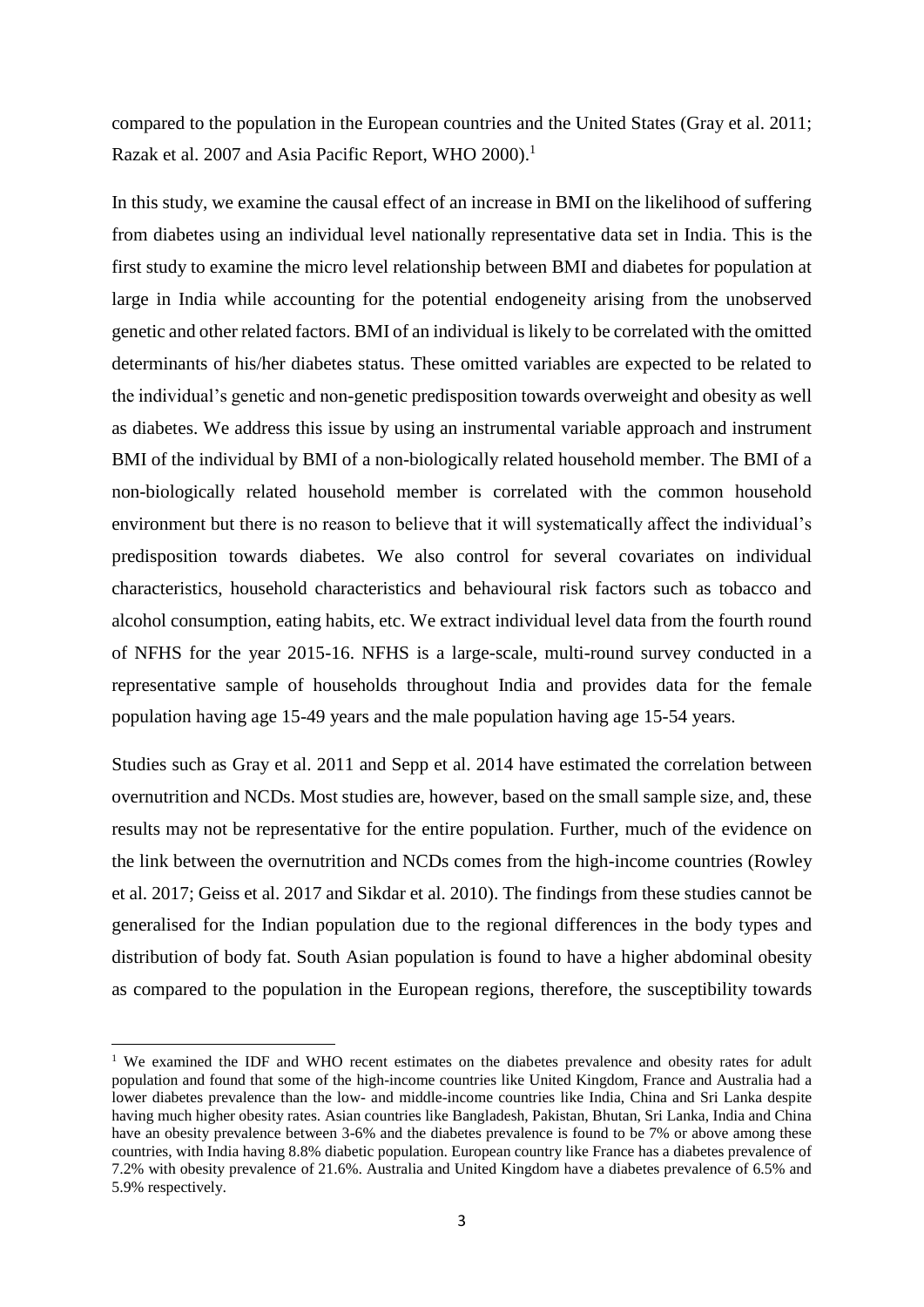compared to the population in the European countries and the United States (Gray et al. 2011; Razak et al. 2007 and Asia Pacific Report, WHO 2000).<sup>1</sup>

In this study, we examine the causal effect of an increase in BMI on the likelihood of suffering from diabetes using an individual level nationally representative data set in India. This is the first study to examine the micro level relationship between BMI and diabetes for population at large in India while accounting for the potential endogeneity arising from the unobserved genetic and other related factors. BMI of an individual is likely to be correlated with the omitted determinants of his/her diabetes status. These omitted variables are expected to be related to the individual's genetic and non-genetic predisposition towards overweight and obesity as well as diabetes. We address this issue by using an instrumental variable approach and instrument BMI of the individual by BMI of a non-biologically related household member. The BMI of a non-biologically related household member is correlated with the common household environment but there is no reason to believe that it will systematically affect the individual's predisposition towards diabetes. We also control for several covariates on individual characteristics, household characteristics and behavioural risk factors such as tobacco and alcohol consumption, eating habits, etc. We extract individual level data from the fourth round of NFHS for the year 2015-16. NFHS is a large-scale, multi-round survey conducted in a representative sample of households throughout India and provides data for the female population having age 15-49 years and the male population having age 15-54 years.

Studies such as Gray et al. 2011 and Sepp et al. 2014 have estimated the correlation between overnutrition and NCDs. Most studies are, however, based on the small sample size, and, these results may not be representative for the entire population. Further, much of the evidence on the link between the overnutrition and NCDs comes from the high-income countries (Rowley et al. 2017; Geiss et al. 2017 and Sikdar et al. 2010). The findings from these studies cannot be generalised for the Indian population due to the regional differences in the body types and distribution of body fat. South Asian population is found to have a higher abdominal obesity as compared to the population in the European regions, therefore, the susceptibility towards

<sup>&</sup>lt;sup>1</sup> We examined the IDF and WHO recent estimates on the diabetes prevalence and obesity rates for adult population and found that some of the high-income countries like United Kingdom, France and Australia had a lower diabetes prevalence than the low- and middle-income countries like India, China and Sri Lanka despite having much higher obesity rates. Asian countries like Bangladesh, Pakistan, Bhutan, Sri Lanka, India and China have an obesity prevalence between 3-6% and the diabetes prevalence is found to be 7% or above among these countries, with India having 8.8% diabetic population. European country like France has a diabetes prevalence of 7.2% with obesity prevalence of 21.6%. Australia and United Kingdom have a diabetes prevalence of 6.5% and 5.9% respectively.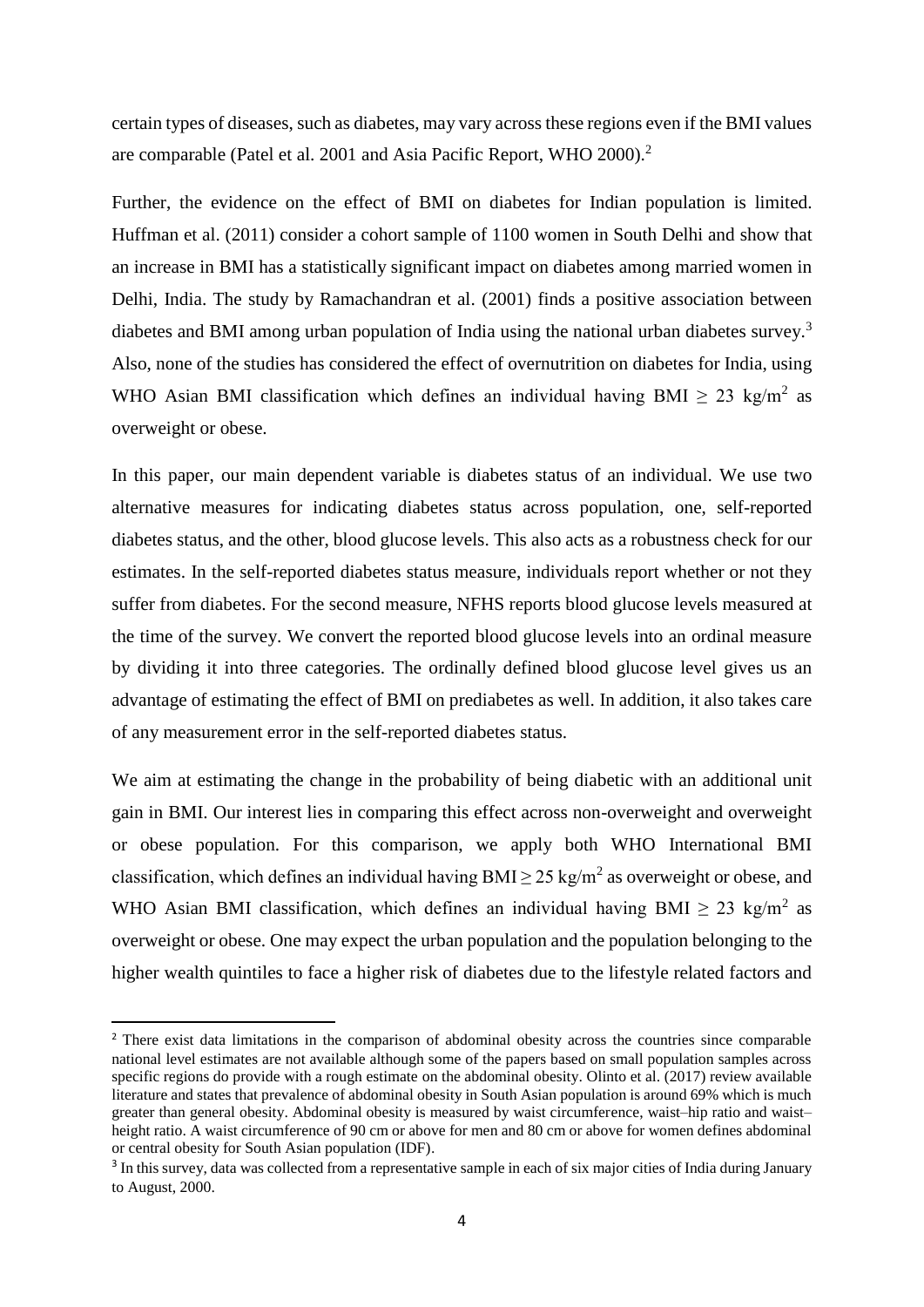certain types of diseases, such as diabetes, may vary across these regions even if the BMI values are comparable (Patel et al. 2001 and Asia Pacific Report, WHO 2000).<sup>2</sup>

Further, the evidence on the effect of BMI on diabetes for Indian population is limited. Huffman et al. (2011) consider a cohort sample of 1100 women in South Delhi and show that an increase in BMI has a statistically significant impact on diabetes among married women in Delhi, India. The study by Ramachandran et al. (2001) finds a positive association between diabetes and BMI among urban population of India using the national urban diabetes survey.<sup>3</sup> Also, none of the studies has considered the effect of overnutrition on diabetes for India, using WHO Asian BMI classification which defines an individual having BMI  $\geq 23$  kg/m<sup>2</sup> as overweight or obese.

In this paper, our main dependent variable is diabetes status of an individual. We use two alternative measures for indicating diabetes status across population, one, self-reported diabetes status, and the other, blood glucose levels. This also acts as a robustness check for our estimates. In the self-reported diabetes status measure, individuals report whether or not they suffer from diabetes. For the second measure, NFHS reports blood glucose levels measured at the time of the survey. We convert the reported blood glucose levels into an ordinal measure by dividing it into three categories. The ordinally defined blood glucose level gives us an advantage of estimating the effect of BMI on prediabetes as well. In addition, it also takes care of any measurement error in the self-reported diabetes status.

We aim at estimating the change in the probability of being diabetic with an additional unit gain in BMI. Our interest lies in comparing this effect across non-overweight and overweight or obese population. For this comparison, we apply both WHO International BMI classification, which defines an individual having  $BMI \geq 25$  kg/m<sup>2</sup> as overweight or obese, and WHO Asian BMI classification, which defines an individual having BMI  $\geq 23$  kg/m<sup>2</sup> as overweight or obese. One may expect the urban population and the population belonging to the higher wealth quintiles to face a higher risk of diabetes due to the lifestyle related factors and

<sup>&</sup>lt;sup>2</sup> There exist data limitations in the comparison of abdominal obesity across the countries since comparable national level estimates are not available although some of the papers based on small population samples across specific regions do provide with a rough estimate on the abdominal obesity. Olinto et al. (2017) review available literature and states that prevalence of abdominal obesity in South Asian population is around 69% which is much greater than general obesity. Abdominal obesity is measured by waist circumference, waist–hip ratio and waist– height ratio. A waist circumference of 90 cm or above for men and 80 cm or above for women defines abdominal or central obesity for South Asian population (IDF).

<sup>&</sup>lt;sup>3</sup> In this survey, data was collected from a representative sample in each of six major cities of India during January to August, 2000.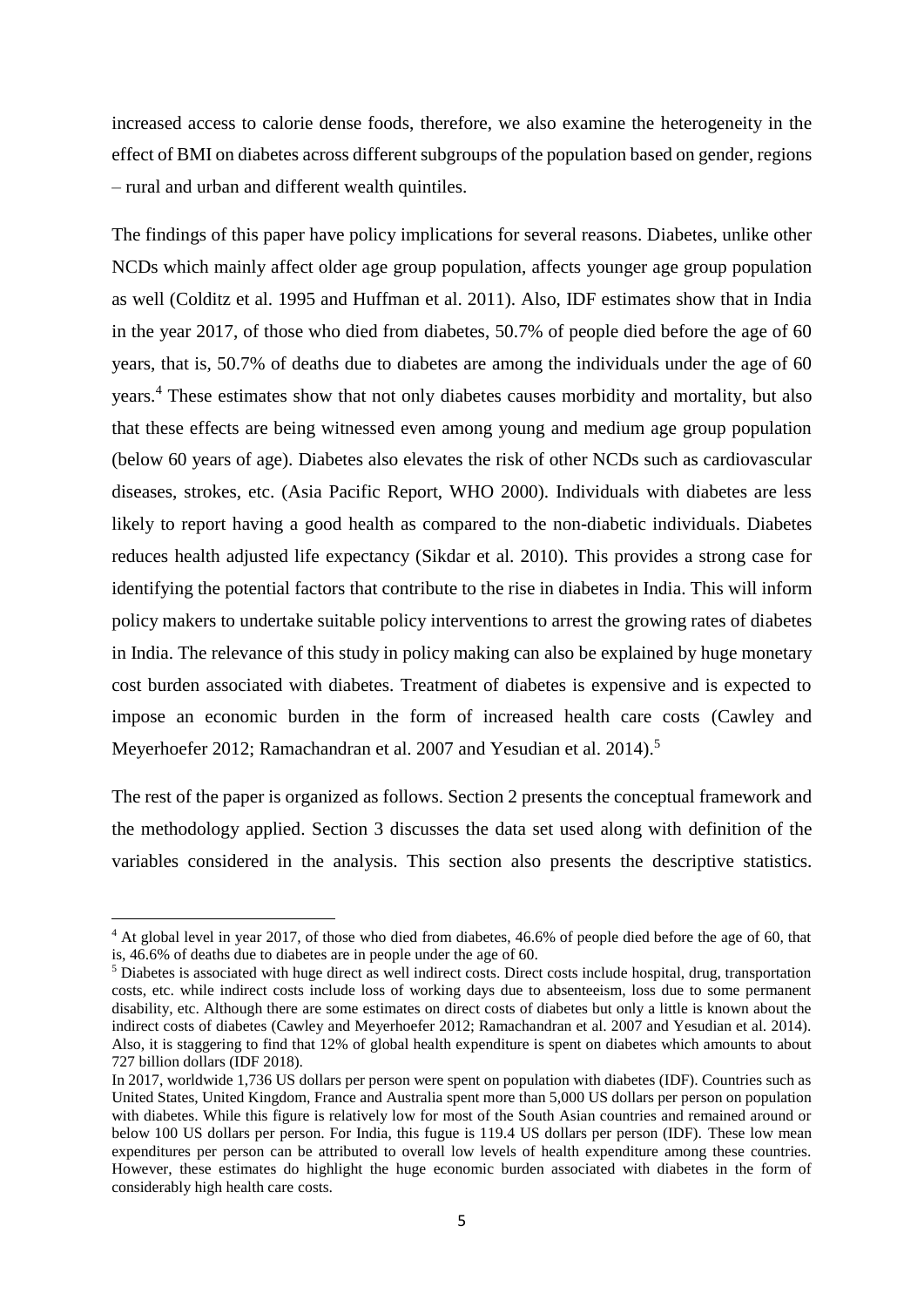increased access to calorie dense foods, therefore, we also examine the heterogeneity in the effect of BMI on diabetes across different subgroups of the population based on gender, regions – rural and urban and different wealth quintiles.

The findings of this paper have policy implications for several reasons. Diabetes, unlike other NCDs which mainly affect older age group population, affects younger age group population as well (Colditz et al. 1995 and Huffman et al. 2011). Also, IDF estimates show that in India in the year 2017, of those who died from diabetes, 50.7% of people died before the age of 60 years, that is, 50.7% of deaths due to diabetes are among the individuals under the age of 60 years.<sup>4</sup> These estimates show that not only diabetes causes morbidity and mortality, but also that these effects are being witnessed even among young and medium age group population (below 60 years of age). Diabetes also elevates the risk of other NCDs such as cardiovascular diseases, strokes, etc. (Asia Pacific Report, WHO 2000). Individuals with diabetes are less likely to report having a good health as compared to the non-diabetic individuals. Diabetes reduces health adjusted life expectancy (Sikdar et al. 2010). This provides a strong case for identifying the potential factors that contribute to the rise in diabetes in India. This will inform policy makers to undertake suitable policy interventions to arrest the growing rates of diabetes in India. The relevance of this study in policy making can also be explained by huge monetary cost burden associated with diabetes. Treatment of diabetes is expensive and is expected to impose an economic burden in the form of increased health care costs (Cawley and Meyerhoefer 2012; Ramachandran et al. 2007 and Yesudian et al. 2014).<sup>5</sup>

The rest of the paper is organized as follows. Section 2 presents the conceptual framework and the methodology applied. Section 3 discusses the data set used along with definition of the variables considered in the analysis. This section also presents the descriptive statistics.

<sup>4</sup> At global level in year 2017, of those who died from diabetes, 46.6% of people died before the age of 60, that is, 46.6% of deaths due to diabetes are in people under the age of 60.

<sup>&</sup>lt;sup>5</sup> Diabetes is associated with huge direct as well indirect costs. Direct costs include hospital, drug, transportation costs, etc. while indirect costs include loss of working days due to absenteeism, loss due to some permanent disability, etc. Although there are some estimates on direct costs of diabetes but only a little is known about the indirect costs of diabetes (Cawley and Meyerhoefer 2012; Ramachandran et al. 2007 and Yesudian et al. 2014). Also, it is staggering to find that 12% of global health expenditure is spent on diabetes which amounts to about 727 billion dollars (IDF 2018).

In 2017, worldwide 1,736 US dollars per person were spent on population with diabetes (IDF). Countries such as United States, United Kingdom, France and Australia spent more than 5,000 US dollars per person on population with diabetes. While this figure is relatively low for most of the South Asian countries and remained around or below 100 US dollars per person. For India, this fugue is 119.4 US dollars per person (IDF). These low mean expenditures per person can be attributed to overall low levels of health expenditure among these countries. However, these estimates do highlight the huge economic burden associated with diabetes in the form of considerably high health care costs.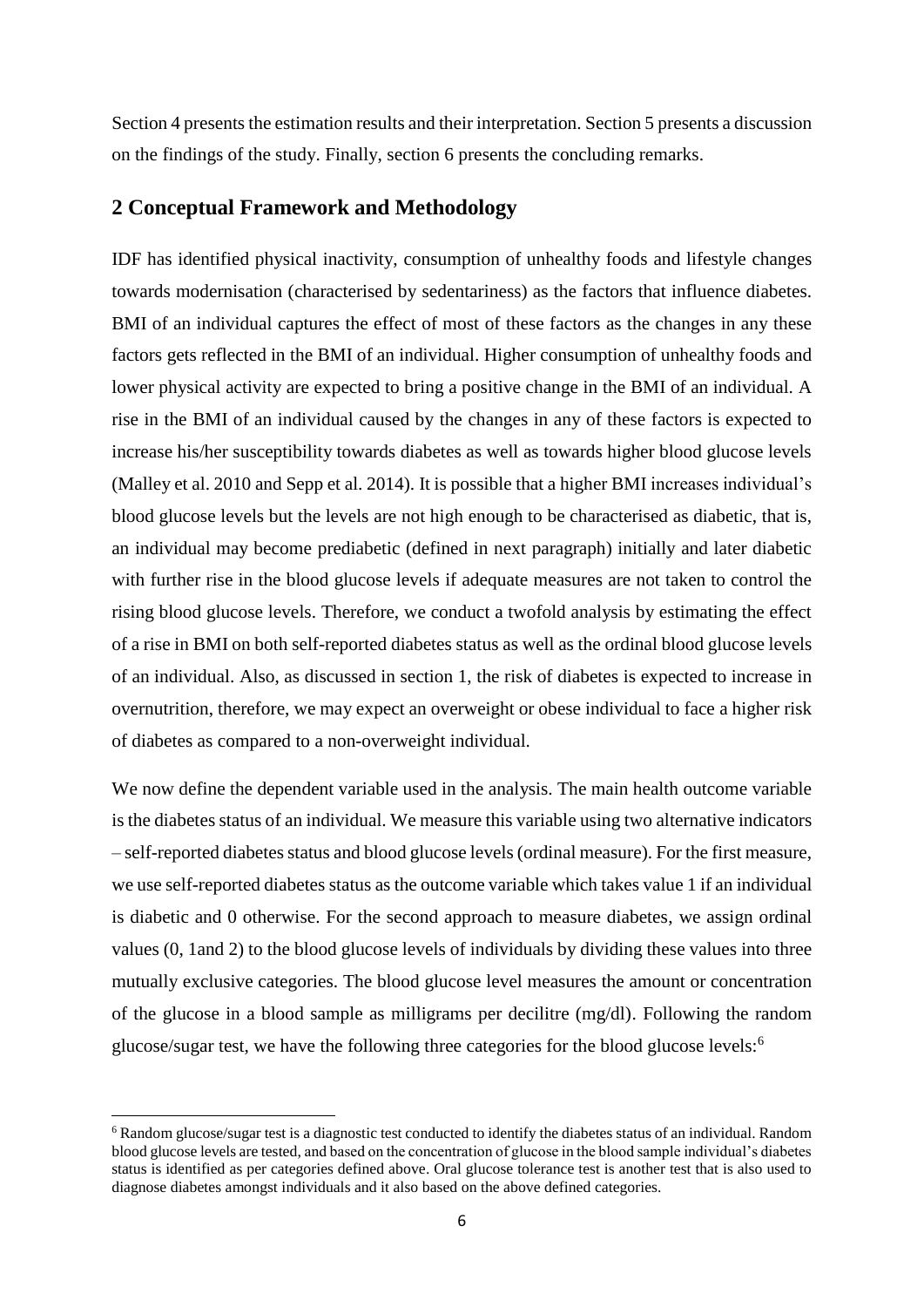Section 4 presents the estimation results and their interpretation. Section 5 presents a discussion on the findings of the study. Finally, section 6 presents the concluding remarks.

### **2 Conceptual Framework and Methodology**

IDF has identified physical inactivity, consumption of unhealthy foods and lifestyle changes towards modernisation (characterised by sedentariness) as the factors that influence diabetes. BMI of an individual captures the effect of most of these factors as the changes in any these factors gets reflected in the BMI of an individual. Higher consumption of unhealthy foods and lower physical activity are expected to bring a positive change in the BMI of an individual. A rise in the BMI of an individual caused by the changes in any of these factors is expected to increase his/her susceptibility towards diabetes as well as towards higher blood glucose levels (Malley et al. 2010 and Sepp et al. 2014). It is possible that a higher BMI increases individual's blood glucose levels but the levels are not high enough to be characterised as diabetic, that is, an individual may become prediabetic (defined in next paragraph) initially and later diabetic with further rise in the blood glucose levels if adequate measures are not taken to control the rising blood glucose levels. Therefore, we conduct a twofold analysis by estimating the effect of a rise in BMI on both self-reported diabetes status as well as the ordinal blood glucose levels of an individual. Also, as discussed in section 1, the risk of diabetes is expected to increase in overnutrition, therefore, we may expect an overweight or obese individual to face a higher risk of diabetes as compared to a non-overweight individual.

We now define the dependent variable used in the analysis. The main health outcome variable is the diabetes status of an individual. We measure this variable using two alternative indicators – self-reported diabetes status and blood glucose levels (ordinal measure). For the first measure, we use self-reported diabetes status as the outcome variable which takes value 1 if an individual is diabetic and 0 otherwise. For the second approach to measure diabetes, we assign ordinal values (0, 1and 2) to the blood glucose levels of individuals by dividing these values into three mutually exclusive categories. The blood glucose level measures the amount or concentration of the glucose in a blood sample as milligrams per decilitre (mg/dl). Following the random glucose/sugar test, we have the following three categories for the blood glucose levels:<sup>6</sup>

**.** 

<sup>6</sup> Random glucose/sugar test is a diagnostic test conducted to identify the diabetes status of an individual. Random blood glucose levels are tested, and based on the concentration of glucose in the blood sample individual's diabetes status is identified as per categories defined above. Oral glucose tolerance test is another test that is also used to diagnose diabetes amongst individuals and it also based on the above defined categories.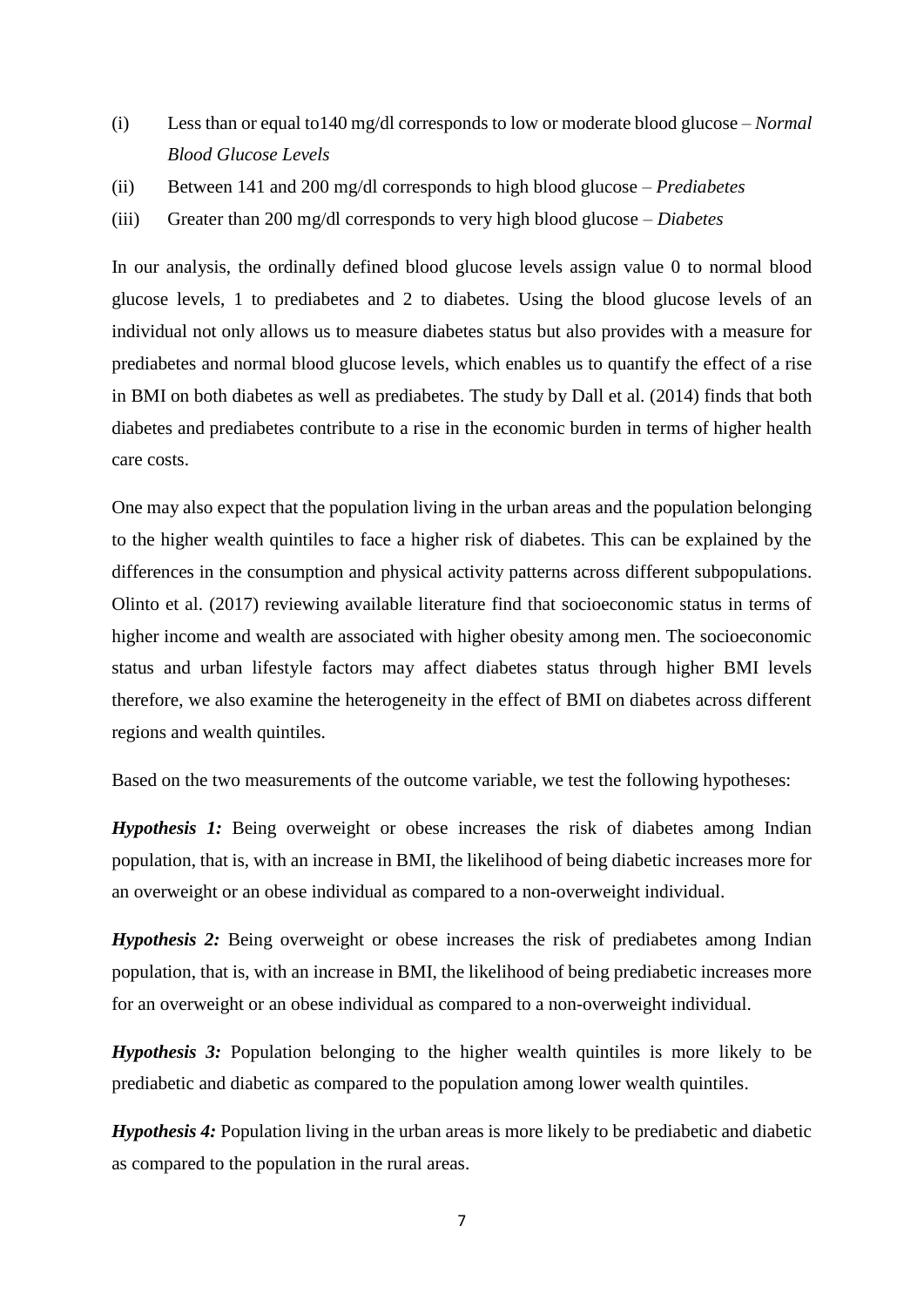- (i) Less than or equal to140 mg/dl corresponds to low or moderate blood glucose *– Normal Blood Glucose Levels*
- (ii) Between 141 and 200 mg/dl corresponds to high blood glucose *– Prediabetes*
- (iii) Greater than 200 mg/dl corresponds to very high blood glucose *– Diabetes*

In our analysis, the ordinally defined blood glucose levels assign value 0 to normal blood glucose levels, 1 to prediabetes and 2 to diabetes. Using the blood glucose levels of an individual not only allows us to measure diabetes status but also provides with a measure for prediabetes and normal blood glucose levels, which enables us to quantify the effect of a rise in BMI on both diabetes as well as prediabetes. The study by Dall et al. (2014) finds that both diabetes and prediabetes contribute to a rise in the economic burden in terms of higher health care costs.

One may also expect that the population living in the urban areas and the population belonging to the higher wealth quintiles to face a higher risk of diabetes. This can be explained by the differences in the consumption and physical activity patterns across different subpopulations. Olinto et al. (2017) reviewing available literature find that socioeconomic status in terms of higher income and wealth are associated with higher obesity among men. The socioeconomic status and urban lifestyle factors may affect diabetes status through higher BMI levels therefore, we also examine the heterogeneity in the effect of BMI on diabetes across different regions and wealth quintiles.

Based on the two measurements of the outcome variable, we test the following hypotheses:

*Hypothesis 1:* Being overweight or obese increases the risk of diabetes among Indian population, that is, with an increase in BMI, the likelihood of being diabetic increases more for an overweight or an obese individual as compared to a non-overweight individual.

*Hypothesis 2:* Being overweight or obese increases the risk of prediabetes among Indian population, that is, with an increase in BMI, the likelihood of being prediabetic increases more for an overweight or an obese individual as compared to a non-overweight individual.

*Hypothesis 3:* Population belonging to the higher wealth quintiles is more likely to be prediabetic and diabetic as compared to the population among lower wealth quintiles.

*Hypothesis 4:* Population living in the urban areas is more likely to be prediabetic and diabetic as compared to the population in the rural areas.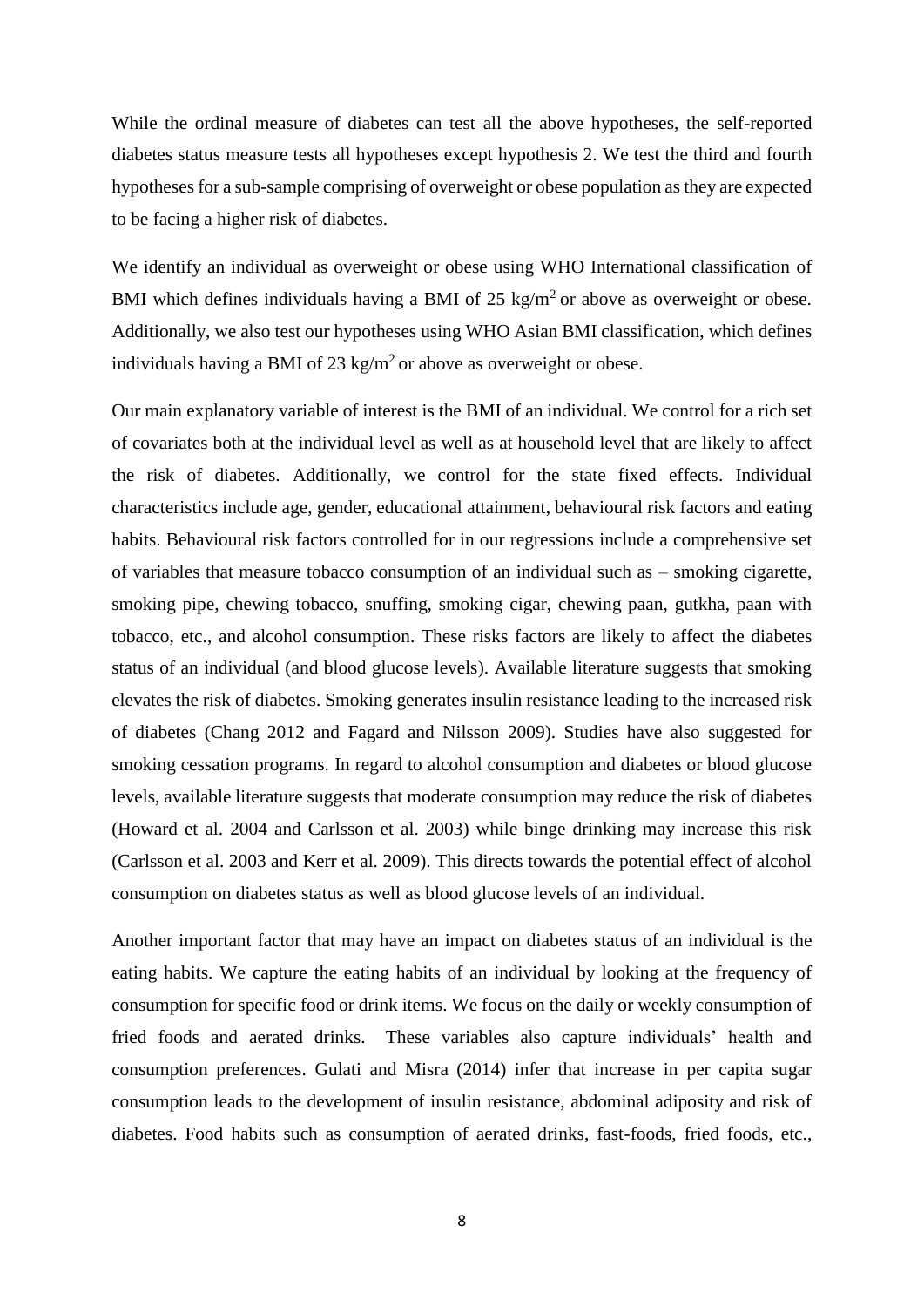While the ordinal measure of diabetes can test all the above hypotheses, the self-reported diabetes status measure tests all hypotheses except hypothesis 2. We test the third and fourth hypotheses for a sub-sample comprising of overweight or obese population as they are expected to be facing a higher risk of diabetes.

We identify an individual as overweight or obese using WHO International classification of BMI which defines individuals having a BMI of 25 kg/m<sup>2</sup> or above as overweight or obese. Additionally, we also test our hypotheses using WHO Asian BMI classification, which defines individuals having a BMI of 23 kg/m<sup>2</sup> or above as overweight or obese.

Our main explanatory variable of interest is the BMI of an individual. We control for a rich set of covariates both at the individual level as well as at household level that are likely to affect the risk of diabetes. Additionally, we control for the state fixed effects. Individual characteristics include age, gender, educational attainment, behavioural risk factors and eating habits. Behavioural risk factors controlled for in our regressions include a comprehensive set of variables that measure tobacco consumption of an individual such as – smoking cigarette, smoking pipe, chewing tobacco, snuffing, smoking cigar, chewing paan, gutkha, paan with tobacco, etc., and alcohol consumption. These risks factors are likely to affect the diabetes status of an individual (and blood glucose levels). Available literature suggests that smoking elevates the risk of diabetes. Smoking generates insulin resistance leading to the increased risk of diabetes (Chang 2012 and Fagard and Nilsson 2009). Studies have also suggested for smoking cessation programs. In regard to alcohol consumption and diabetes or blood glucose levels, available literature suggests that moderate consumption may reduce the risk of diabetes (Howard et al. 2004 and Carlsson et al. 2003) while binge drinking may increase this risk (Carlsson et al. 2003 and Kerr et al. 2009). This directs towards the potential effect of alcohol consumption on diabetes status as well as blood glucose levels of an individual.

Another important factor that may have an impact on diabetes status of an individual is the eating habits. We capture the eating habits of an individual by looking at the frequency of consumption for specific food or drink items. We focus on the daily or weekly consumption of fried foods and aerated drinks. These variables also capture individuals' health and consumption preferences. Gulati and Misra (2014) infer that increase in per capita sugar consumption leads to the development of insulin resistance, abdominal adiposity and risk of diabetes. Food habits such as consumption of aerated drinks, fast-foods, fried foods, etc.,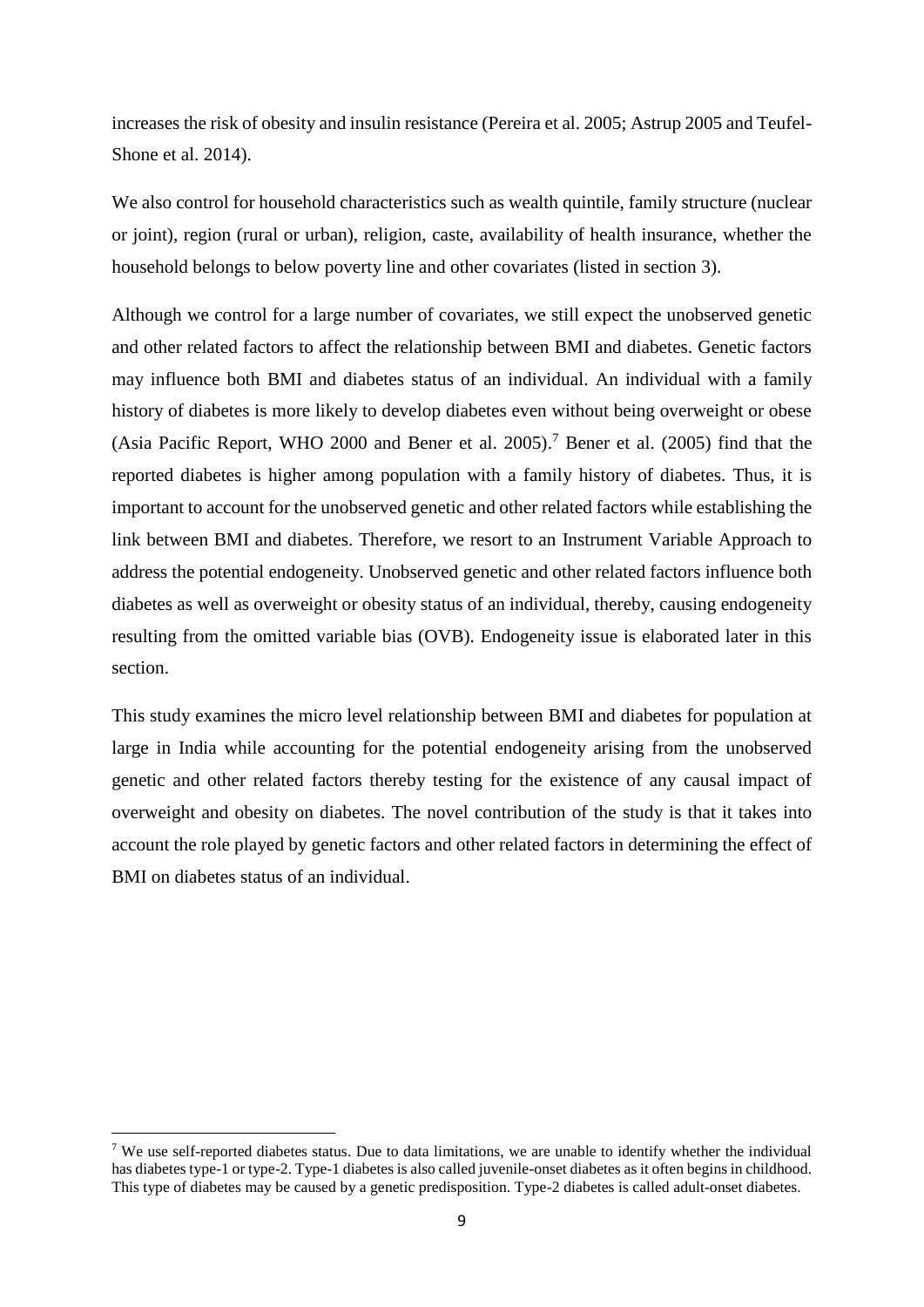increases the risk of obesity and insulin resistance (Pereira et al. 2005; Astrup 2005 and Teufel-Shone et al. 2014).

We also control for household characteristics such as wealth quintile, family structure (nuclear or joint), region (rural or urban), religion, caste, availability of health insurance, whether the household belongs to below poverty line and other covariates (listed in section 3).

Although we control for a large number of covariates, we still expect the unobserved genetic and other related factors to affect the relationship between BMI and diabetes. Genetic factors may influence both BMI and diabetes status of an individual. An individual with a family history of diabetes is more likely to develop diabetes even without being overweight or obese (Asia Pacific Report, WHO 2000 and Bener et al. 2005). <sup>7</sup> Bener et al. (2005) find that the reported diabetes is higher among population with a family history of diabetes. Thus, it is important to account for the unobserved genetic and other related factors while establishing the link between BMI and diabetes. Therefore, we resort to an Instrument Variable Approach to address the potential endogeneity. Unobserved genetic and other related factors influence both diabetes as well as overweight or obesity status of an individual, thereby, causing endogeneity resulting from the omitted variable bias (OVB). Endogeneity issue is elaborated later in this section.

This study examines the micro level relationship between BMI and diabetes for population at large in India while accounting for the potential endogeneity arising from the unobserved genetic and other related factors thereby testing for the existence of any causal impact of overweight and obesity on diabetes. The novel contribution of the study is that it takes into account the role played by genetic factors and other related factors in determining the effect of BMI on diabetes status of an individual.

 $\overline{\phantom{a}}$ 

<sup>&</sup>lt;sup>7</sup> We use self-reported diabetes status. Due to data limitations, we are unable to identify whether the individual has diabetes type-1 or type-2. Type-1 diabetes is also called juvenile-onset diabetes as it often begins in childhood. This type of diabetes may be caused by a genetic predisposition. Type-2 diabetes is called adult-onset diabetes.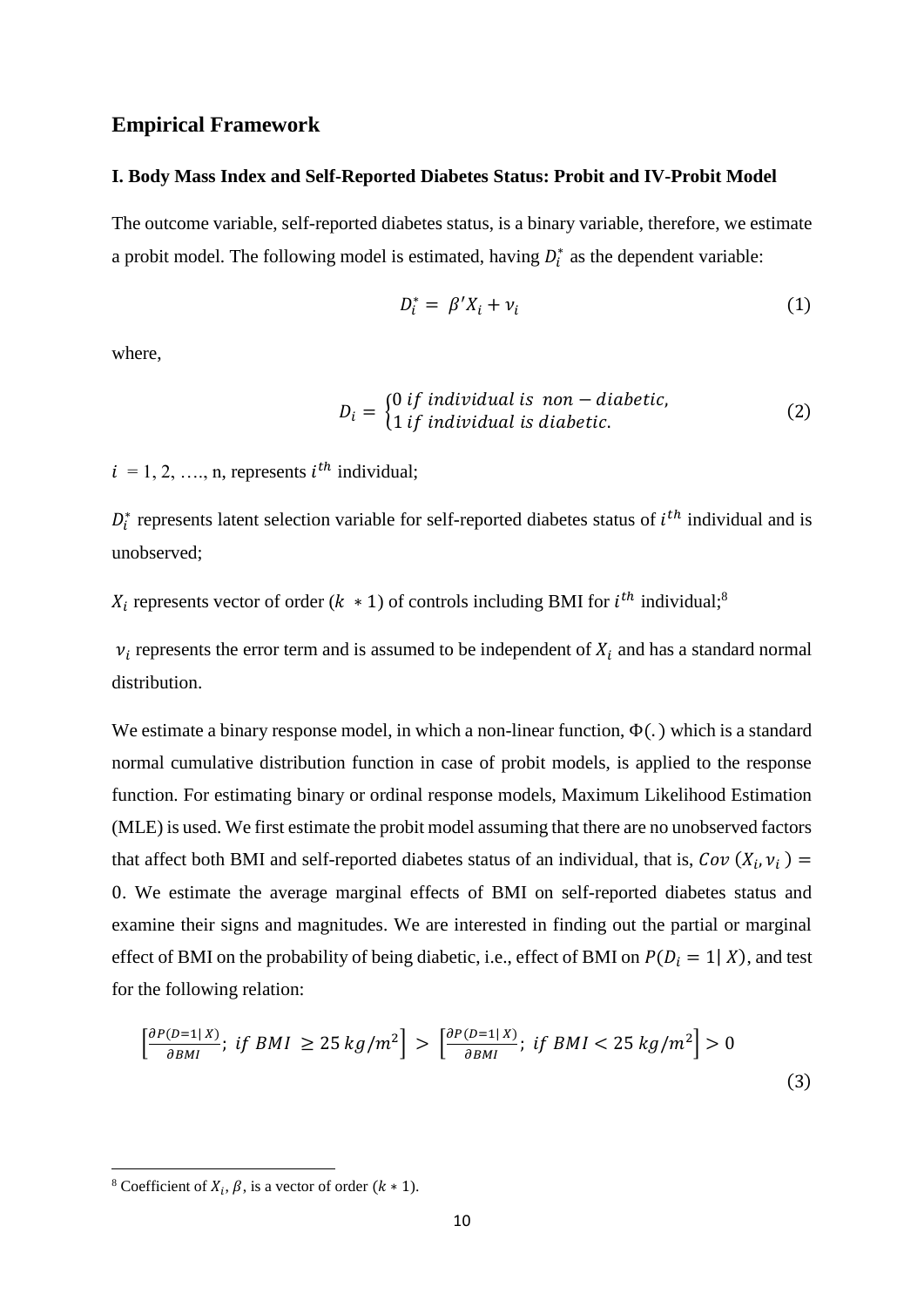### **Empirical Framework**

#### **I. Body Mass Index and Self-Reported Diabetes Status: Probit and IV-Probit Model**

The outcome variable, self-reported diabetes status, is a binary variable, therefore, we estimate a probit model. The following model is estimated, having  $D_i^*$  as the dependent variable:

$$
D_i^* = \beta' X_i + \nu_i \tag{1}
$$

where,

$$
D_i = \begin{cases} 0 \text{ if individual is non-diabetic,} \\ 1 \text{ if individual is diabetic.} \end{cases} \tag{2}
$$

 $i = 1, 2, ..., n$ , represents  $i^{th}$  individual;

 $D_i^*$  represents latent selection variable for self-reported diabetes status of  $i^{th}$  individual and is unobserved;

 $X_i$  represents vector of order ( $k \neq 1$ ) of controls including BMI for  $i^{th}$  individual;<sup>8</sup>

 $v_i$  represents the error term and is assumed to be independent of  $X_i$  and has a standard normal distribution.

We estimate a binary response model, in which a non-linear function,  $\Phi(.)$  which is a standard normal cumulative distribution function in case of probit models, is applied to the response function. For estimating binary or ordinal response models, Maximum Likelihood Estimation (MLE) is used. We first estimate the probit model assuming that there are no unobserved factors that affect both BMI and self-reported diabetes status of an individual, that is,  $Cov(X_i, v_i)$  = 0. We estimate the average marginal effects of BMI on self-reported diabetes status and examine their signs and magnitudes. We are interested in finding out the partial or marginal effect of BMI on the probability of being diabetic, i.e., effect of BMI on  $P(D_i = 1 | X)$ , and test for the following relation:

$$
\left[\frac{\partial P(D=1|X)}{\partial BMI};\;if\;BMI\;\geq 25\;kg/m^2\right] > \left[\frac{\partial P(D=1|X)}{\partial BMI};\;if\;BMI\;lt; 25\;kg/m^2\right] > 0\tag{3}
$$

<sup>&</sup>lt;sup>8</sup> Coefficient of  $X_i$ ,  $\beta$ , is a vector of order  $(k * 1)$ .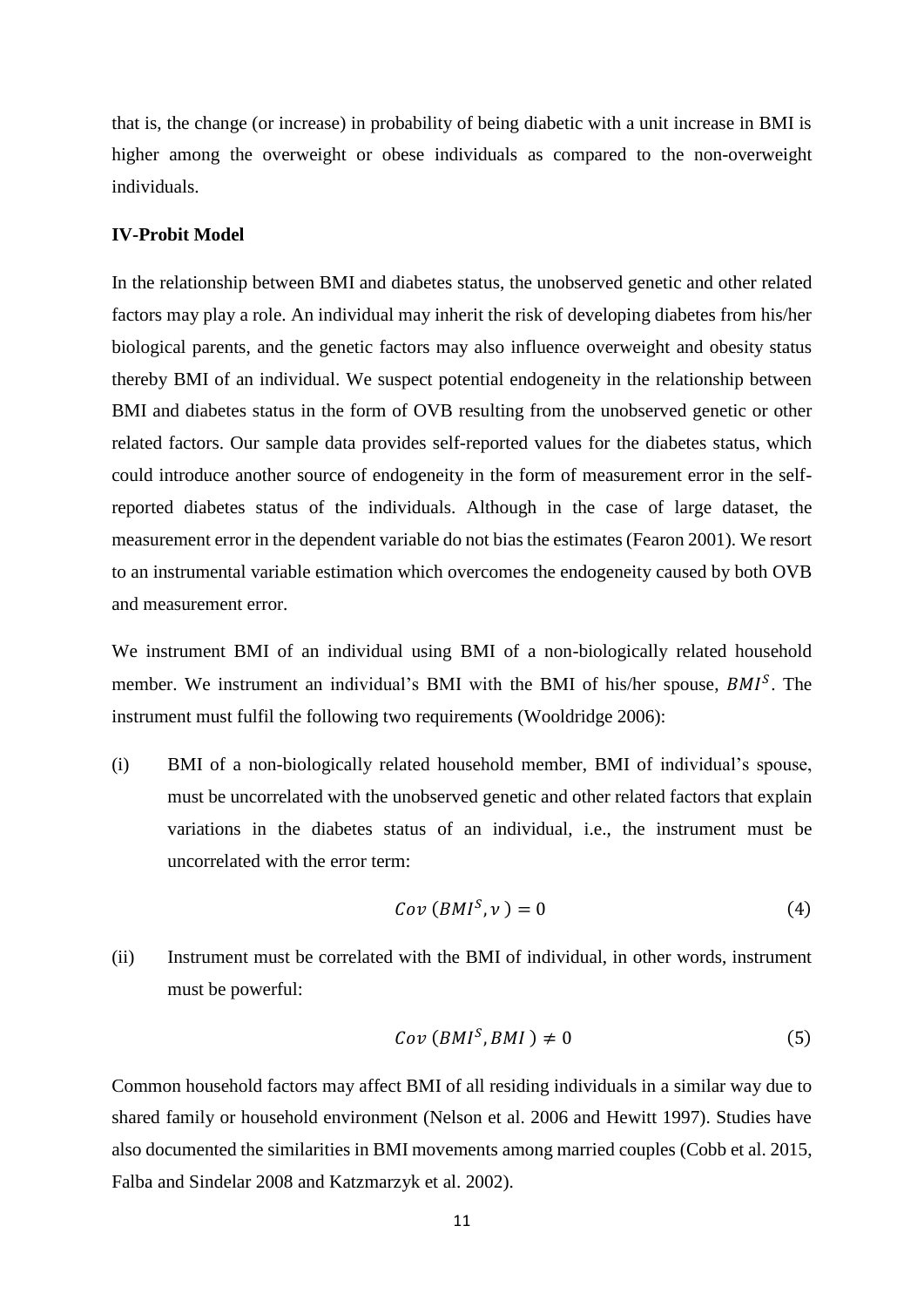that is, the change (or increase) in probability of being diabetic with a unit increase in BMI is higher among the overweight or obese individuals as compared to the non-overweight individuals.

### **IV-Probit Model**

In the relationship between BMI and diabetes status, the unobserved genetic and other related factors may play a role. An individual may inherit the risk of developing diabetes from his/her biological parents, and the genetic factors may also influence overweight and obesity status thereby BMI of an individual. We suspect potential endogeneity in the relationship between BMI and diabetes status in the form of OVB resulting from the unobserved genetic or other related factors. Our sample data provides self-reported values for the diabetes status, which could introduce another source of endogeneity in the form of measurement error in the selfreported diabetes status of the individuals. Although in the case of large dataset, the measurement error in the dependent variable do not bias the estimates (Fearon 2001). We resort to an instrumental variable estimation which overcomes the endogeneity caused by both OVB and measurement error.

We instrument BMI of an individual using BMI of a non-biologically related household member. We instrument an individual's BMI with the BMI of his/her spouse,  $BMI<sup>S</sup>$ . The instrument must fulfil the following two requirements (Wooldridge 2006):

(i) BMI of a non-biologically related household member, BMI of individual's spouse, must be uncorrelated with the unobserved genetic and other related factors that explain variations in the diabetes status of an individual, i.e., the instrument must be uncorrelated with the error term:

$$
Cov(BMI^S, v) = 0 \tag{4}
$$

(ii) Instrument must be correlated with the BMI of individual, in other words, instrument must be powerful:

$$
Cov(BMIS, BMI) \neq 0
$$
 (5)

Common household factors may affect BMI of all residing individuals in a similar way due to shared family or household environment (Nelson et al. 2006 and Hewitt 1997). Studies have also documented the similarities in BMI movements among married couples (Cobb et al. 2015, Falba and Sindelar 2008 and Katzmarzyk et al. 2002).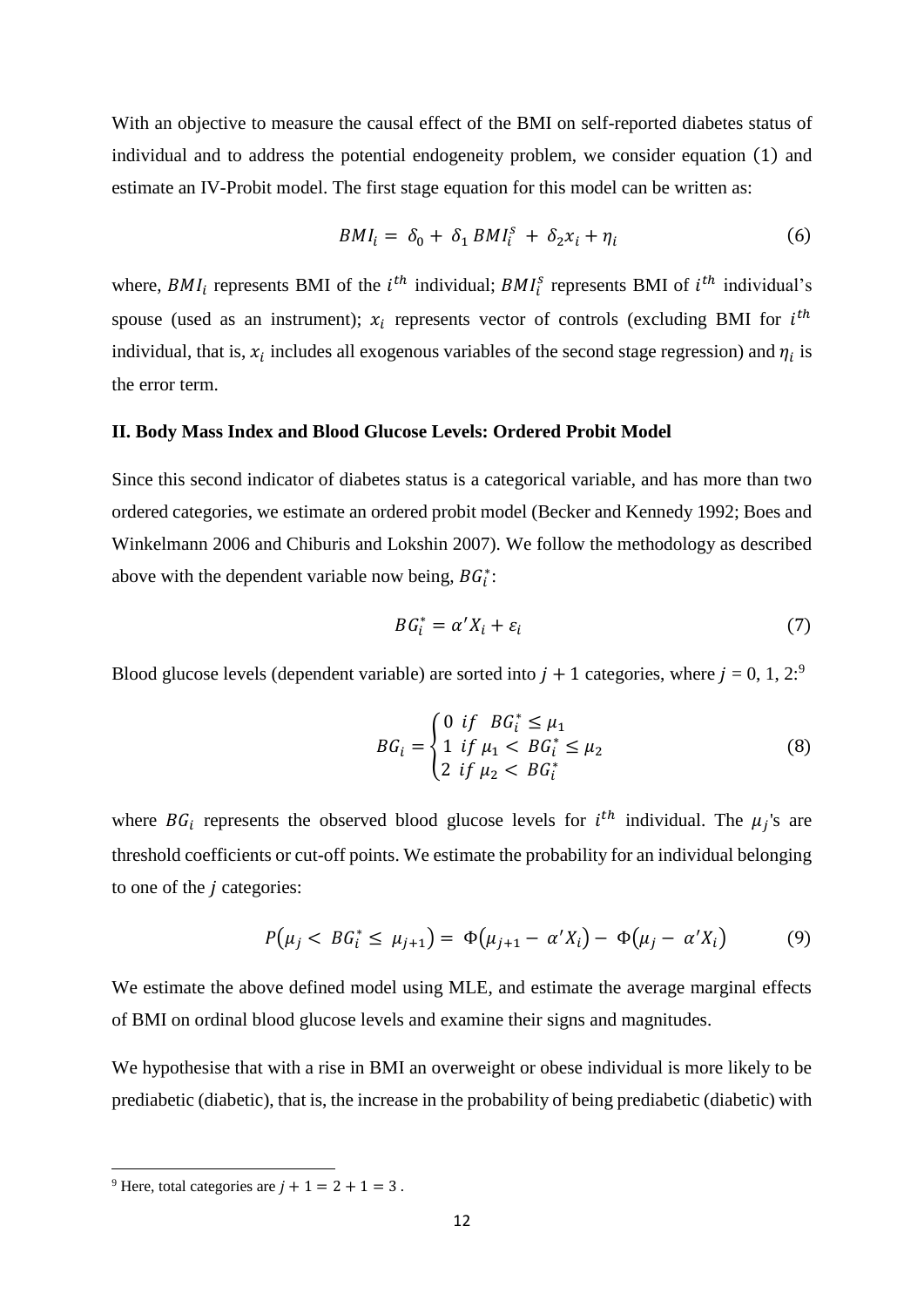With an objective to measure the causal effect of the BMI on self-reported diabetes status of individual and to address the potential endogeneity problem, we consider equation (1) and estimate an IV-Probit model. The first stage equation for this model can be written as:

$$
BMI_i = \delta_0 + \delta_1 BM I_i^s + \delta_2 x_i + \eta_i \tag{6}
$$

where,  $BMI_i$  represents BMI of the  $i<sup>th</sup>$  individual;  $BMI_i^s$  represents BMI of  $i<sup>th</sup>$  individual's spouse (used as an instrument);  $x_i$  represents vector of controls (excluding BMI for  $i^{th}$ individual, that is,  $x_i$  includes all exogenous variables of the second stage regression) and  $\eta_i$  is the error term.

#### **II. Body Mass Index and Blood Glucose Levels: Ordered Probit Model**

Since this second indicator of diabetes status is a categorical variable, and has more than two ordered categories, we estimate an ordered probit model (Becker and Kennedy 1992; Boes and Winkelmann 2006 and Chiburis and Lokshin 2007). We follow the methodology as described above with the dependent variable now being,  $BG_i^*$ :

$$
BG_i^* = \alpha' X_i + \varepsilon_i \tag{7}
$$

Blood glucose levels (dependent variable) are sorted into  $j + 1$  categories, where  $j = 0, 1, 2$ <sup>9</sup>

$$
BG_{i} = \begin{cases} 0 & \text{if} \quad BG_{i}^{*} \leq \mu_{1} \\ 1 & \text{if } \mu_{1} < \quad BG_{i}^{*} \leq \mu_{2} \\ 2 & \text{if } \mu_{2} < \quad BG_{i}^{*} \end{cases} \tag{8}
$$

where  $BG_i$  represents the observed blood glucose levels for  $i^{th}$  individual. The  $\mu_j$ 's are threshold coefficients or cut-off points. We estimate the probability for an individual belonging to one of the  $j$  categories:

$$
P(\mu_j < BG_i^* \le \mu_{j+1}) = \Phi(\mu_{j+1} - \alpha' X_i) - \Phi(\mu_j - \alpha' X_i) \tag{9}
$$

We estimate the above defined model using MLE, and estimate the average marginal effects of BMI on ordinal blood glucose levels and examine their signs and magnitudes.

We hypothesise that with a rise in BMI an overweight or obese individual is more likely to be prediabetic (diabetic), that is, the increase in the probability of being prediabetic (diabetic) with

<sup>&</sup>lt;sup>9</sup> Here, total categories are  $i + 1 = 2 + 1 = 3$ .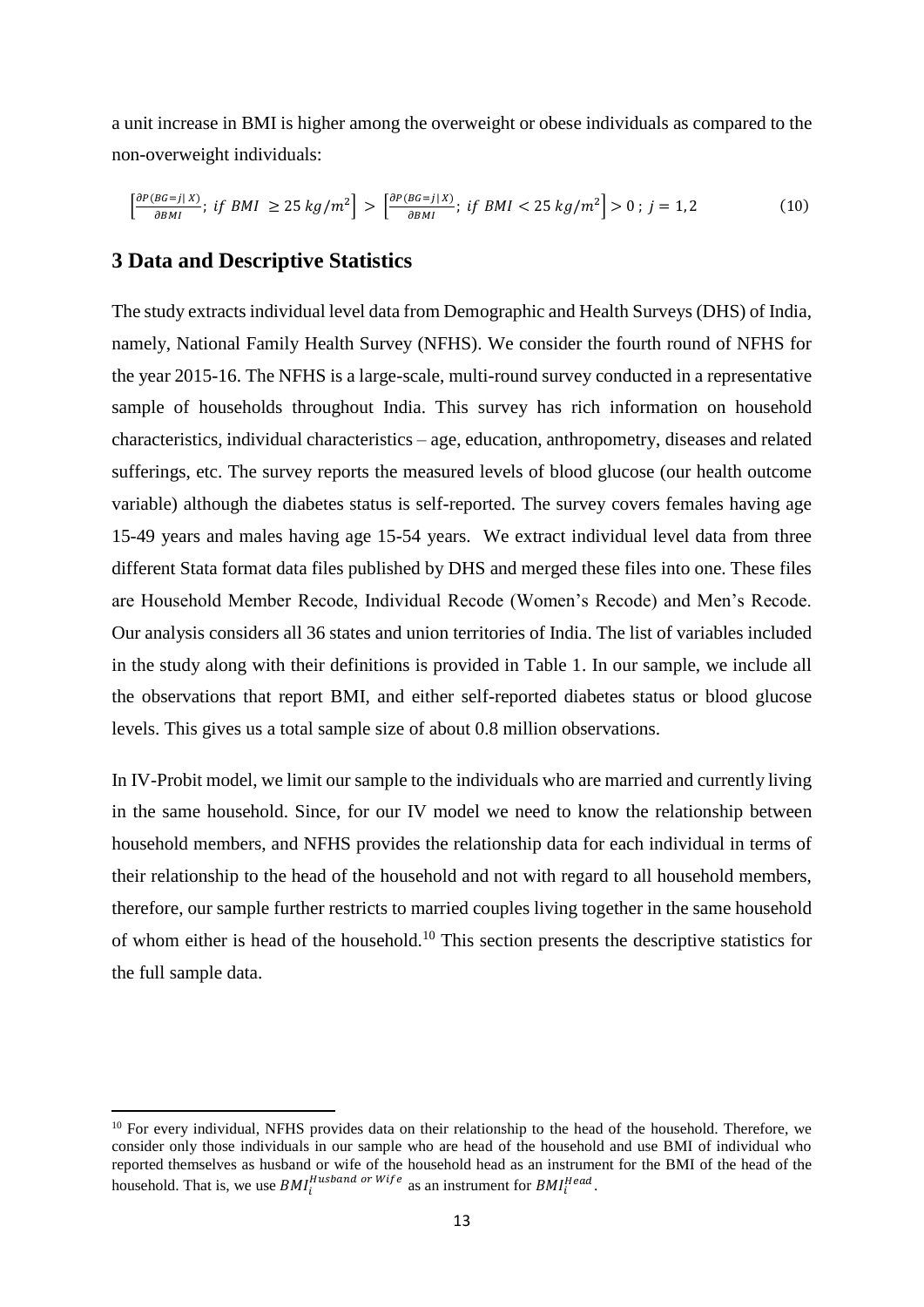a unit increase in BMI is higher among the overweight or obese individuals as compared to the non-overweight individuals:

$$
\left[\frac{\partial P(BG=j|X)}{\partial BMI};\;if\;BMI\;\geq\;25\;kg/m^2\right] > \left[\frac{\partial P(BG=j|X)}{\partial BMI};\;if\;BMI < 25\;kg/m^2\right] > 0\;;\;j=1,2\tag{10}
$$

### **3 Data and Descriptive Statistics**

**.** 

The study extracts individual level data from Demographic and Health Surveys (DHS) of India, namely, National Family Health Survey (NFHS). We consider the fourth round of NFHS for the year 2015-16. The NFHS is a large-scale, multi-round survey conducted in a representative sample of households throughout India. This survey has rich information on household characteristics, individual characteristics – age, education, anthropometry, diseases and related sufferings, etc. The survey reports the measured levels of blood glucose (our health outcome variable) although the diabetes status is self-reported. The survey covers females having age 15-49 years and males having age 15-54 years. We extract individual level data from three different Stata format data files published by DHS and merged these files into one. These files are Household Member Recode, Individual Recode (Women's Recode) and Men's Recode. Our analysis considers all 36 states and union territories of India. The list of variables included in the study along with their definitions is provided in Table 1. In our sample, we include all the observations that report BMI, and either self-reported diabetes status or blood glucose levels. This gives us a total sample size of about 0.8 million observations.

In IV-Probit model, we limit our sample to the individuals who are married and currently living in the same household. Since, for our IV model we need to know the relationship between household members, and NFHS provides the relationship data for each individual in terms of their relationship to the head of the household and not with regard to all household members, therefore, our sample further restricts to married couples living together in the same household of whom either is head of the household.<sup>10</sup> This section presents the descriptive statistics for the full sample data.

<sup>&</sup>lt;sup>10</sup> For every individual, NFHS provides data on their relationship to the head of the household. Therefore, we consider only those individuals in our sample who are head of the household and use BMI of individual who reported themselves as husband or wife of the household head as an instrument for the BMI of the head of the household. That is, we use  $BMI_i^{Hushand \; or \; Wife}$  as an instrument for  $BMI_i^{Head}$ .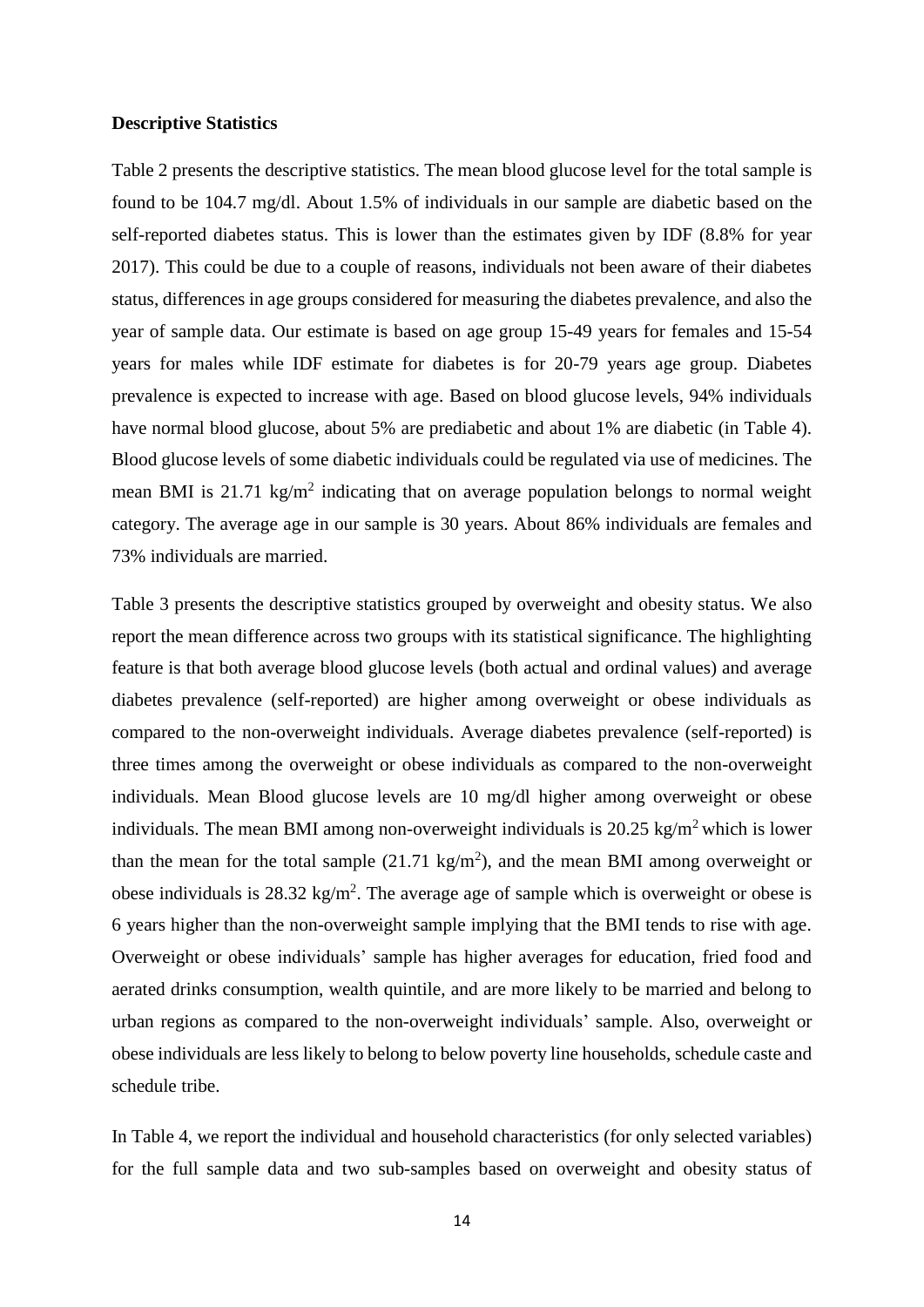#### **Descriptive Statistics**

Table 2 presents the descriptive statistics. The mean blood glucose level for the total sample is found to be 104.7 mg/dl. About 1.5% of individuals in our sample are diabetic based on the self-reported diabetes status. This is lower than the estimates given by IDF (8.8% for year 2017). This could be due to a couple of reasons, individuals not been aware of their diabetes status, differences in age groups considered for measuring the diabetes prevalence, and also the year of sample data. Our estimate is based on age group 15-49 years for females and 15-54 years for males while IDF estimate for diabetes is for 20-79 years age group. Diabetes prevalence is expected to increase with age. Based on blood glucose levels, 94% individuals have normal blood glucose, about 5% are prediabetic and about 1% are diabetic (in Table 4). Blood glucose levels of some diabetic individuals could be regulated via use of medicines. The mean BMI is 21.71 kg/m<sup>2</sup> indicating that on average population belongs to normal weight category. The average age in our sample is 30 years. About 86% individuals are females and 73% individuals are married.

Table 3 presents the descriptive statistics grouped by overweight and obesity status. We also report the mean difference across two groups with its statistical significance. The highlighting feature is that both average blood glucose levels (both actual and ordinal values) and average diabetes prevalence (self-reported) are higher among overweight or obese individuals as compared to the non-overweight individuals. Average diabetes prevalence (self-reported) is three times among the overweight or obese individuals as compared to the non-overweight individuals. Mean Blood glucose levels are 10 mg/dl higher among overweight or obese individuals. The mean BMI among non-overweight individuals is  $20.25 \text{ kg/m}^2$  which is lower than the mean for the total sample  $(21.71 \text{ kg/m}^2)$ , and the mean BMI among overweight or obese individuals is  $28.32 \text{ kg/m}^2$ . The average age of sample which is overweight or obese is 6 years higher than the non-overweight sample implying that the BMI tends to rise with age. Overweight or obese individuals' sample has higher averages for education, fried food and aerated drinks consumption, wealth quintile, and are more likely to be married and belong to urban regions as compared to the non-overweight individuals' sample. Also, overweight or obese individuals are less likely to belong to below poverty line households, schedule caste and schedule tribe.

In Table 4, we report the individual and household characteristics (for only selected variables) for the full sample data and two sub-samples based on overweight and obesity status of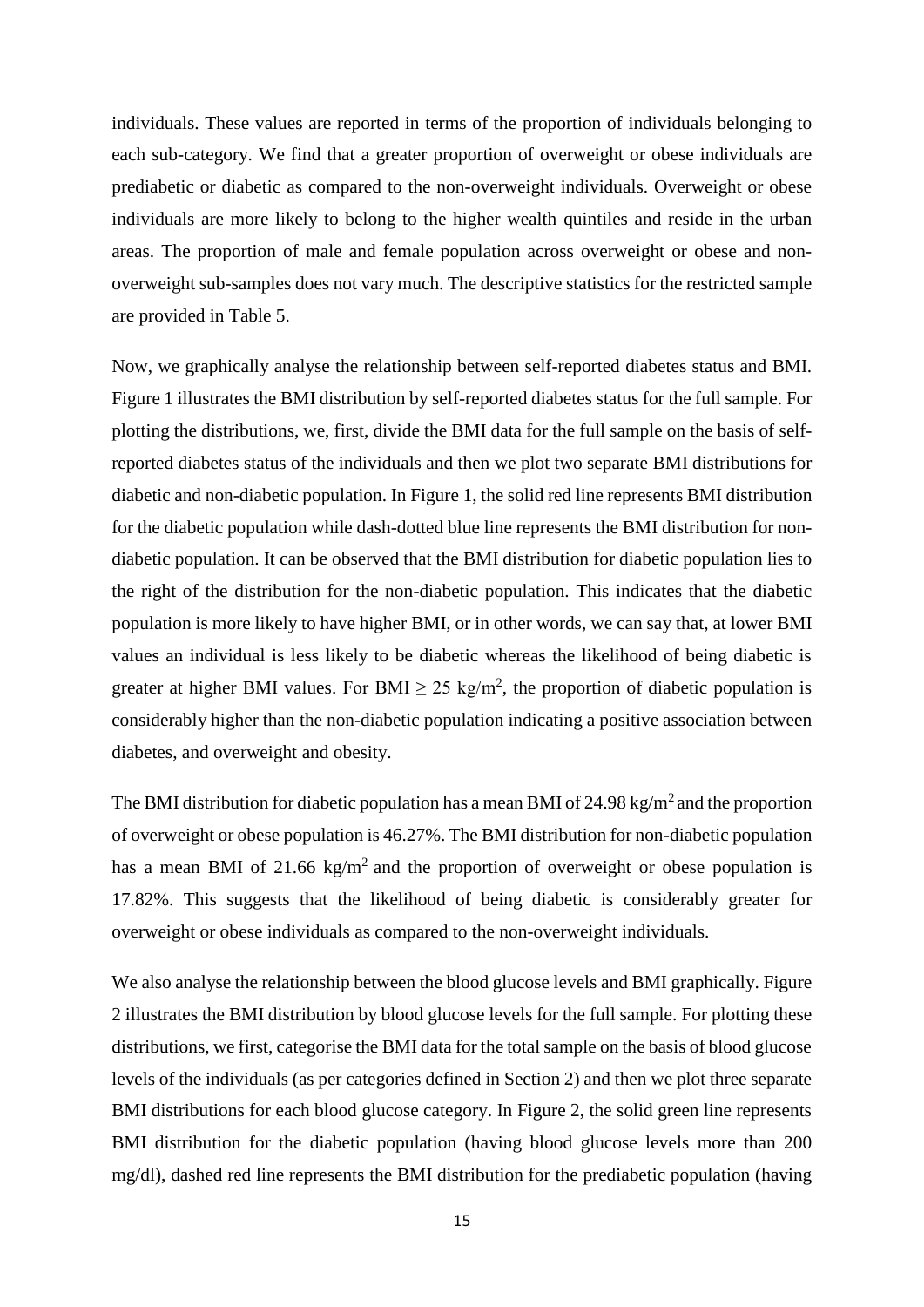individuals. These values are reported in terms of the proportion of individuals belonging to each sub-category. We find that a greater proportion of overweight or obese individuals are prediabetic or diabetic as compared to the non-overweight individuals. Overweight or obese individuals are more likely to belong to the higher wealth quintiles and reside in the urban areas. The proportion of male and female population across overweight or obese and nonoverweight sub-samples does not vary much. The descriptive statistics for the restricted sample are provided in Table 5.

Now, we graphically analyse the relationship between self-reported diabetes status and BMI. Figure 1 illustrates the BMI distribution by self-reported diabetes status for the full sample. For plotting the distributions, we, first, divide the BMI data for the full sample on the basis of selfreported diabetes status of the individuals and then we plot two separate BMI distributions for diabetic and non-diabetic population. In Figure 1, the solid red line represents BMI distribution for the diabetic population while dash-dotted blue line represents the BMI distribution for nondiabetic population. It can be observed that the BMI distribution for diabetic population lies to the right of the distribution for the non-diabetic population. This indicates that the diabetic population is more likely to have higher BMI, or in other words, we can say that, at lower BMI values an individual is less likely to be diabetic whereas the likelihood of being diabetic is greater at higher BMI values. For BMI  $\geq$  25 kg/m<sup>2</sup>, the proportion of diabetic population is considerably higher than the non-diabetic population indicating a positive association between diabetes, and overweight and obesity.

The BMI distribution for diabetic population has a mean BMI of 24.98 kg/m<sup>2</sup> and the proportion of overweight or obese population is 46.27%. The BMI distribution for non-diabetic population has a mean BMI of 21.66 kg/m<sup>2</sup> and the proportion of overweight or obese population is 17.82%. This suggests that the likelihood of being diabetic is considerably greater for overweight or obese individuals as compared to the non-overweight individuals.

We also analyse the relationship between the blood glucose levels and BMI graphically. Figure 2 illustrates the BMI distribution by blood glucose levels for the full sample. For plotting these distributions, we first, categorise the BMI data for the total sample on the basis of blood glucose levels of the individuals (as per categories defined in Section 2) and then we plot three separate BMI distributions for each blood glucose category. In Figure 2, the solid green line represents BMI distribution for the diabetic population (having blood glucose levels more than 200 mg/dl), dashed red line represents the BMI distribution for the prediabetic population (having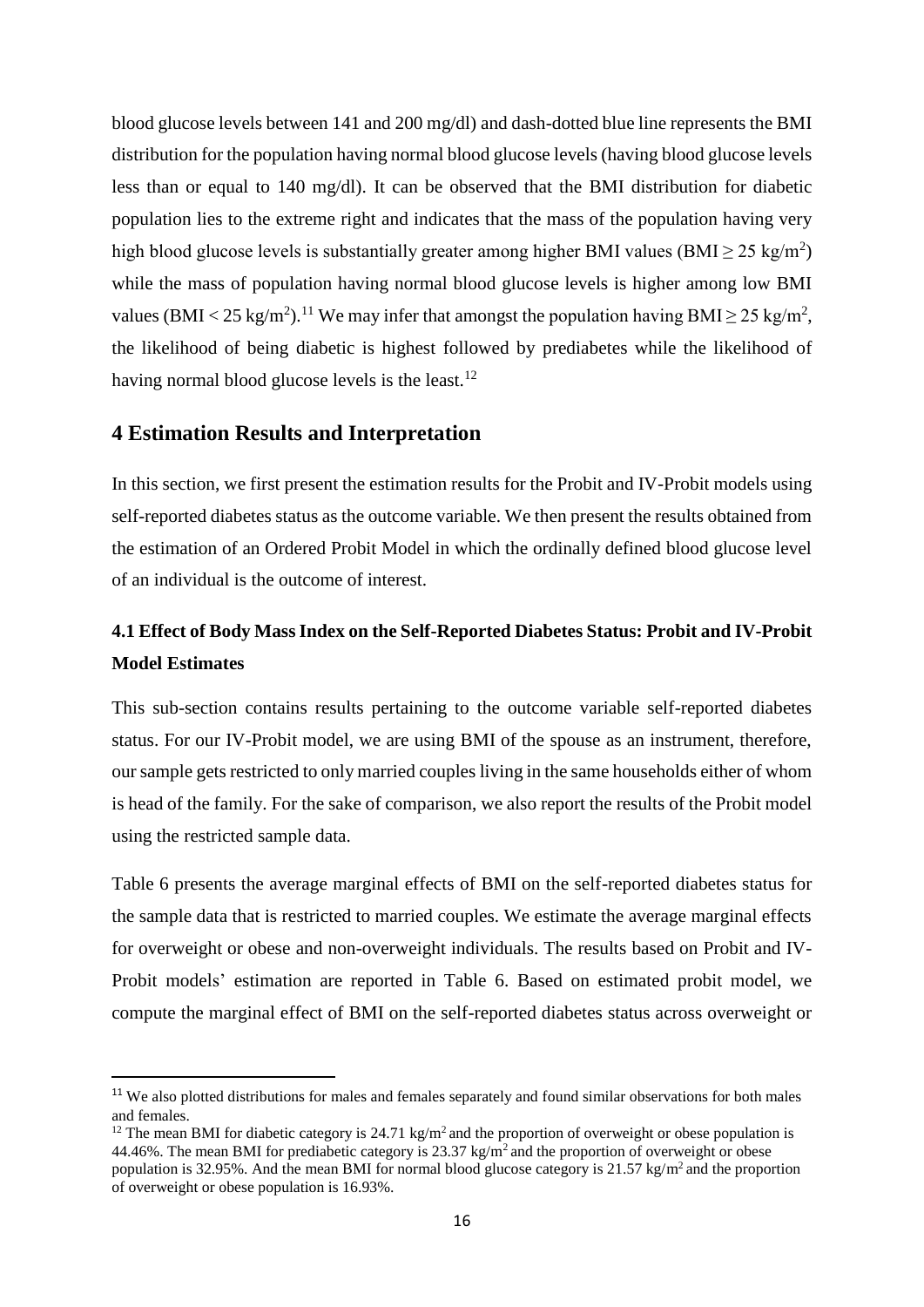blood glucose levels between 141 and 200 mg/dl) and dash-dotted blue line represents the BMI distribution for the population having normal blood glucose levels (having blood glucose levels less than or equal to 140 mg/dl). It can be observed that the BMI distribution for diabetic population lies to the extreme right and indicates that the mass of the population having very high blood glucose levels is substantially greater among higher BMI values (BMI  $\geq$  25 kg/m<sup>2</sup>) while the mass of population having normal blood glucose levels is higher among low BMI values (BMI < 25 kg/m<sup>2</sup>).<sup>11</sup> We may infer that amongst the population having BMI  $\geq$  25 kg/m<sup>2</sup>, the likelihood of being diabetic is highest followed by prediabetes while the likelihood of having normal blood glucose levels is the least.<sup>12</sup>

### **4 Estimation Results and Interpretation**

 $\overline{\phantom{a}}$ 

In this section, we first present the estimation results for the Probit and IV-Probit models using self-reported diabetes status as the outcome variable. We then present the results obtained from the estimation of an Ordered Probit Model in which the ordinally defined blood glucose level of an individual is the outcome of interest.

### **4.1 Effect of Body Mass Index on the Self-Reported Diabetes Status: Probit and IV-Probit Model Estimates**

This sub-section contains results pertaining to the outcome variable self-reported diabetes status. For our IV-Probit model, we are using BMI of the spouse as an instrument, therefore, our sample gets restricted to only married couples living in the same households either of whom is head of the family. For the sake of comparison, we also report the results of the Probit model using the restricted sample data.

Table 6 presents the average marginal effects of BMI on the self-reported diabetes status for the sample data that is restricted to married couples. We estimate the average marginal effects for overweight or obese and non-overweight individuals. The results based on Probit and IV-Probit models' estimation are reported in Table 6. Based on estimated probit model, we compute the marginal effect of BMI on the self-reported diabetes status across overweight or

<sup>&</sup>lt;sup>11</sup> We also plotted distributions for males and females separately and found similar observations for both males and females.

<sup>&</sup>lt;sup>12</sup> The mean BMI for diabetic category is 24.71 kg/m<sup>2</sup> and the proportion of overweight or obese population is 44.46%. The mean BMI for prediabetic category is 23.37 kg/m<sup>2</sup> and the proportion of overweight or obese population is 32.95%. And the mean BMI for normal blood glucose category is 21.57 kg/m<sup>2</sup> and the proportion of overweight or obese population is 16.93%.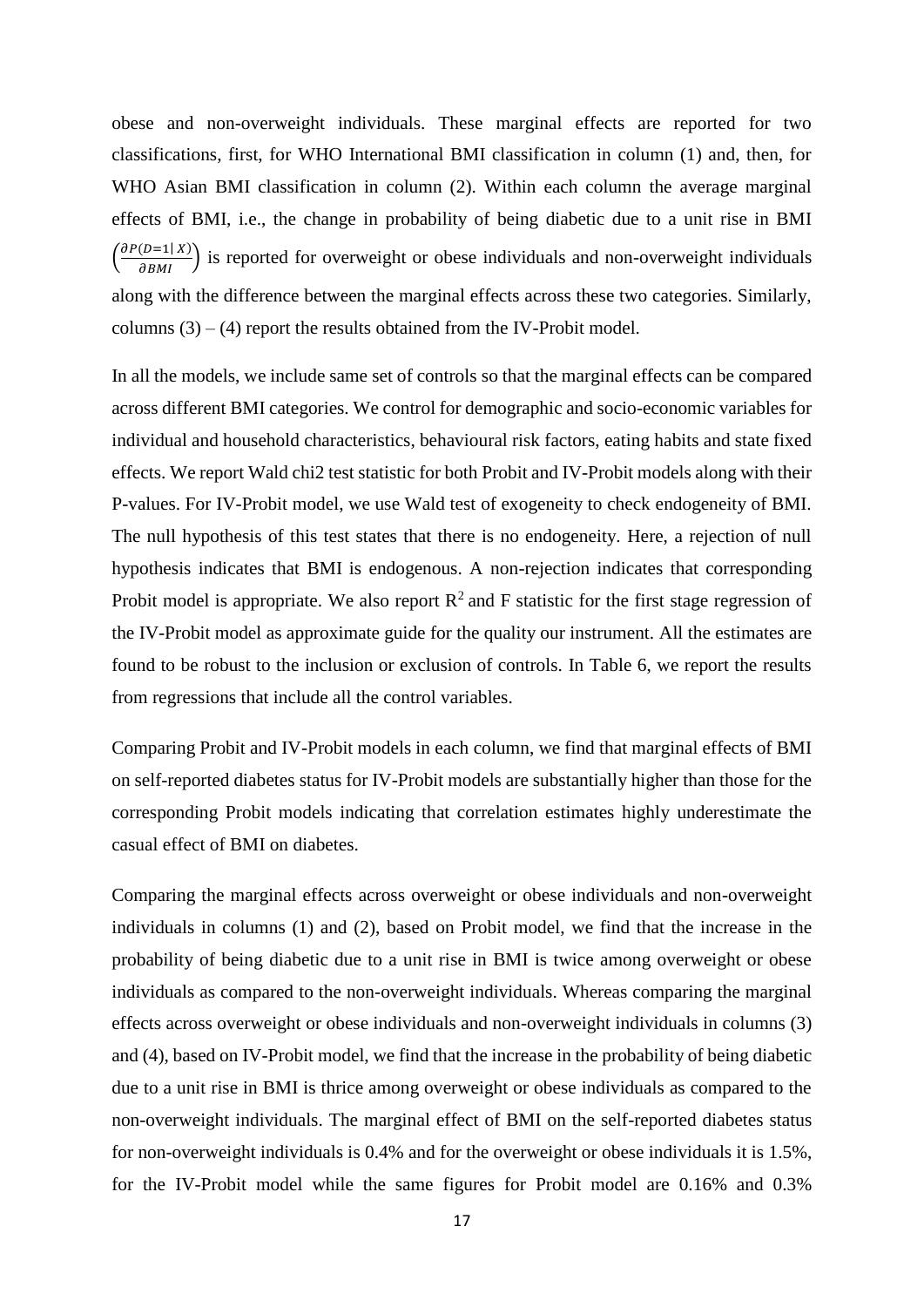obese and non-overweight individuals. These marginal effects are reported for two classifications, first, for WHO International BMI classification in column (1) and, then, for WHO Asian BMI classification in column (2). Within each column the average marginal effects of BMI, i.e., the change in probability of being diabetic due to a unit rise in BMI  $\left(\frac{\partial P(D=1|X)}{\partial BMI}\right)$  is reported for overweight or obese individuals and non-overweight individuals along with the difference between the marginal effects across these two categories. Similarly, columns  $(3) - (4)$  report the results obtained from the IV-Probit model.

In all the models, we include same set of controls so that the marginal effects can be compared across different BMI categories. We control for demographic and socio-economic variables for individual and household characteristics, behavioural risk factors, eating habits and state fixed effects. We report Wald chi2 test statistic for both Probit and IV-Probit models along with their P-values. For IV-Probit model, we use Wald test of exogeneity to check endogeneity of BMI. The null hypothesis of this test states that there is no endogeneity. Here, a rejection of null hypothesis indicates that BMI is endogenous. A non-rejection indicates that corresponding Probit model is appropriate. We also report  $R^2$  and F statistic for the first stage regression of the IV-Probit model as approximate guide for the quality our instrument. All the estimates are found to be robust to the inclusion or exclusion of controls. In Table 6, we report the results from regressions that include all the control variables.

Comparing Probit and IV-Probit models in each column, we find that marginal effects of BMI on self-reported diabetes status for IV-Probit models are substantially higher than those for the corresponding Probit models indicating that correlation estimates highly underestimate the casual effect of BMI on diabetes.

Comparing the marginal effects across overweight or obese individuals and non-overweight individuals in columns (1) and (2), based on Probit model, we find that the increase in the probability of being diabetic due to a unit rise in BMI is twice among overweight or obese individuals as compared to the non-overweight individuals. Whereas comparing the marginal effects across overweight or obese individuals and non-overweight individuals in columns (3) and (4), based on IV-Probit model, we find that the increase in the probability of being diabetic due to a unit rise in BMI is thrice among overweight or obese individuals as compared to the non-overweight individuals. The marginal effect of BMI on the self-reported diabetes status for non-overweight individuals is 0.4% and for the overweight or obese individuals it is 1.5%, for the IV-Probit model while the same figures for Probit model are 0.16% and 0.3%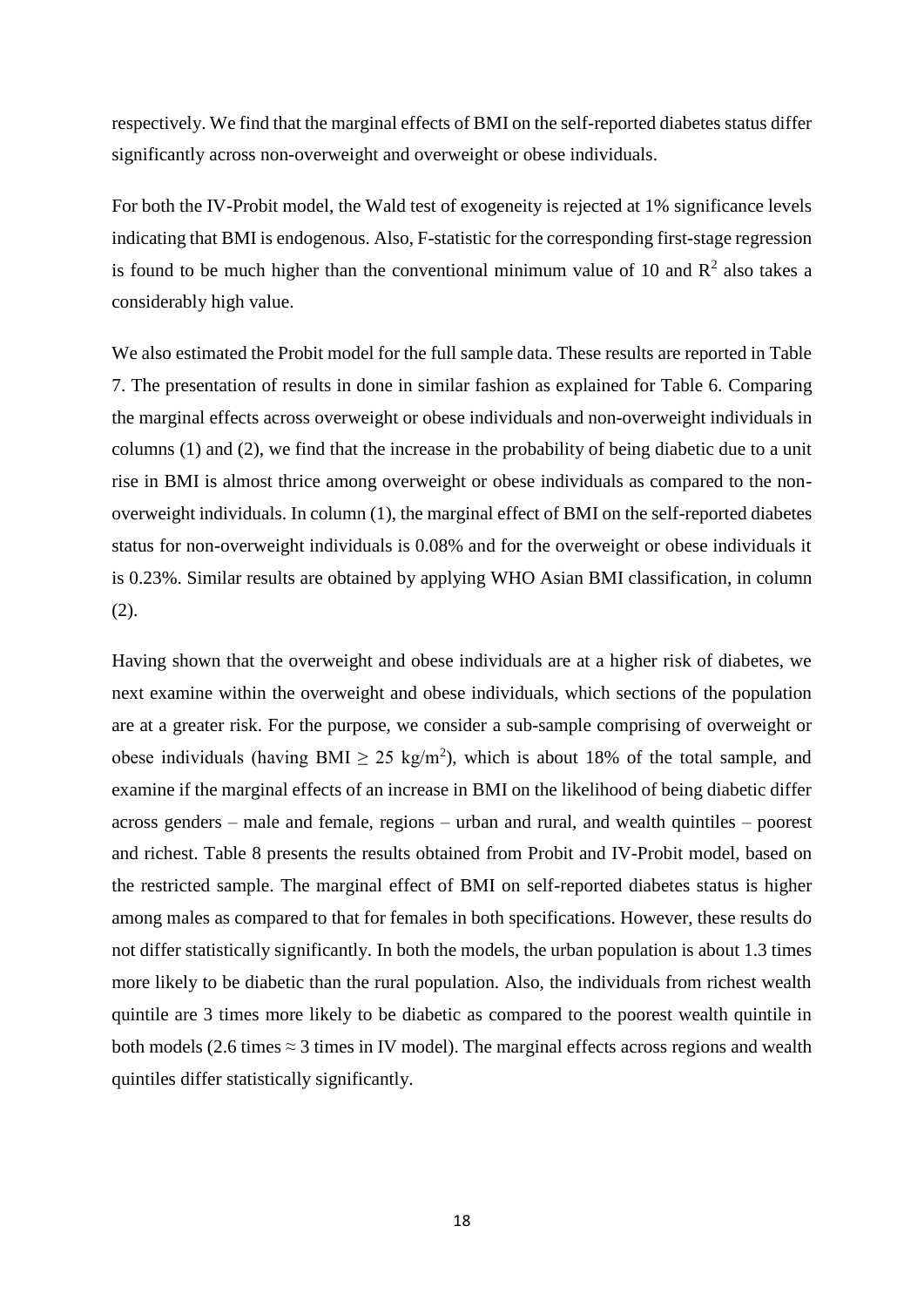respectively. We find that the marginal effects of BMI on the self-reported diabetes status differ significantly across non-overweight and overweight or obese individuals.

For both the IV-Probit model, the Wald test of exogeneity is rejected at 1% significance levels indicating that BMI is endogenous. Also, F-statistic for the corresponding first-stage regression is found to be much higher than the conventional minimum value of 10 and  $\mathbb{R}^2$  also takes a considerably high value.

We also estimated the Probit model for the full sample data. These results are reported in Table 7. The presentation of results in done in similar fashion as explained for Table 6. Comparing the marginal effects across overweight or obese individuals and non-overweight individuals in columns (1) and (2), we find that the increase in the probability of being diabetic due to a unit rise in BMI is almost thrice among overweight or obese individuals as compared to the nonoverweight individuals. In column (1), the marginal effect of BMI on the self-reported diabetes status for non-overweight individuals is 0.08% and for the overweight or obese individuals it is 0.23%. Similar results are obtained by applying WHO Asian BMI classification, in column (2).

Having shown that the overweight and obese individuals are at a higher risk of diabetes, we next examine within the overweight and obese individuals, which sections of the population are at a greater risk. For the purpose, we consider a sub-sample comprising of overweight or obese individuals (having BMI  $\geq$  25 kg/m<sup>2</sup>), which is about 18% of the total sample, and examine if the marginal effects of an increase in BMI on the likelihood of being diabetic differ across genders – male and female, regions – urban and rural, and wealth quintiles – poorest and richest. Table 8 presents the results obtained from Probit and IV-Probit model, based on the restricted sample. The marginal effect of BMI on self-reported diabetes status is higher among males as compared to that for females in both specifications. However, these results do not differ statistically significantly. In both the models, the urban population is about 1.3 times more likely to be diabetic than the rural population. Also, the individuals from richest wealth quintile are 3 times more likely to be diabetic as compared to the poorest wealth quintile in both models (2.6 times  $\approx$  3 times in IV model). The marginal effects across regions and wealth quintiles differ statistically significantly.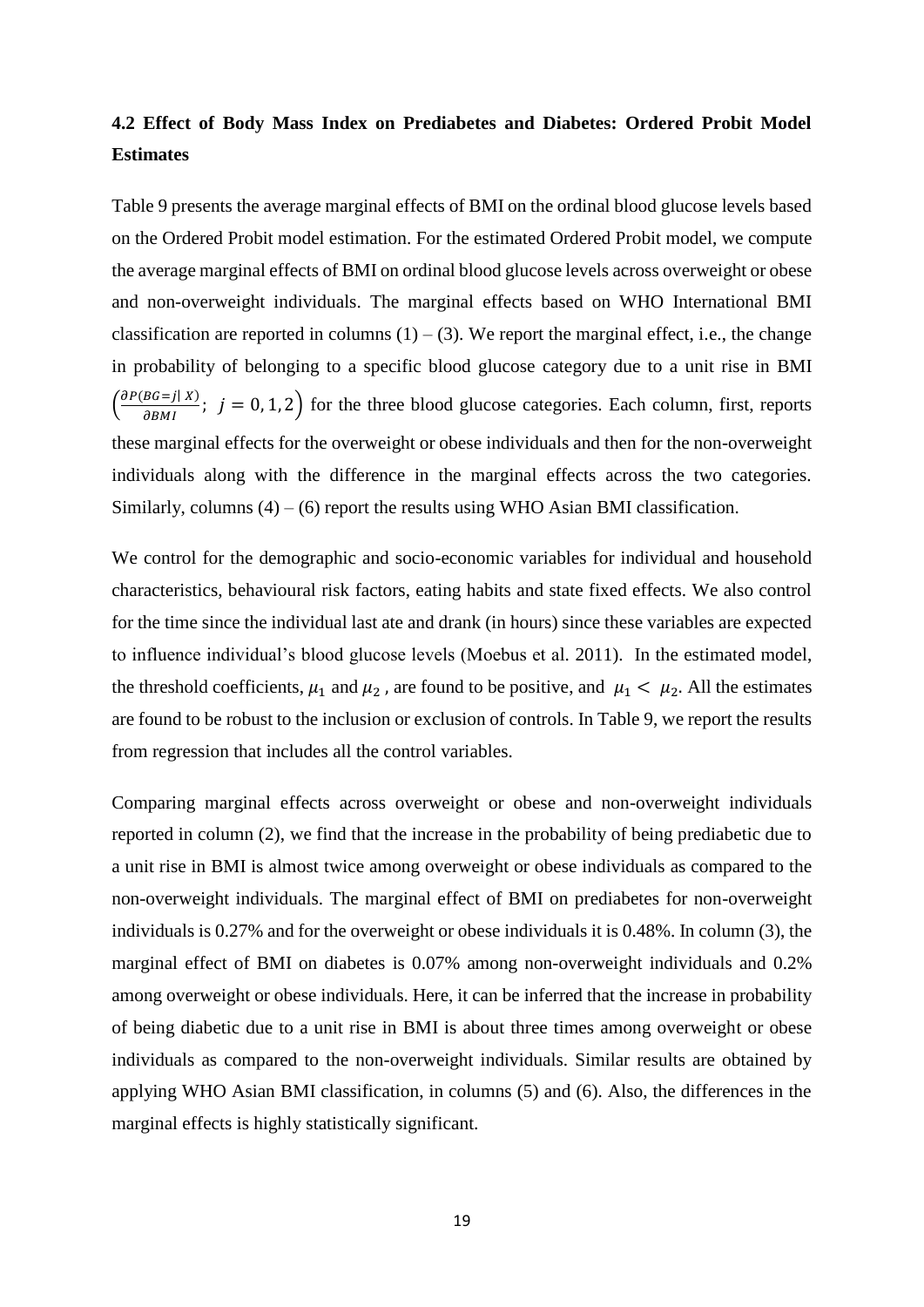### **4.2 Effect of Body Mass Index on Prediabetes and Diabetes: Ordered Probit Model Estimates**

Table 9 presents the average marginal effects of BMI on the ordinal blood glucose levels based on the Ordered Probit model estimation. For the estimated Ordered Probit model, we compute the average marginal effects of BMI on ordinal blood glucose levels across overweight or obese and non-overweight individuals. The marginal effects based on WHO International BMI classification are reported in columns  $(1) - (3)$ . We report the marginal effect, i.e., the change in probability of belonging to a specific blood glucose category due to a unit rise in BMI  $\left(\frac{\partial P(BG=j|X)}{\partial BMI}\right)$ ;  $j = 0, 1, 2$  for the three blood glucose categories. Each column, first, reports these marginal effects for the overweight or obese individuals and then for the non-overweight individuals along with the difference in the marginal effects across the two categories. Similarly, columns  $(4) - (6)$  report the results using WHO Asian BMI classification.

We control for the demographic and socio-economic variables for individual and household characteristics, behavioural risk factors, eating habits and state fixed effects. We also control for the time since the individual last ate and drank (in hours) since these variables are expected to influence individual's blood glucose levels (Moebus et al. 2011). In the estimated model, the threshold coefficients,  $\mu_1$  and  $\mu_2$ , are found to be positive, and  $\mu_1 < \mu_2$ . All the estimates are found to be robust to the inclusion or exclusion of controls. In Table 9, we report the results from regression that includes all the control variables.

Comparing marginal effects across overweight or obese and non-overweight individuals reported in column (2), we find that the increase in the probability of being prediabetic due to a unit rise in BMI is almost twice among overweight or obese individuals as compared to the non-overweight individuals. The marginal effect of BMI on prediabetes for non-overweight individuals is 0.27% and for the overweight or obese individuals it is 0.48%. In column (3), the marginal effect of BMI on diabetes is 0.07% among non-overweight individuals and 0.2% among overweight or obese individuals. Here, it can be inferred that the increase in probability of being diabetic due to a unit rise in BMI is about three times among overweight or obese individuals as compared to the non-overweight individuals. Similar results are obtained by applying WHO Asian BMI classification, in columns (5) and (6). Also, the differences in the marginal effects is highly statistically significant.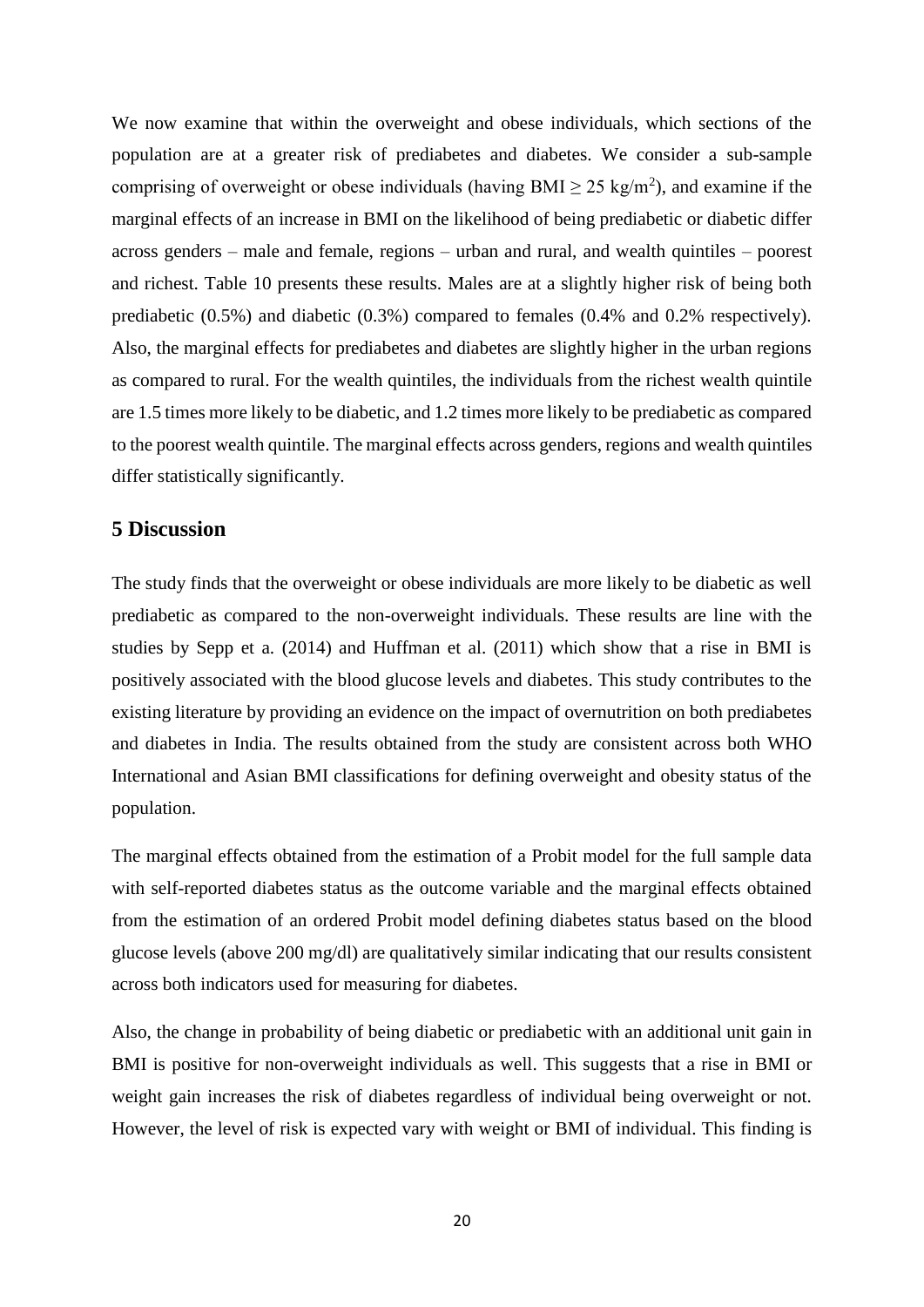We now examine that within the overweight and obese individuals, which sections of the population are at a greater risk of prediabetes and diabetes. We consider a sub-sample comprising of overweight or obese individuals (having BMI  $\geq$  25 kg/m<sup>2</sup>), and examine if the marginal effects of an increase in BMI on the likelihood of being prediabetic or diabetic differ across genders – male and female, regions – urban and rural, and wealth quintiles – poorest and richest. Table 10 presents these results. Males are at a slightly higher risk of being both prediabetic (0.5%) and diabetic (0.3%) compared to females (0.4% and 0.2% respectively). Also, the marginal effects for prediabetes and diabetes are slightly higher in the urban regions as compared to rural. For the wealth quintiles, the individuals from the richest wealth quintile are 1.5 times more likely to be diabetic, and 1.2 times more likely to be prediabetic as compared to the poorest wealth quintile. The marginal effects across genders, regions and wealth quintiles differ statistically significantly.

### **5 Discussion**

The study finds that the overweight or obese individuals are more likely to be diabetic as well prediabetic as compared to the non-overweight individuals. These results are line with the studies by Sepp et a. (2014) and Huffman et al. (2011) which show that a rise in BMI is positively associated with the blood glucose levels and diabetes. This study contributes to the existing literature by providing an evidence on the impact of overnutrition on both prediabetes and diabetes in India. The results obtained from the study are consistent across both WHO International and Asian BMI classifications for defining overweight and obesity status of the population.

The marginal effects obtained from the estimation of a Probit model for the full sample data with self-reported diabetes status as the outcome variable and the marginal effects obtained from the estimation of an ordered Probit model defining diabetes status based on the blood glucose levels (above 200 mg/dl) are qualitatively similar indicating that our results consistent across both indicators used for measuring for diabetes.

Also, the change in probability of being diabetic or prediabetic with an additional unit gain in BMI is positive for non-overweight individuals as well. This suggests that a rise in BMI or weight gain increases the risk of diabetes regardless of individual being overweight or not. However, the level of risk is expected vary with weight or BMI of individual. This finding is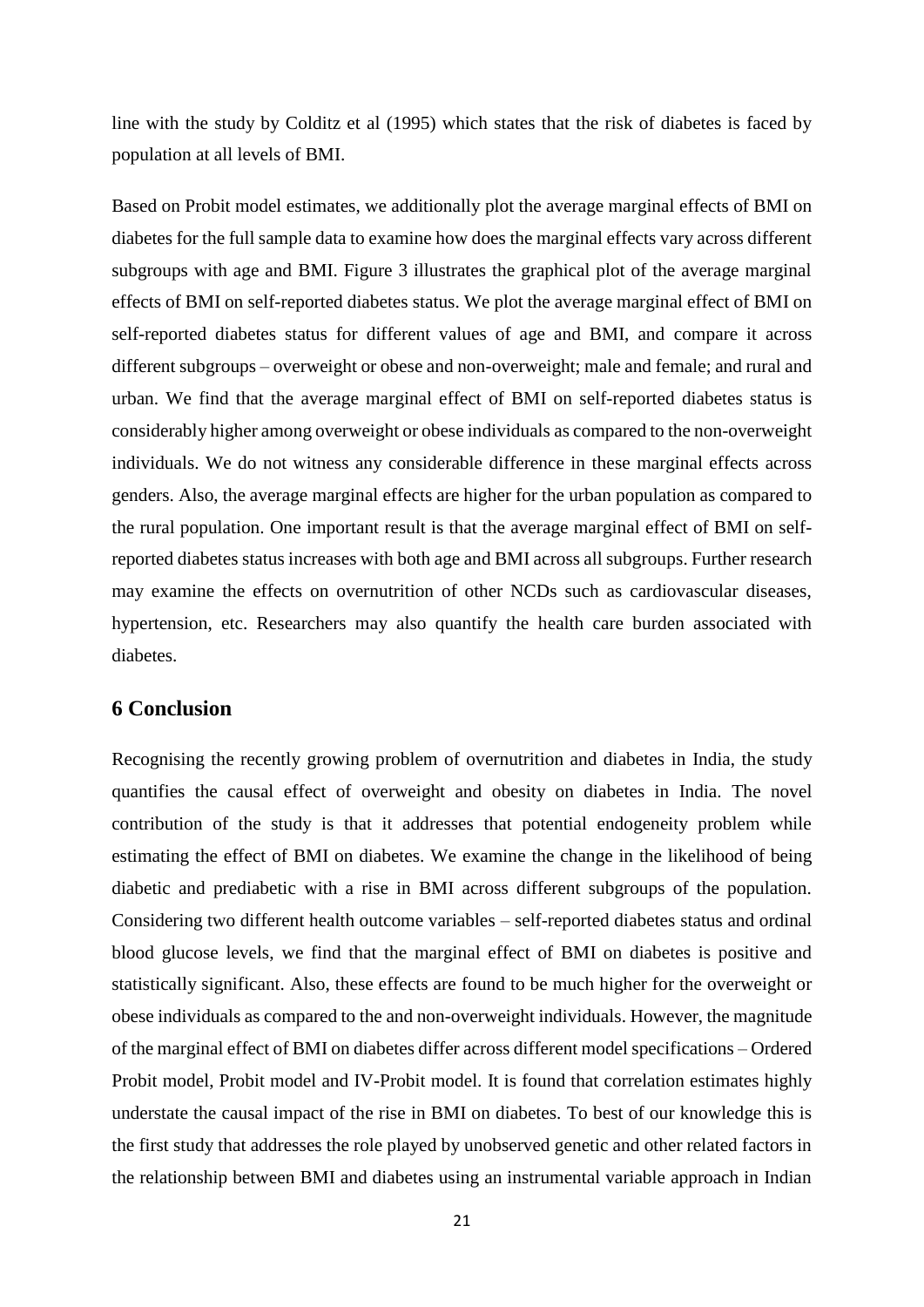line with the study by Colditz et al (1995) which states that the risk of diabetes is faced by population at all levels of BMI.

Based on Probit model estimates, we additionally plot the average marginal effects of BMI on diabetes for the full sample data to examine how does the marginal effects vary across different subgroups with age and BMI. Figure 3 illustrates the graphical plot of the average marginal effects of BMI on self-reported diabetes status. We plot the average marginal effect of BMI on self-reported diabetes status for different values of age and BMI, and compare it across different subgroups – overweight or obese and non-overweight; male and female; and rural and urban. We find that the average marginal effect of BMI on self-reported diabetes status is considerably higher among overweight or obese individuals as compared to the non-overweight individuals. We do not witness any considerable difference in these marginal effects across genders. Also, the average marginal effects are higher for the urban population as compared to the rural population. One important result is that the average marginal effect of BMI on selfreported diabetes status increases with both age and BMI across all subgroups. Further research may examine the effects on overnutrition of other NCDs such as cardiovascular diseases, hypertension, etc. Researchers may also quantify the health care burden associated with diabetes.

### **6 Conclusion**

Recognising the recently growing problem of overnutrition and diabetes in India, the study quantifies the causal effect of overweight and obesity on diabetes in India. The novel contribution of the study is that it addresses that potential endogeneity problem while estimating the effect of BMI on diabetes. We examine the change in the likelihood of being diabetic and prediabetic with a rise in BMI across different subgroups of the population. Considering two different health outcome variables – self-reported diabetes status and ordinal blood glucose levels, we find that the marginal effect of BMI on diabetes is positive and statistically significant. Also, these effects are found to be much higher for the overweight or obese individuals as compared to the and non-overweight individuals. However, the magnitude of the marginal effect of BMI on diabetes differ across different model specifications – Ordered Probit model, Probit model and IV-Probit model. It is found that correlation estimates highly understate the causal impact of the rise in BMI on diabetes. To best of our knowledge this is the first study that addresses the role played by unobserved genetic and other related factors in the relationship between BMI and diabetes using an instrumental variable approach in Indian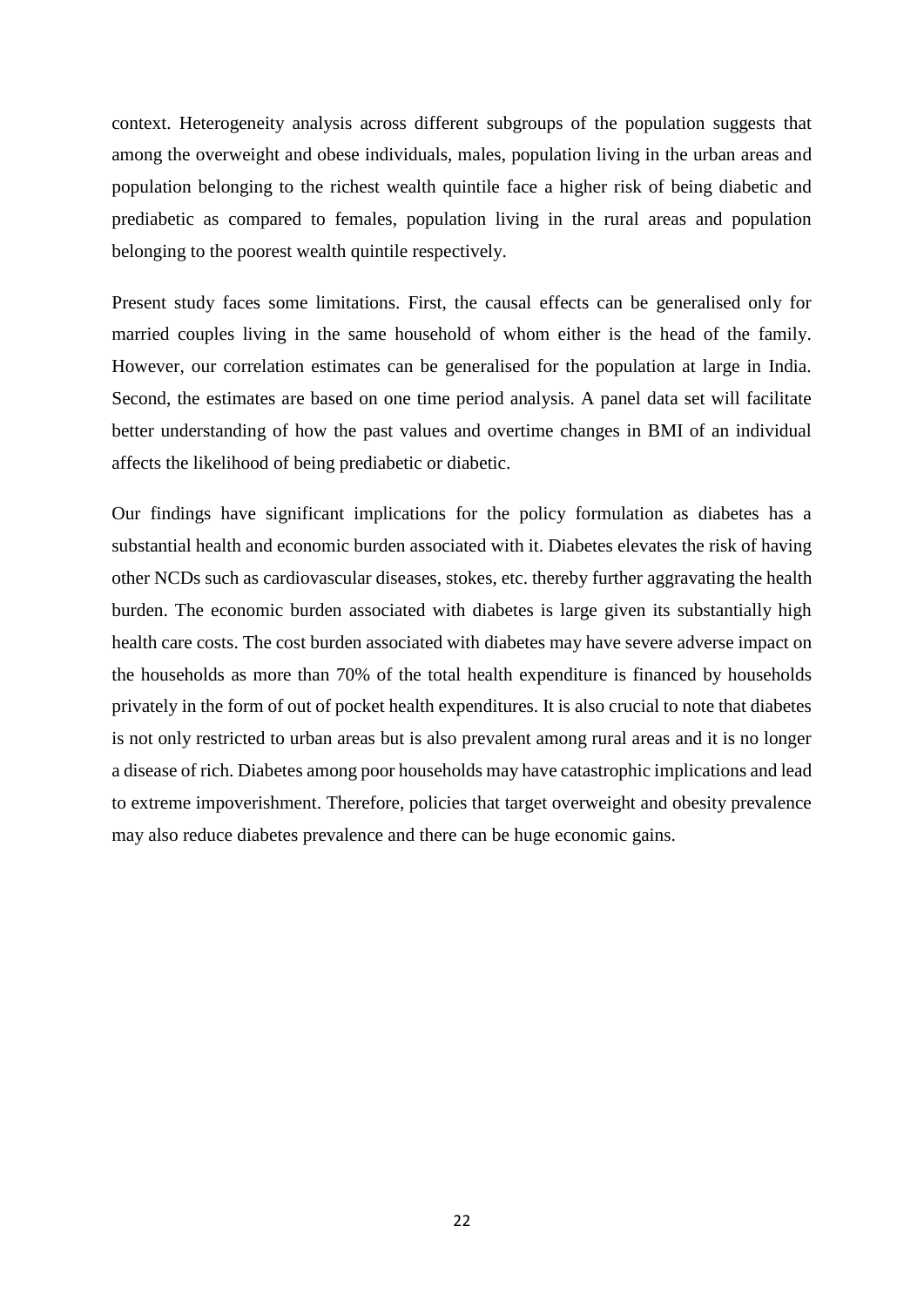context. Heterogeneity analysis across different subgroups of the population suggests that among the overweight and obese individuals, males, population living in the urban areas and population belonging to the richest wealth quintile face a higher risk of being diabetic and prediabetic as compared to females, population living in the rural areas and population belonging to the poorest wealth quintile respectively.

Present study faces some limitations. First, the causal effects can be generalised only for married couples living in the same household of whom either is the head of the family. However, our correlation estimates can be generalised for the population at large in India. Second, the estimates are based on one time period analysis. A panel data set will facilitate better understanding of how the past values and overtime changes in BMI of an individual affects the likelihood of being prediabetic or diabetic.

Our findings have significant implications for the policy formulation as diabetes has a substantial health and economic burden associated with it. Diabetes elevates the risk of having other NCDs such as cardiovascular diseases, stokes, etc. thereby further aggravating the health burden. The economic burden associated with diabetes is large given its substantially high health care costs. The cost burden associated with diabetes may have severe adverse impact on the households as more than 70% of the total health expenditure is financed by households privately in the form of out of pocket health expenditures. It is also crucial to note that diabetes is not only restricted to urban areas but is also prevalent among rural areas and it is no longer a disease of rich. Diabetes among poor households may have catastrophic implications and lead to extreme impoverishment. Therefore, policies that target overweight and obesity prevalence may also reduce diabetes prevalence and there can be huge economic gains.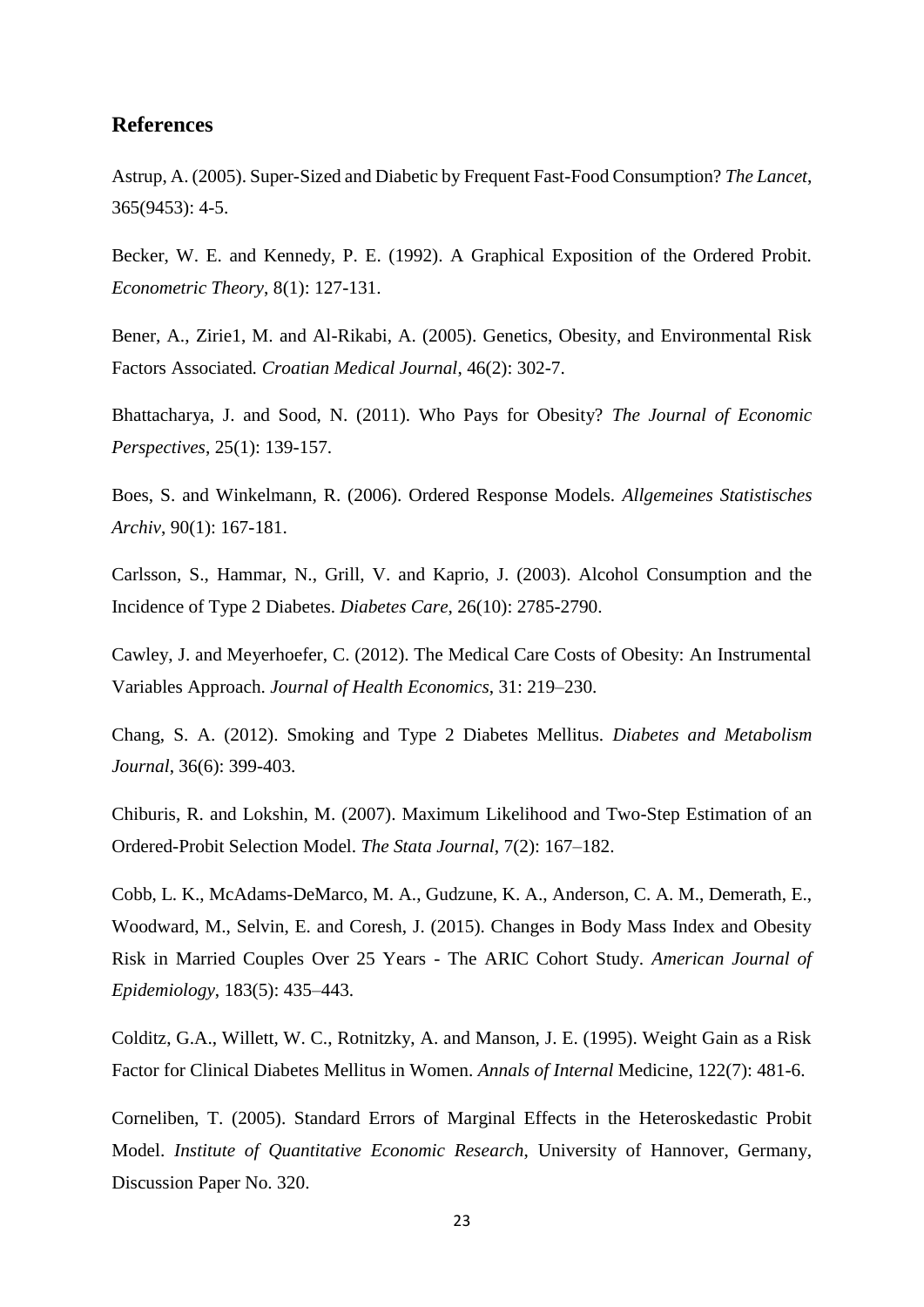### **References**

Astrup, A. (2005). Super-Sized and Diabetic by Frequent Fast-Food Consumption? *The Lancet*, 365(9453): 4-5.

Becker, W. E. and Kennedy, P. E. (1992). A Graphical Exposition of the Ordered Probit. *Econometric Theory*, 8(1): 127-131.

Bener, A., Zirie1, M. and Al-Rikabi, A. (2005). Genetics, Obesity, and Environmental Risk Factors Associated*. Croatian Medical Journal*, 46(2): 302-7.

Bhattacharya, J. and Sood, N. (2011). Who Pays for Obesity? *The Journal of Economic Perspectives*, 25(1): 139-157.

Boes, S. and Winkelmann, R. (2006). Ordered Response Models. *Allgemeines Statistisches Archiv*, 90(1): 167-181.

Carlsson, S., Hammar, N., Grill, V. and Kaprio, J. (2003). Alcohol Consumption and the Incidence of Type 2 Diabetes. *Diabetes Care*, 26(10): 2785-2790.

Cawley, J. and Meyerhoefer, C. (2012). The Medical Care Costs of Obesity: An Instrumental Variables Approach. *Journal of Health Economics*, 31: 219–230.

Chang, S. A. (2012). Smoking and Type 2 Diabetes Mellitus. *Diabetes and Metabolism Journal*, 36(6): 399-403.

Chiburis, R. and Lokshin, M. (2007). Maximum Likelihood and Two-Step Estimation of an Ordered-Probit Selection Model. *The Stata Journal*, 7(2): 167–182.

Cobb, L. K., McAdams-DeMarco, M. A., Gudzune, K. A., Anderson, C. A. M., Demerath, E., Woodward, M., Selvin, E. and Coresh, J. (2015). Changes in Body Mass Index and Obesity Risk in Married Couples Over 25 Years - The ARIC Cohort Study. *American Journal of Epidemiology*, 183(5): 435–443.

Colditz, G.A., Willett, W. C., Rotnitzky, A. and Manson, J. E. (1995). Weight Gain as a Risk Factor for Clinical Diabetes Mellitus in Women. *Annals of Internal* Medicine, 122(7): 481-6.

Corneliben, T. (2005). Standard Errors of Marginal Effects in the Heteroskedastic Probit Model. *Institute of Quantitative Economic Research*, University of Hannover, Germany, Discussion Paper No. 320.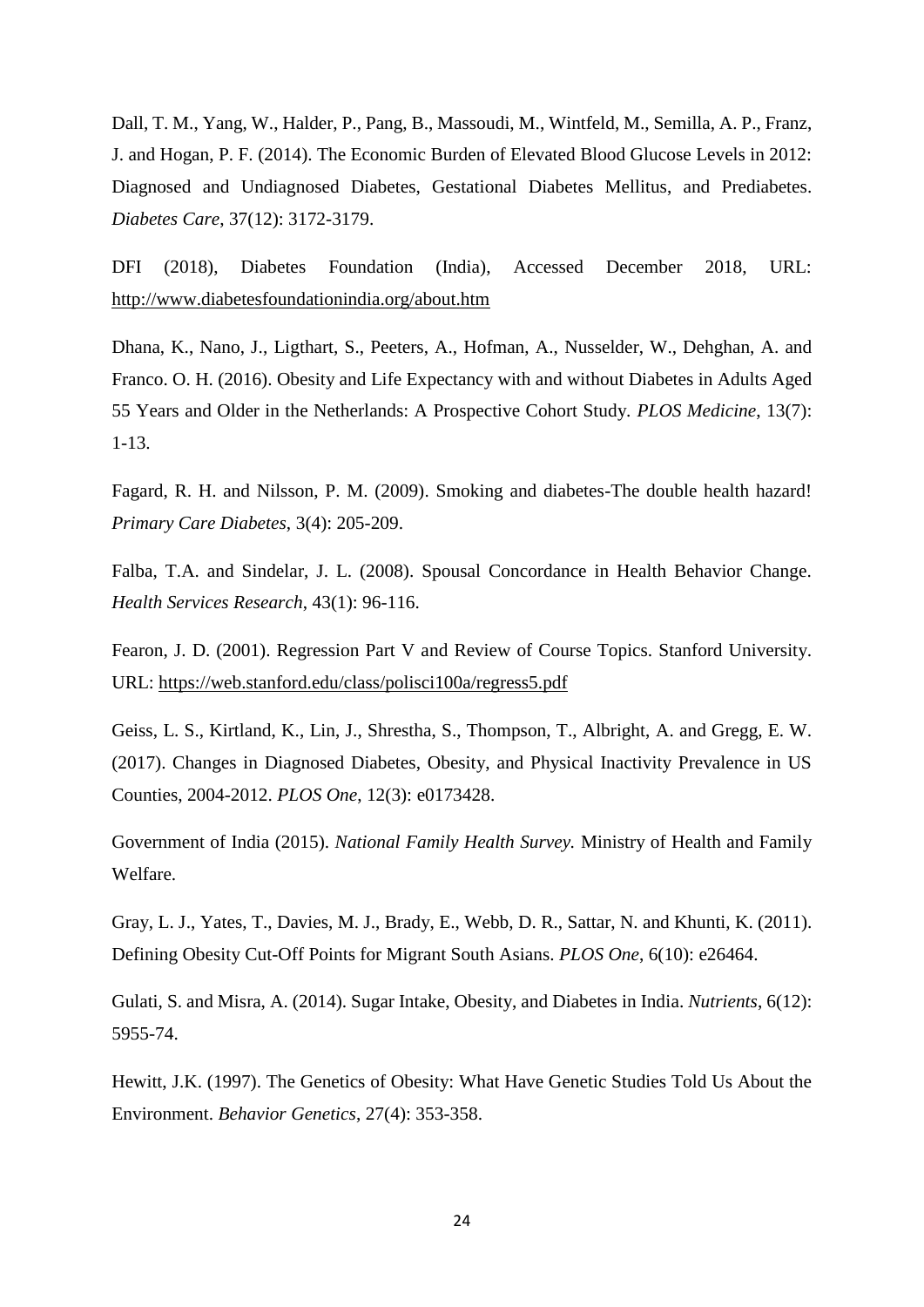Dall, T. M., Yang, W., Halder, P., Pang, B., Massoudi, M., Wintfeld, M., Semilla, A. P., Franz, J. and Hogan, P. F. (2014). The Economic Burden of Elevated Blood Glucose Levels in 2012: Diagnosed and Undiagnosed Diabetes, Gestational Diabetes Mellitus, and Prediabetes. *Diabetes Care*, 37(12): 3172-3179.

DFI (2018), Diabetes Foundation (India), Accessed December 2018, URL: <http://www.diabetesfoundationindia.org/about.htm>

Dhana, K., Nano, J., Ligthart, S., Peeters, A., Hofman, A., Nusselder, W., Dehghan, A. and Franco. O. H. (2016). Obesity and Life Expectancy with and without Diabetes in Adults Aged 55 Years and Older in the Netherlands: A Prospective Cohort Study. *PLOS Medicine*, 13(7): 1-13.

Fagard, R. H. and Nilsson, P. M. (2009). Smoking and diabetes-The double health hazard! *Primary Care Diabetes*, 3(4): 205-209.

Falba, T.A. and Sindelar, J. L. (2008). Spousal Concordance in Health Behavior Change. *Health Services Research*, 43(1): 96-116.

Fearon, J. D. (2001). Regression Part V and Review of Course Topics. Stanford University. URL:<https://web.stanford.edu/class/polisci100a/regress5.pdf>

Geiss, L. S., Kirtland, K., Lin, J., Shrestha, S., Thompson, T., Albright, A. and Gregg, E. W. (2017). Changes in Diagnosed Diabetes, Obesity, and Physical Inactivity Prevalence in US Counties, 2004-2012. *PLOS One*, 12(3): e0173428.

Government of India (2015). *National Family Health Survey.* Ministry of Health and Family Welfare.

Gray, L. J., Yates, T., Davies, M. J., Brady, E., Webb, D. R., Sattar, N. and Khunti, K. (2011). Defining Obesity Cut-Off Points for Migrant South Asians. *PLOS One*, 6(10): e26464.

Gulati, S. and Misra, A. (2014). Sugar Intake, Obesity, and Diabetes in India. *Nutrients*, 6(12): 5955-74.

Hewitt, J.K. (1997). The Genetics of Obesity: What Have Genetic Studies Told Us About the Environment. *Behavior Genetics*, 27(4): 353-358.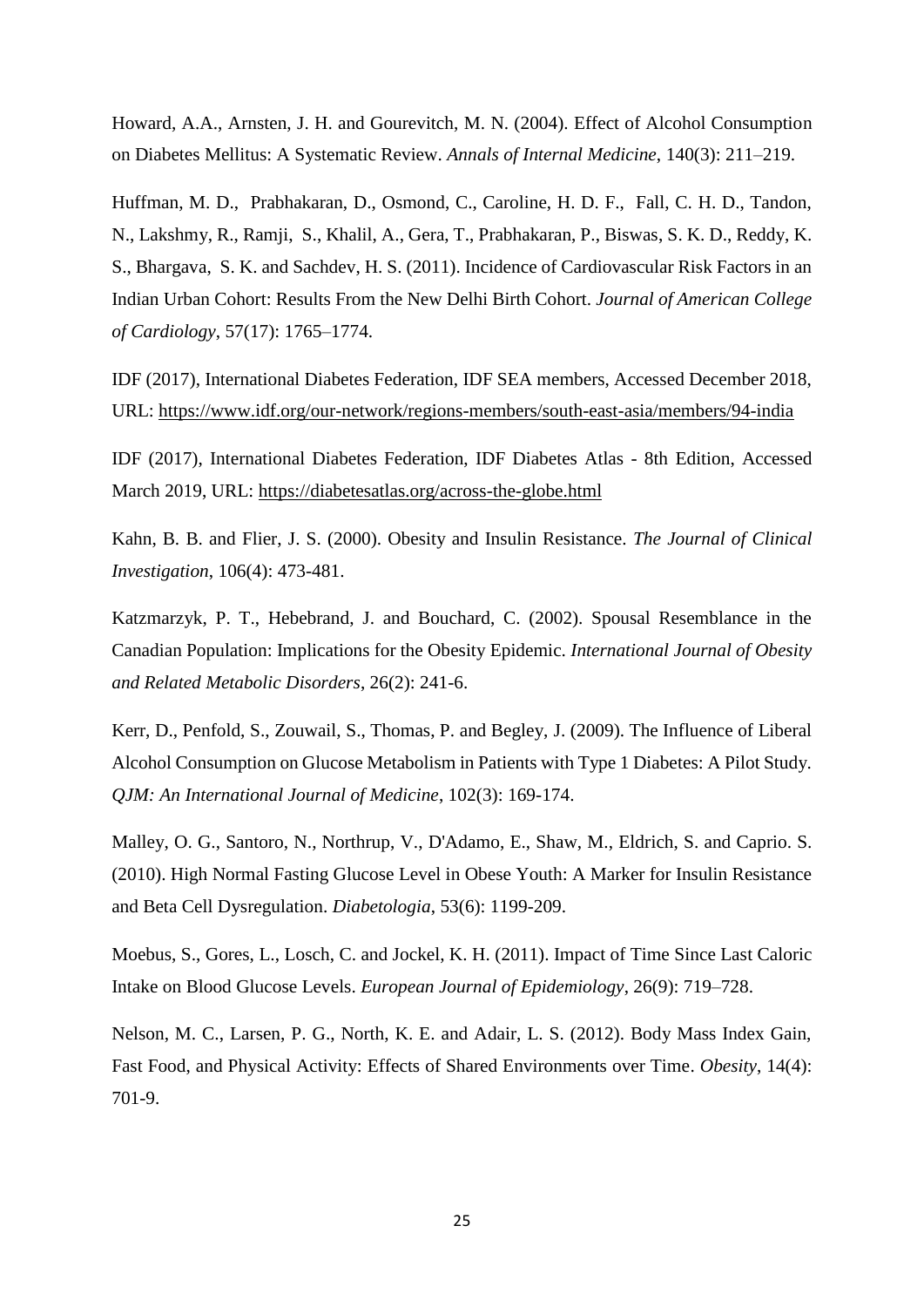Howard, A.A., Arnsten, J. H. and Gourevitch, M. N. (2004). Effect of Alcohol Consumption on Diabetes Mellitus: A Systematic Review. *Annals of Internal Medicine*, 140(3): 211–219.

Huffman, M. D., Prabhakaran, D., Osmond, C., Caroline, H. D. F., Fall, C. H. D., Tandon, N., Lakshmy, R., Ramji, S., Khalil, A., Gera, T., Prabhakaran, P., Biswas, S. K. D., Reddy, K. S., Bhargava, S. K. and Sachdev, H. S. (2011). Incidence of Cardiovascular Risk Factors in an Indian Urban Cohort: Results From the New Delhi Birth Cohort. *Journal of American College of Cardiology*, 57(17): 1765–1774.

IDF (2017), International Diabetes Federation, IDF SEA members, Accessed December 2018, URL:<https://www.idf.org/our-network/regions-members/south-east-asia/members/94-india>

IDF (2017), International Diabetes Federation, IDF Diabetes Atlas - 8th Edition, Accessed March 2019, URL:<https://diabetesatlas.org/across-the-globe.html>

Kahn, B. B. and Flier, J. S. (2000). Obesity and Insulin Resistance. *The Journal of Clinical Investigation*, 106(4): 473-481.

Katzmarzyk, P. T., Hebebrand, J. and Bouchard, C. (2002). Spousal Resemblance in the Canadian Population: Implications for the Obesity Epidemic. *International Journal of Obesity and Related Metabolic Disorders*, 26(2): 241-6.

Kerr, D., Penfold, S., Zouwail, S., Thomas, P. and Begley, J. (2009). The Influence of Liberal Alcohol Consumption on Glucose Metabolism in Patients with Type 1 Diabetes: A Pilot Study. *QJM: An International Journal of Medicine*, 102(3): 169-174.

Malley, O. G., Santoro, N., Northrup, V., D'Adamo, E., Shaw, M., Eldrich, S. and Caprio. S. (2010). High Normal Fasting Glucose Level in Obese Youth: A Marker for Insulin Resistance and Beta Cell Dysregulation. *Diabetologia*, 53(6): 1199-209.

Moebus, S., Gores, L., Losch, C. and Jockel, K. H. (2011). Impact of Time Since Last Caloric Intake on Blood Glucose Levels. *European Journal of Epidemiology*, 26(9): 719–728.

Nelson, M. C., Larsen, P. G., North, K. E. and Adair, L. S. (2012). Body Mass Index Gain, Fast Food, and Physical Activity: Effects of Shared Environments over Time. *Obesity*, 14(4): 701-9.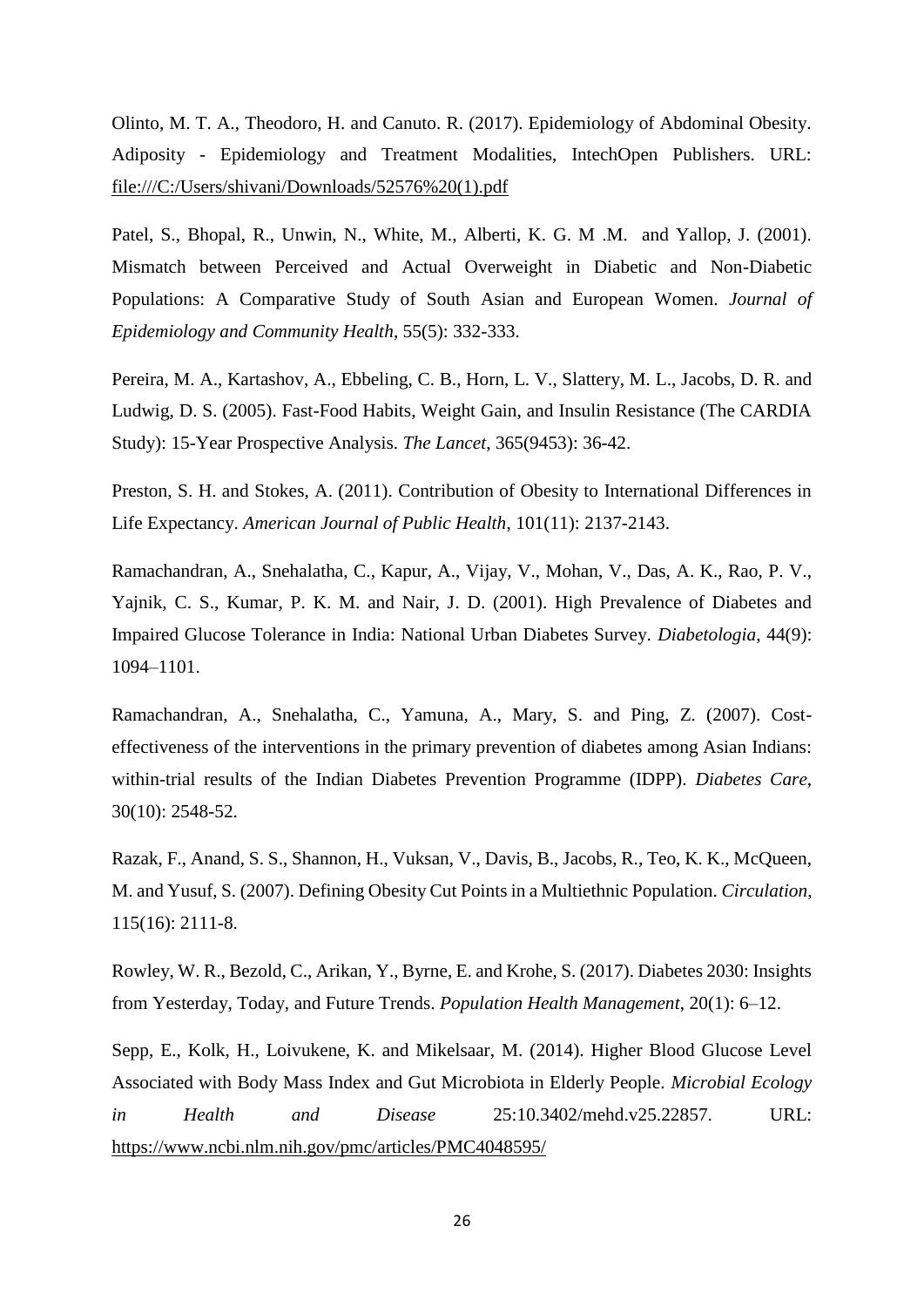Olinto, M. T. A., Theodoro, H. and Canuto. R. (2017). Epidemiology of Abdominal Obesity. Adiposity - Epidemiology and Treatment Modalities, IntechOpen Publishers. URL: [file:///C:/Users/shivani/Downloads/52576%20\(1\).pdf](file:///C:/Users/shivani/Downloads/52576%20(1).pdf)

Patel, S., Bhopal, R., Unwin, N., White, M., Alberti, K. G. M .M. and Yallop, J. (2001). Mismatch between Perceived and Actual Overweight in Diabetic and Non-Diabetic Populations: A Comparative Study of South Asian and European Women. *Journal of Epidemiology and Community Health*, 55(5): 332-333.

Pereira, M. A., Kartashov, A., Ebbeling, C. B., Horn, L. V., Slattery, M. L., Jacobs, D. R. and Ludwig, D. S. (2005). Fast-Food Habits, Weight Gain, and Insulin Resistance (The CARDIA Study): 15-Year Prospective Analysis. *The Lancet*, 365(9453): 36-42.

Preston, S. H. and Stokes, A. (2011). Contribution of Obesity to International Differences in Life Expectancy. *American Journal of Public Health*, 101(11): 2137-2143.

Ramachandran, A., Snehalatha, C., Kapur, A., Vijay, V., Mohan, V., Das, A. K., Rao, P. V., Yajnik, C. S., Kumar, P. K. M. and Nair, J. D. (2001). High Prevalence of Diabetes and Impaired Glucose Tolerance in India: National Urban Diabetes Survey. *Diabetologia*, 44(9): 1094–1101.

Ramachandran, A., Snehalatha, C., Yamuna, A., Mary, S. and Ping, Z. (2007). Costeffectiveness of the interventions in the primary prevention of diabetes among Asian Indians: within-trial results of the Indian Diabetes Prevention Programme (IDPP). *Diabetes Care*, 30(10): 2548-52.

Razak, F., Anand, S. S., Shannon, H., Vuksan, V., Davis, B., Jacobs, R., Teo, K. K., McQueen, M. and Yusuf, S. (2007). Defining Obesity Cut Points in a Multiethnic Population. *Circulation*, 115(16): 2111-8.

Rowley, W. R., Bezold, C., Arikan, Y., Byrne, E. and Krohe, S. (2017). Diabetes 2030: Insights from Yesterday, Today, and Future Trends. *Population Health Management*, 20(1): 6–12.

Sepp, E., Kolk, H., Loivukene, K. and Mikelsaar, M. (2014). Higher Blood Glucose Level Associated with Body Mass Index and Gut Microbiota in Elderly People. *Microbial Ecology in Health and Disease* 25:10.3402/mehd.v25.22857. URL: <https://www.ncbi.nlm.nih.gov/pmc/articles/PMC4048595/>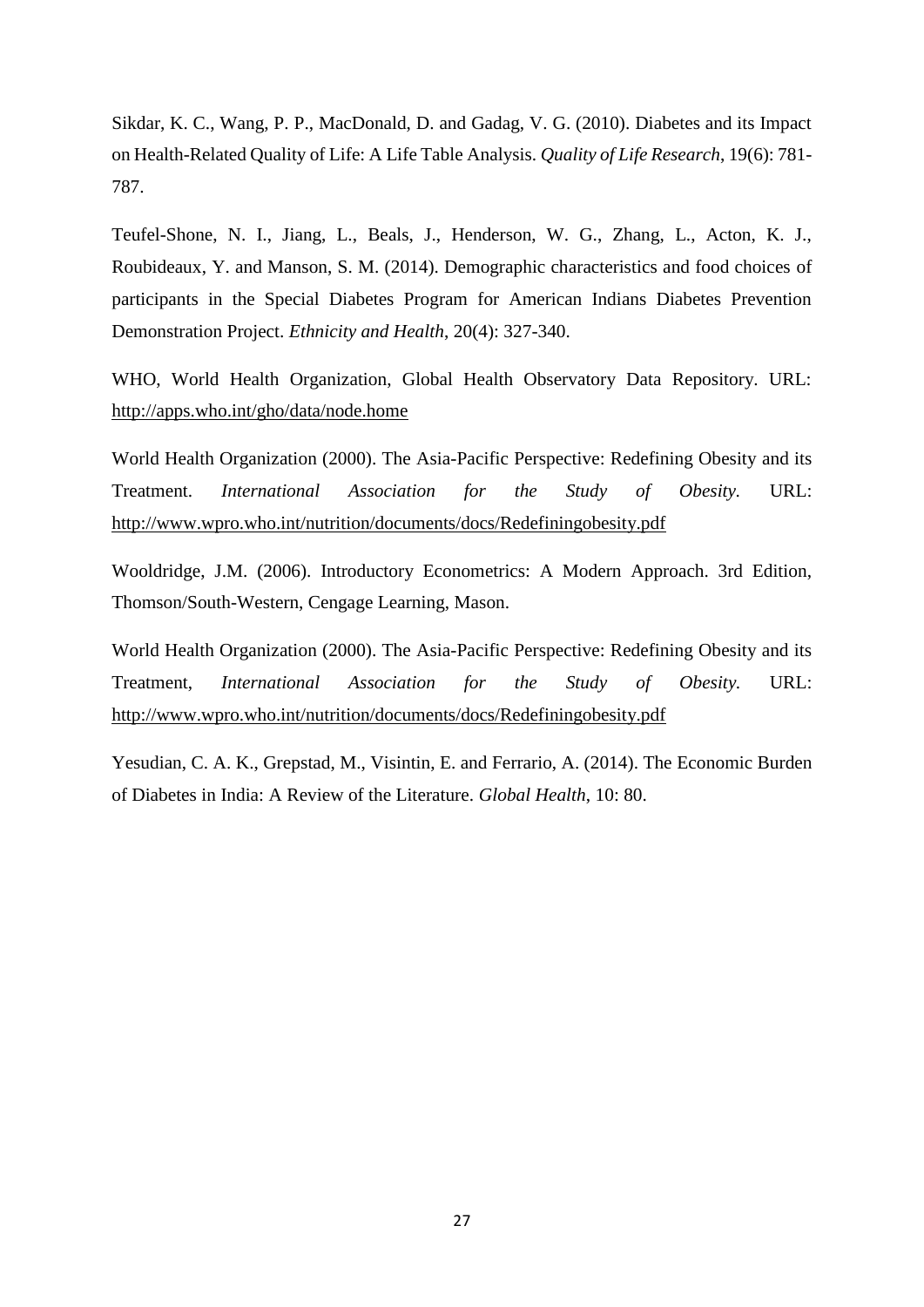Sikdar, K. C., Wang, P. P., MacDonald, D. and Gadag, V. G. (2010). Diabetes and its Impact on Health-Related Quality of Life: A Life Table Analysis. *Quality of Life Research*, 19(6): 781- 787.

Teufel-Shone, N. I., Jiang, L., Beals, J., Henderson, W. G., Zhang, L., Acton, K. J., Roubideaux, Y. and Manson, S. M. (2014). Demographic characteristics and food choices of participants in the Special Diabetes Program for American Indians Diabetes Prevention Demonstration Project. *Ethnicity and Health*, 20(4): 327-340.

WHO, World Health Organization, Global Health Observatory Data Repository. URL: <http://apps.who.int/gho/data/node.home>

World Health Organization (2000). The Asia-Pacific Perspective: Redefining Obesity and its Treatment. *International Association for the Study of Obesity.* URL: <http://www.wpro.who.int/nutrition/documents/docs/Redefiningobesity.pdf>

Wooldridge, J.M. (2006). Introductory Econometrics: A Modern Approach. 3rd Edition, Thomson/South-Western, Cengage Learning, Mason.

World Health Organization (2000). The Asia-Pacific Perspective: Redefining Obesity and its Treatment, *International Association for the Study of Obesity.* URL: <http://www.wpro.who.int/nutrition/documents/docs/Redefiningobesity.pdf>

Yesudian, C. A. K., Grepstad, M., Visintin, E. and Ferrario, A. (2014). The Economic Burden of Diabetes in India: A Review of the Literature. *Global Health*, 10: 80.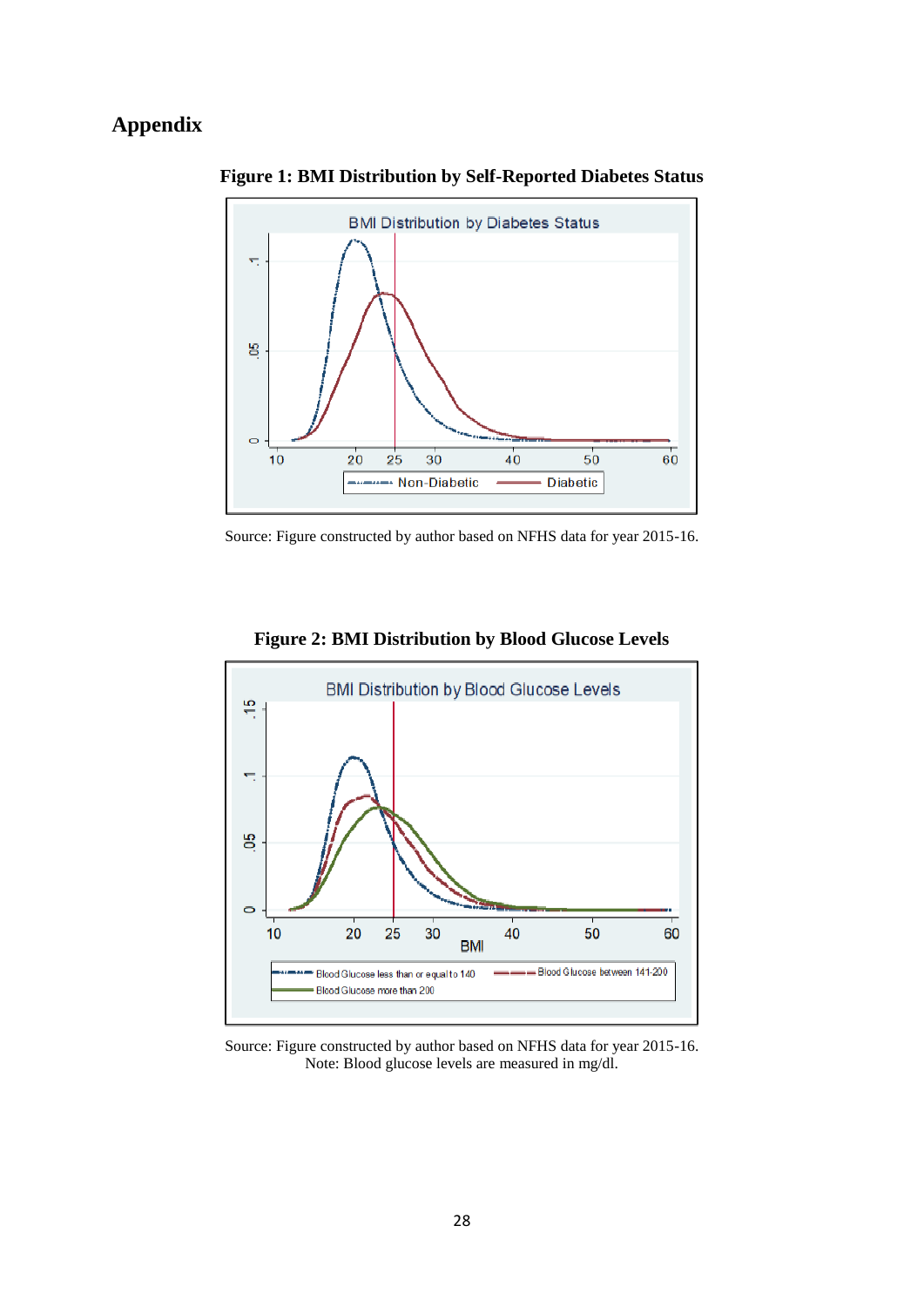### **Appendix**



**Figure 1: BMI Distribution by Self-Reported Diabetes Status**

Source: Figure constructed by author based on NFHS data for year 2015-16.



**Figure 2: BMI Distribution by Blood Glucose Levels**

Source: Figure constructed by author based on NFHS data for year 2015-16. Note: Blood glucose levels are measured in mg/dl.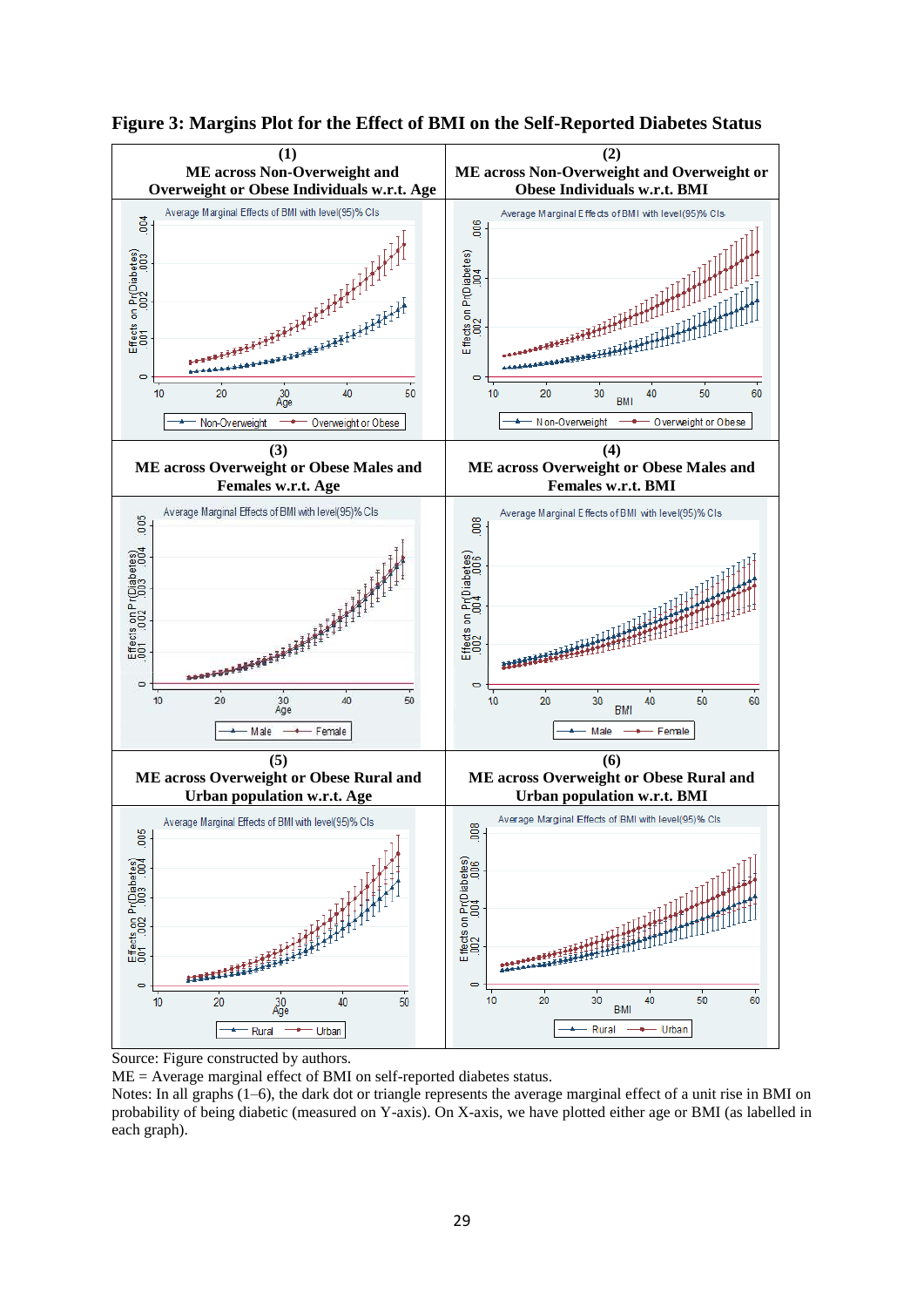



Source: Figure constructed by authors.

ME = Average marginal effect of BMI on self-reported diabetes status.

Notes: In all graphs (1–6), the dark dot or triangle represents the average marginal effect of a unit rise in BMI on probability of being diabetic (measured on Y-axis). On X-axis, we have plotted either age or BMI (as labelled in each graph).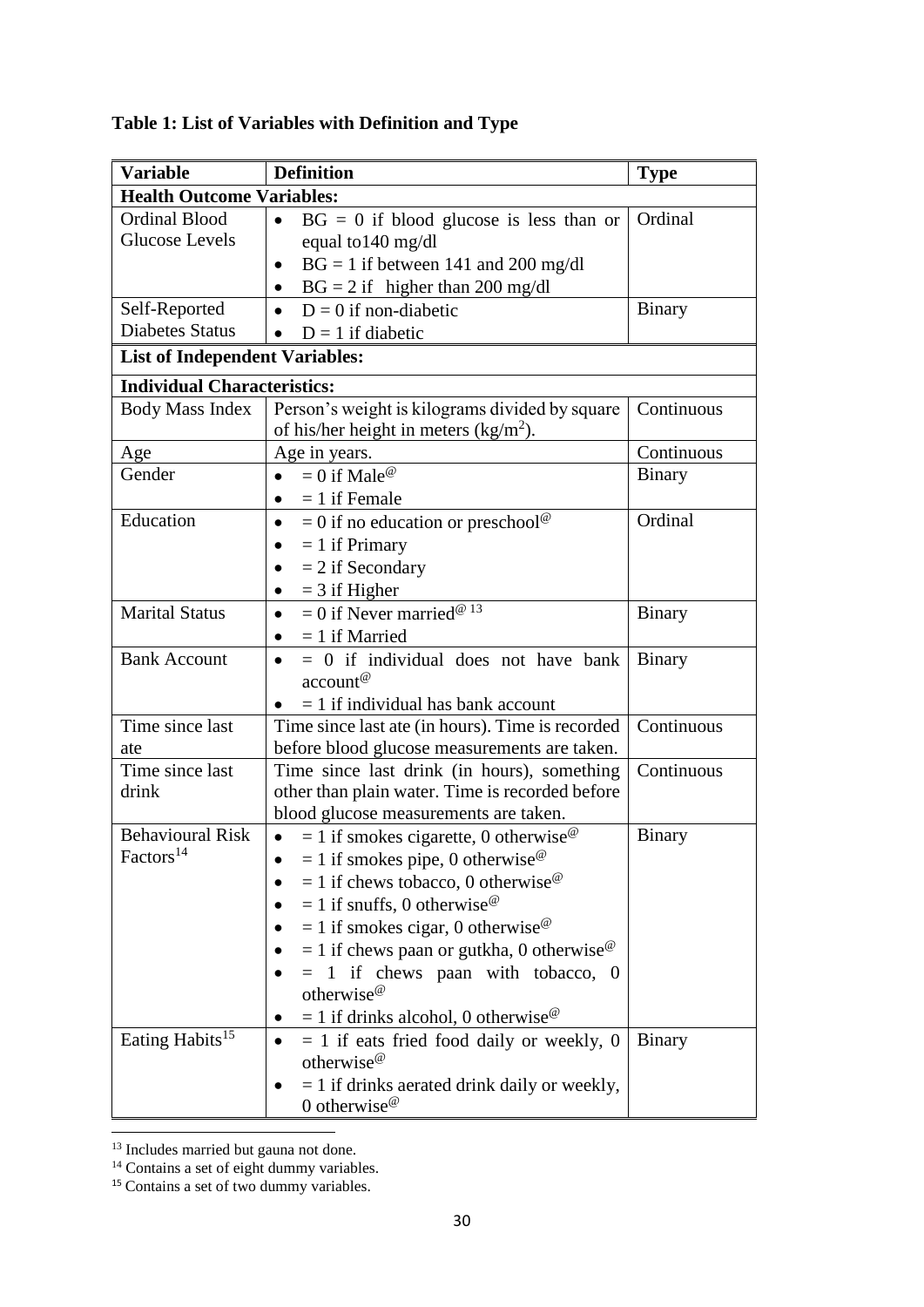| <b>Variable</b>                               | <b>Definition</b>                                                                                                                                                                                                                                                                                                                                                                                                                                                                                                                                              | <b>Type</b>   |
|-----------------------------------------------|----------------------------------------------------------------------------------------------------------------------------------------------------------------------------------------------------------------------------------------------------------------------------------------------------------------------------------------------------------------------------------------------------------------------------------------------------------------------------------------------------------------------------------------------------------------|---------------|
| <b>Health Outcome Variables:</b>              |                                                                                                                                                                                                                                                                                                                                                                                                                                                                                                                                                                |               |
| <b>Ordinal Blood</b><br><b>Glucose Levels</b> | $BG = 0$ if blood glucose is less than or<br>$\bullet$<br>equal to 140 mg/dl                                                                                                                                                                                                                                                                                                                                                                                                                                                                                   | Ordinal       |
|                                               | $BG = 1$ if between 141 and 200 mg/dl<br>$\bullet$<br>$BG = 2$ if higher than 200 mg/dl<br>$\bullet$                                                                                                                                                                                                                                                                                                                                                                                                                                                           |               |
| Self-Reported                                 | $D = 0$ if non-diabetic<br>$\bullet$                                                                                                                                                                                                                                                                                                                                                                                                                                                                                                                           | Binary        |
| <b>Diabetes Status</b>                        | $D = 1$ if diabetic                                                                                                                                                                                                                                                                                                                                                                                                                                                                                                                                            |               |
| <b>List of Independent Variables:</b>         |                                                                                                                                                                                                                                                                                                                                                                                                                                                                                                                                                                |               |
|                                               |                                                                                                                                                                                                                                                                                                                                                                                                                                                                                                                                                                |               |
| <b>Individual Characteristics:</b>            |                                                                                                                                                                                                                                                                                                                                                                                                                                                                                                                                                                |               |
| Body Mass Index                               | Person's weight is kilograms divided by square<br>of his/her height in meters $(kg/m2)$ .                                                                                                                                                                                                                                                                                                                                                                                                                                                                      | Continuous    |
| Age                                           | Age in years.                                                                                                                                                                                                                                                                                                                                                                                                                                                                                                                                                  | Continuous    |
| Gender                                        | $= 0$ if Male <sup>@</sup><br>$\bullet$<br>$= 1$ if Female<br>$\bullet$                                                                                                                                                                                                                                                                                                                                                                                                                                                                                        | <b>Binary</b> |
| Education                                     | $= 0$ if no education or preschool <sup>@</sup><br>$\bullet$<br>$= 1$ if Primary<br>$\bullet$<br>$= 2$ if Secondary<br>$=$ 3 if Higher<br>$\bullet$                                                                                                                                                                                                                                                                                                                                                                                                            | Ordinal       |
| <b>Marital Status</b>                         | $= 0$ if Never married <sup>@ 13</sup><br>$\bullet$<br>$= 1$ if Married<br>$\bullet$                                                                                                                                                                                                                                                                                                                                                                                                                                                                           | <b>Binary</b> |
| <b>Bank Account</b>                           | $= 0$ if individual does not have bank<br>$\bullet$<br>$account^@$<br>$= 1$ if individual has bank account                                                                                                                                                                                                                                                                                                                                                                                                                                                     | <b>Binary</b> |
| Time since last<br>ate                        | Time since last ate (in hours). Time is recorded<br>before blood glucose measurements are taken.                                                                                                                                                                                                                                                                                                                                                                                                                                                               | Continuous    |
| Time since last<br>drink                      | Time since last drink (in hours), something<br>other than plain water. Time is recorded before<br>blood glucose measurements are taken.                                                                                                                                                                                                                                                                                                                                                                                                                        | Continuous    |
| <b>Behavioural Risk</b><br>$\rm Factors^{14}$ | $= 1$ if smokes cigarette, 0 otherwise <sup>@</sup><br>$\bullet$<br>$= 1$ if smokes pipe, 0 otherwise <sup><math>\circ</math></sup><br>$= 1$ if chews tobacco, 0 otherwise <sup><math>\omega</math></sup><br>$= 1$ if snuffs, 0 otherwise <sup><math>\circ</math></sup><br>$= 1$ if smokes cigar, 0 otherwise <sup><math>\circ</math></sup><br>$= 1$ if chews paan or gutkha, 0 otherwise <sup><math>\circ</math></sup><br>$= 1$ if chews paan with tobacco, 0<br>otherwise <sup>@</sup><br>$= 1$ if drinks alcohol, 0 otherwise <sup><math>\circ</math></sup> | <b>Binary</b> |
| Eating Habits <sup>15</sup>                   | $= 1$ if eats fried food daily or weekly, 0<br>otherwise <sup><math>@</math></sup><br>$= 1$ if drinks aerated drink daily or weekly,<br>0 otherwise <sup><math>@</math></sup>                                                                                                                                                                                                                                                                                                                                                                                  | <b>Binary</b> |

# **Table 1: List of Variables with Definition and Type**

**<sup>.</sup>** <sup>13</sup> Includes married but gauna not done.

<sup>&</sup>lt;sup>14</sup> Contains a set of eight dummy variables.

<sup>&</sup>lt;sup>15</sup> Contains a set of two dummy variables.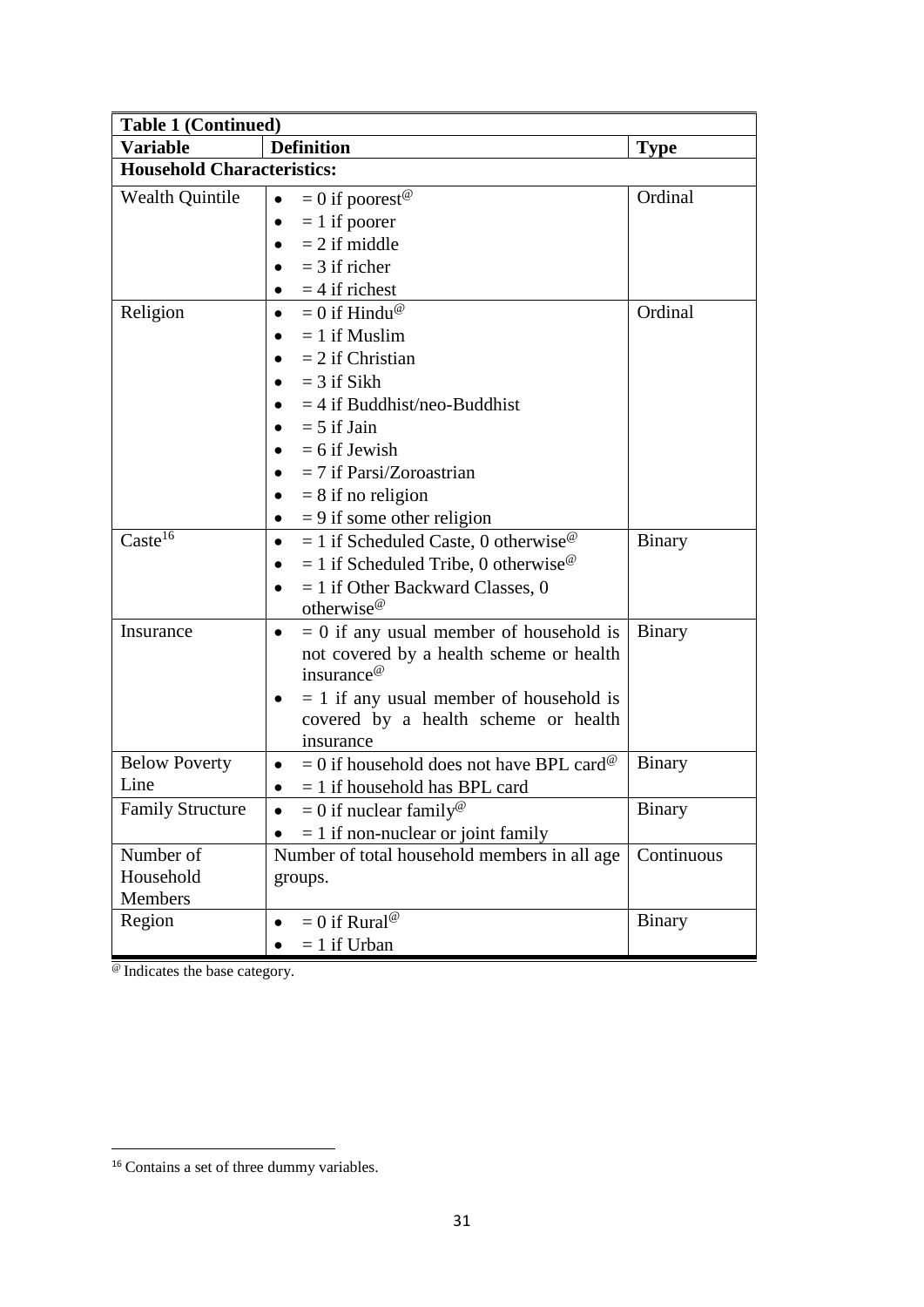| <b>Table 1 (Continued)</b>        |                                                                                                                                                                                                                                                     |               |  |  |  |
|-----------------------------------|-----------------------------------------------------------------------------------------------------------------------------------------------------------------------------------------------------------------------------------------------------|---------------|--|--|--|
| <b>Variable</b>                   | <b>Definition</b>                                                                                                                                                                                                                                   | <b>Type</b>   |  |  |  |
| <b>Household Characteristics:</b> |                                                                                                                                                                                                                                                     |               |  |  |  |
| <b>Wealth Quintile</b>            | $= 0$ if poorest <sup>@</sup><br>$\bullet$<br>$= 1$ if poorer                                                                                                                                                                                       | Ordinal       |  |  |  |
|                                   | $= 2$ if middle<br>$=$ 3 if richer<br>$=$ 4 if richest                                                                                                                                                                                              |               |  |  |  |
| Religion                          | $= 0$ if Hindu <sup>@</sup><br>$\bullet$<br>$= 1$ if Muslim<br>$= 2$ if Christian<br>$=$ 3 if Sikh<br>$=$ 4 if Buddhist/neo-Buddhist<br>$= 5$ if Jain<br>$= 6$ if Jewish<br>$= 7$ if Parsi/Zoroastrian<br>$= 8$ if no religion                      | Ordinal       |  |  |  |
| Caste <sup>16</sup>               | $= 9$ if some other religion<br>$\bullet$<br>$= 1$ if Scheduled Caste, 0 otherwise <sup>@</sup><br>$\bullet$<br>$= 1$ if Scheduled Tribe, 0 otherwise <sup><math>\circ</math></sup><br>$= 1$ if Other Backward Classes, 0<br>otherwise <sup>@</sup> | <b>Binary</b> |  |  |  |
| Insurance                         | $= 0$ if any usual member of household is<br>not covered by a health scheme or health<br>insurance <sup>@</sup><br>$= 1$ if any usual member of household is<br>covered by a health scheme or health<br>insurance                                   | <b>Binary</b> |  |  |  |
| <b>Below Poverty</b><br>Line      | $= 0$ if household does not have BPL card <sup>@</sup><br>$\bullet$<br>$= 1$ if household has BPL card                                                                                                                                              | <b>Binary</b> |  |  |  |
| <b>Family Structure</b>           | $= 0$ if nuclear family <sup>@</sup><br>$= 1$ if non-nuclear or joint family                                                                                                                                                                        | <b>Binary</b> |  |  |  |
| Number of<br>Household<br>Members | Number of total household members in all age<br>groups.                                                                                                                                                                                             | Continuous    |  |  |  |
| Region                            | $= 0$ if Rural <sup>@</sup><br>$= 1$ if Urban                                                                                                                                                                                                       | <b>Binary</b> |  |  |  |

@ Indicates the base category.

 $\overline{\phantom{a}}$ 

<sup>&</sup>lt;sup>16</sup> Contains a set of three dummy variables.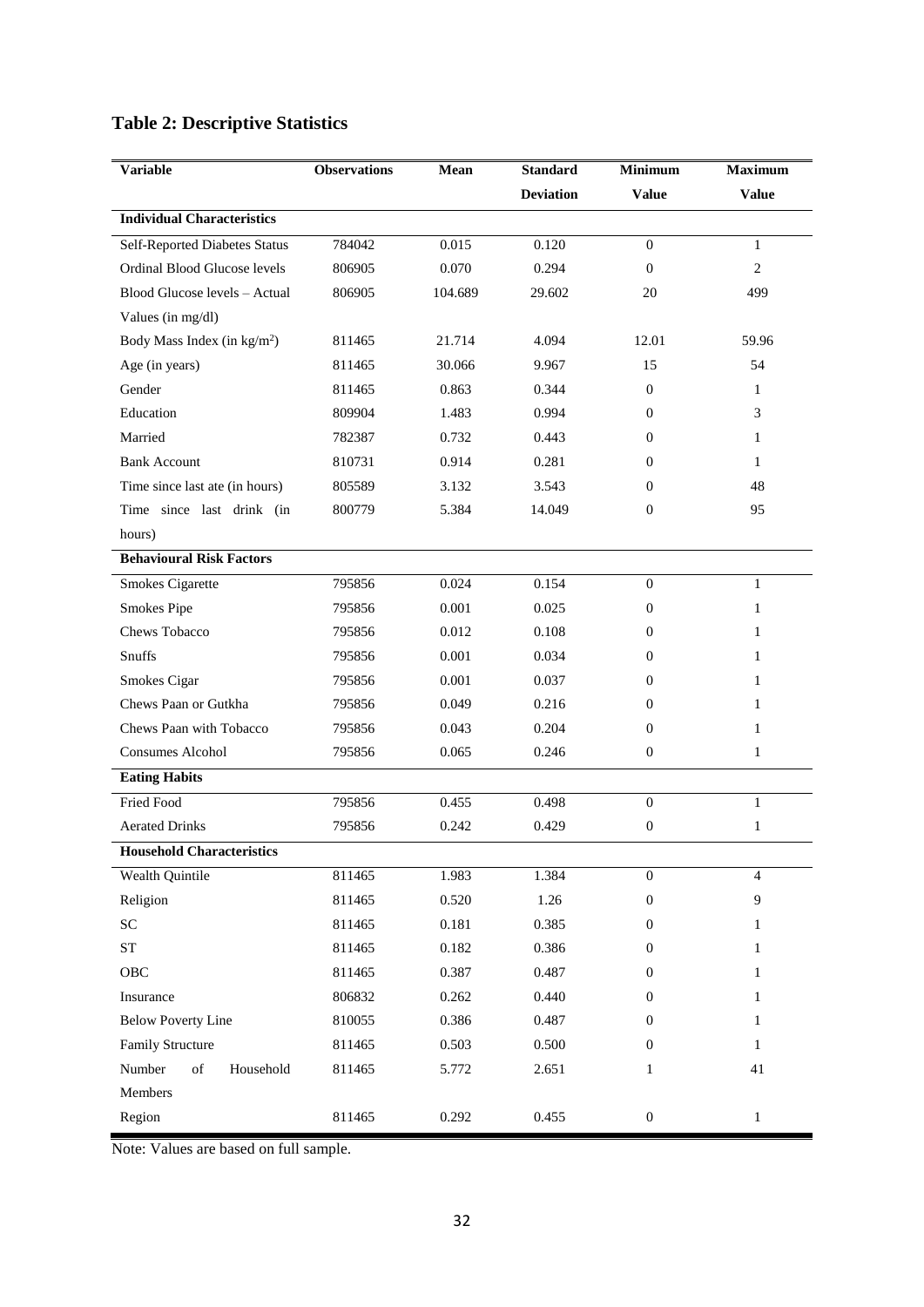## **Table 2: Descriptive Statistics**

| <b>Variable</b>                       | <b>Observations</b> | Mean    | <b>Standard</b>  | <b>Minimum</b>   | <b>Maximum</b> |
|---------------------------------------|---------------------|---------|------------------|------------------|----------------|
|                                       |                     |         | <b>Deviation</b> | <b>Value</b>     | <b>Value</b>   |
| <b>Individual Characteristics</b>     |                     |         |                  |                  |                |
| Self-Reported Diabetes Status         | 784042              | 0.015   | 0.120            | $\boldsymbol{0}$ | $\mathbf{1}$   |
| Ordinal Blood Glucose levels          | 806905              | 0.070   | 0.294            | $\mathbf{0}$     | 2              |
| Blood Glucose levels - Actual         | 806905              | 104.689 | 29.602           | 20               | 499            |
| Values (in mg/dl)                     |                     |         |                  |                  |                |
| Body Mass Index (in $\text{kg/m}^2$ ) | 811465              | 21.714  | 4.094            | 12.01            | 59.96          |
| Age (in years)                        | 811465              | 30.066  | 9.967            | 15               | 54             |
| Gender                                | 811465              | 0.863   | 0.344            | $\theta$         | 1              |
| Education                             | 809904              | 1.483   | 0.994            | $\Omega$         | 3              |
| Married                               | 782387              | 0.732   | 0.443            | $\mathbf{0}$     | 1              |
| <b>Bank Account</b>                   | 810731              | 0.914   | 0.281            | $\mathbf{0}$     | 1              |
| Time since last ate (in hours)        | 805589              | 3.132   | 3.543            | $\mathbf{0}$     | 48             |
| Time since last drink (in             | 800779              | 5.384   | 14.049           | $\mathbf{0}$     | 95             |
| hours)                                |                     |         |                  |                  |                |
| <b>Behavioural Risk Factors</b>       |                     |         |                  |                  |                |
| Smokes Cigarette                      | 795856              | 0.024   | 0.154            | $\boldsymbol{0}$ | $\mathbf{1}$   |
| Smokes Pipe                           | 795856              | 0.001   | 0.025            | $\mathbf{0}$     | 1              |
| <b>Chews Tobacco</b>                  | 795856              | 0.012   | 0.108            | $\overline{0}$   | 1              |
| Snuffs                                | 795856              | 0.001   | 0.034            | $\mathbf{0}$     | $\mathbf{1}$   |
| Smokes Cigar                          | 795856              | 0.001   | 0.037            | $\overline{0}$   | 1              |
| Chews Paan or Gutkha                  | 795856              | 0.049   | 0.216            | $\overline{0}$   | 1              |
| Chews Paan with Tobacco               | 795856              | 0.043   | 0.204            | $\mathbf{0}$     | 1              |
| <b>Consumes Alcohol</b>               | 795856              | 0.065   | 0.246            | $\boldsymbol{0}$ | 1              |
| <b>Eating Habits</b>                  |                     |         |                  |                  |                |
| Fried Food                            | 795856              | 0.455   | 0.498            | $\mathbf{0}$     | $\mathbf{1}$   |
| <b>Aerated Drinks</b>                 | 795856              | 0.242   | 0.429            | $\mathbf{0}$     | 1              |
| <b>Household Characteristics</b>      |                     |         |                  |                  |                |
| Wealth Quintile                       | 811465              | 1.983   | 1.384            | $\overline{0}$   | $\overline{4}$ |
| Religion                              | 811465              | 0.520   | 1.26             | $\boldsymbol{0}$ | 9              |
| SC                                    | 811465              | 0.181   | 0.385            | $\mathbf{0}$     | $\mathbf{1}$   |
| ${\cal S}{\cal T}$                    | 811465              | 0.182   | 0.386            | $\boldsymbol{0}$ | 1              |
| OBC                                   | 811465              | 0.387   | 0.487            | $\mathbf{0}$     | $\mathbf{1}$   |
| Insurance                             | 806832              | 0.262   | 0.440            | $\overline{0}$   | $\mathbf{1}$   |
| <b>Below Poverty Line</b>             | 810055              | 0.386   | 0.487            | $\mathbf{0}$     | $\mathbf{1}$   |
| Family Structure                      | 811465              | 0.503   | 0.500            | $\boldsymbol{0}$ | $\mathbf{1}$   |
| of<br>Household<br>Number             | 811465              | 5.772   | 2.651            | 1                | 41             |
| Members                               |                     |         |                  |                  |                |
| Region                                | 811465              | 0.292   | 0.455            | $\boldsymbol{0}$ | $\mathbf{1}$   |

Note: Values are based on full sample.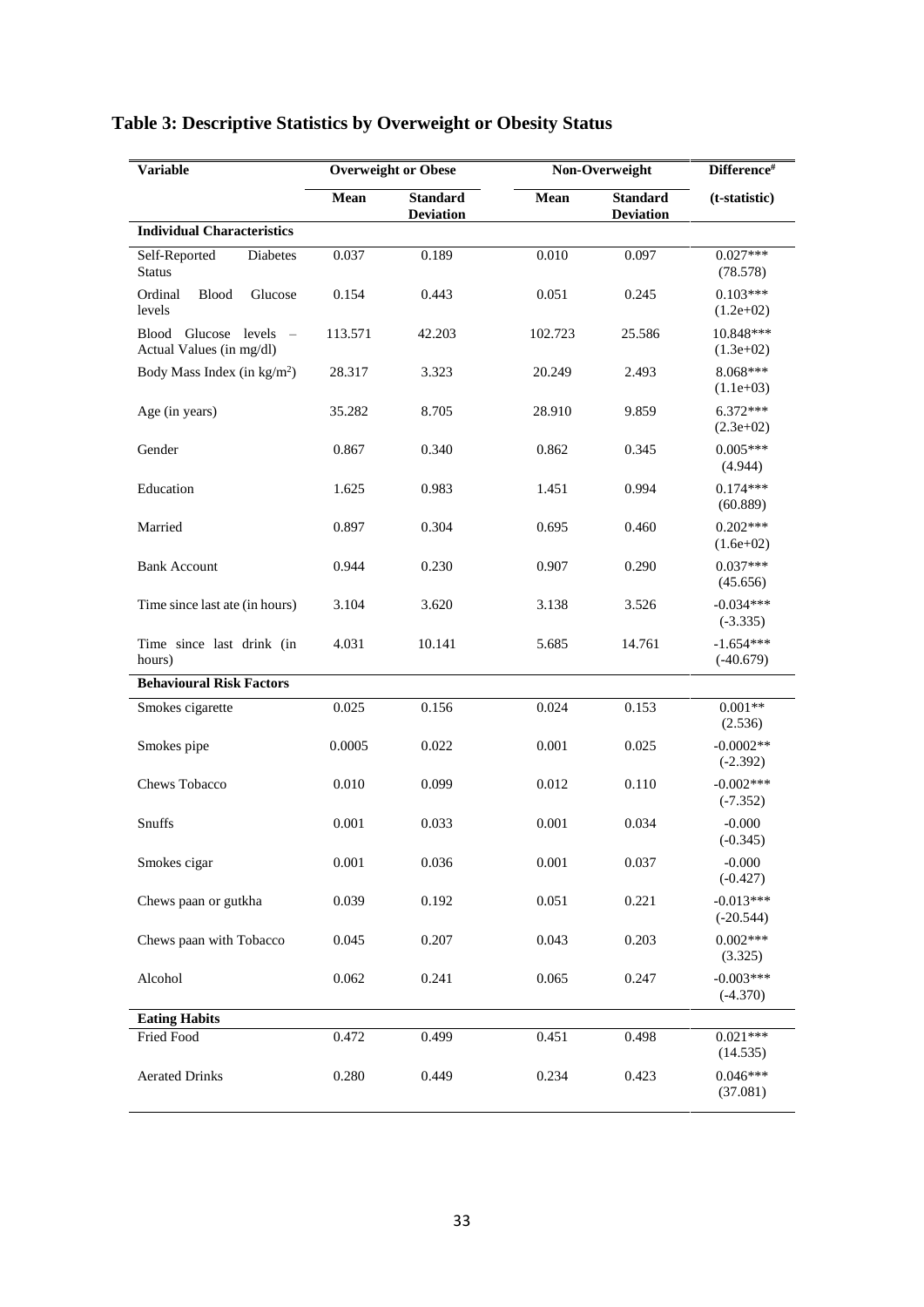| <b>Variable</b>                                                         |         | <b>Overweight or Obese</b>          |         | Non-Overweight                      | Difference#                |
|-------------------------------------------------------------------------|---------|-------------------------------------|---------|-------------------------------------|----------------------------|
|                                                                         | Mean    | <b>Standard</b><br><b>Deviation</b> | Mean    | <b>Standard</b><br><b>Deviation</b> | (t-statistic)              |
| <b>Individual Characteristics</b>                                       |         |                                     |         |                                     |                            |
| Self-Reported<br>Diabetes<br>Status                                     | 0.037   | 0.189                               | 0.010   | 0.097                               | $0.027***$<br>(78.578)     |
| Ordinal<br>Glucose<br><b>Blood</b><br>levels                            | 0.154   | 0.443                               | 0.051   | 0.245                               | $0.103***$<br>$(1.2e+02)$  |
| Glucose levels<br>Blood<br>$\hspace{0.1mm}$<br>Actual Values (in mg/dl) | 113.571 | 42.203                              | 102.723 | 25.586                              | 10.848***<br>$(1.3e+02)$   |
| Body Mass Index (in $\text{kg/m}^2$ )                                   | 28.317  | 3.323                               | 20.249  | 2.493                               | 8.068***<br>$(1.1e+03)$    |
| Age (in years)                                                          | 35.282  | 8.705                               | 28.910  | 9.859                               | $6.372***$<br>$(2.3e+02)$  |
| Gender                                                                  | 0.867   | 0.340                               | 0.862   | 0.345                               | $0.005***$<br>(4.944)      |
| Education                                                               | 1.625   | 0.983                               | 1.451   | 0.994                               | $0.174***$<br>(60.889)     |
| Married                                                                 | 0.897   | 0.304                               | 0.695   | 0.460                               | $0.202***$<br>$(1.6e+02)$  |
| <b>Bank Account</b>                                                     | 0.944   | 0.230                               | 0.907   | 0.290                               | $0.037***$<br>(45.656)     |
| Time since last ate (in hours)                                          | 3.104   | 3.620                               | 3.138   | 3.526                               | $-0.034***$<br>$(-3.335)$  |
| Time since last drink (in<br>hours)                                     | 4.031   | 10.141                              | 5.685   | 14.761                              | $-1.654***$<br>$(-40.679)$ |
| <b>Behavioural Risk Factors</b>                                         |         |                                     |         |                                     |                            |
| Smokes cigarette                                                        | 0.025   | 0.156                               | 0.024   | 0.153                               | $0.001**$<br>(2.536)       |
| Smokes pipe                                                             | 0.0005  | 0.022                               | 0.001   | 0.025                               | $-0.0002**$<br>$(-2.392)$  |
| <b>Chews Tobacco</b>                                                    | 0.010   | 0.099                               | 0.012   | 0.110                               | $-0.002***$<br>$(-7.352)$  |
| Snuffs                                                                  | 0.001   | 0.033                               | 0.001   | 0.034                               | $-0.000$<br>$(-0.345)$     |
| Smokes cigar                                                            | 0.001   | 0.036                               | 0.001   | 0.037                               | $-0.000$<br>$(-0.427)$     |
| Chews paan or gutkha                                                    | 0.039   | 0.192                               | 0.051   | 0.221                               | $-0.013***$<br>$(-20.544)$ |
| Chews paan with Tobacco                                                 | 0.045   | 0.207                               | 0.043   | 0.203                               | $0.002***$<br>(3.325)      |
| Alcohol                                                                 | 0.062   | 0.241                               | 0.065   | 0.247                               | $-0.003***$<br>$(-4.370)$  |
| <b>Eating Habits</b>                                                    |         |                                     |         |                                     |                            |
| Fried Food                                                              | 0.472   | 0.499                               | 0.451   | 0.498                               | $0.021***$<br>(14.535)     |
| <b>Aerated Drinks</b>                                                   | 0.280   | 0.449                               | 0.234   | 0.423                               | $0.046***$<br>(37.081)     |

# **Table 3: Descriptive Statistics by Overweight or Obesity Status**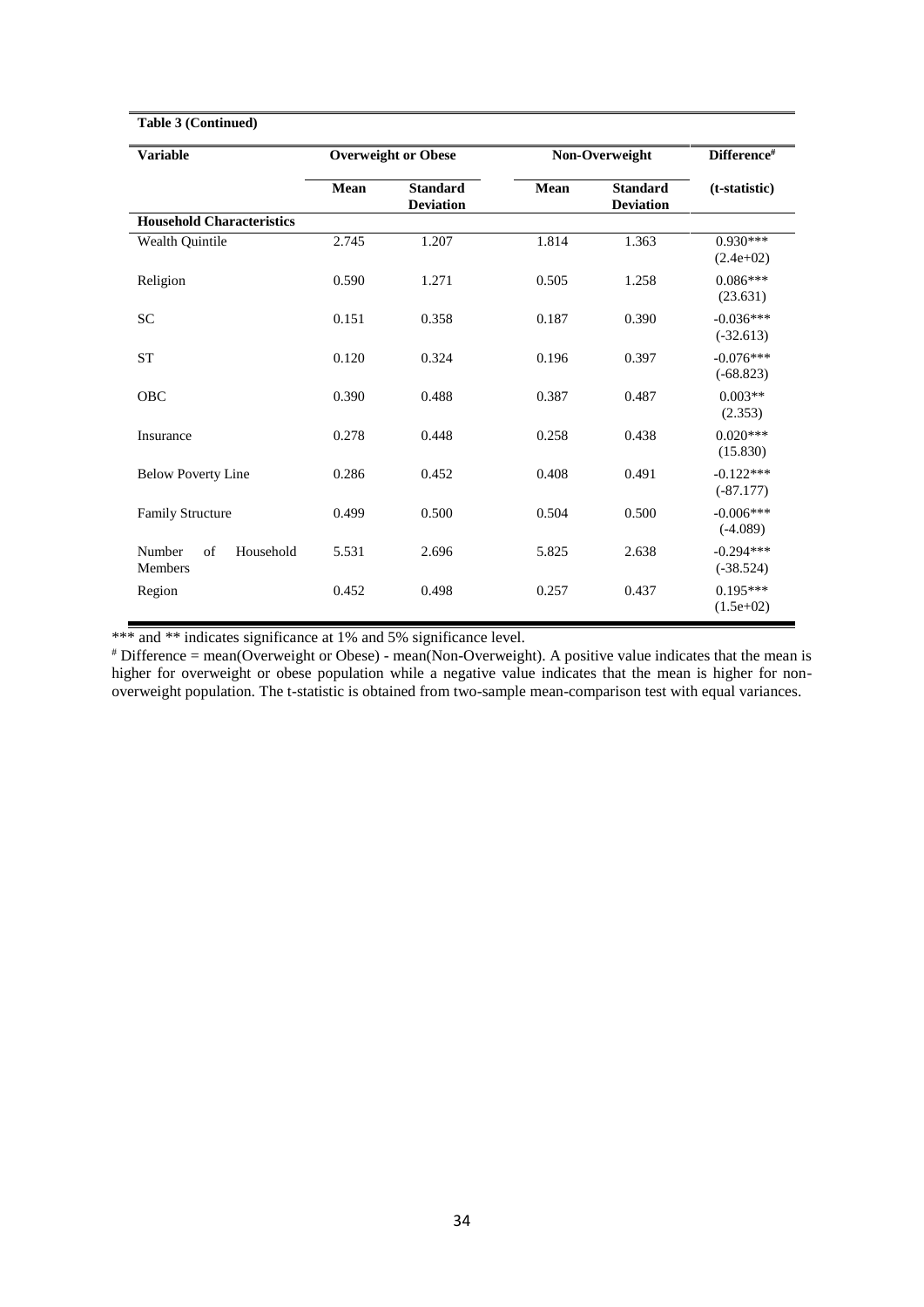| Table 3 (Continued)                  |       |                                     |       |                                     |                            |  |
|--------------------------------------|-------|-------------------------------------|-------|-------------------------------------|----------------------------|--|
| <b>Variable</b>                      |       | <b>Overweight or Obese</b>          |       | Non-Overweight                      | Difference#                |  |
|                                      | Mean  | <b>Standard</b><br><b>Deviation</b> | Mean  | <b>Standard</b><br><b>Deviation</b> | (t-statistic)              |  |
| <b>Household Characteristics</b>     |       |                                     |       |                                     |                            |  |
| Wealth Quintile                      | 2.745 | 1.207                               | 1.814 | 1.363                               | $0.930***$<br>$(2.4e+02)$  |  |
| Religion                             | 0.590 | 1.271                               | 0.505 | 1.258                               | $0.086***$<br>(23.631)     |  |
| SC                                   | 0.151 | 0.358                               | 0.187 | 0.390                               | $-0.036***$<br>$(-32.613)$ |  |
| <b>ST</b>                            | 0.120 | 0.324                               | 0.196 | 0.397                               | $-0.076***$<br>$(-68.823)$ |  |
| <b>OBC</b>                           | 0.390 | 0.488                               | 0.387 | 0.487                               | $0.003**$<br>(2.353)       |  |
| Insurance                            | 0.278 | 0.448                               | 0.258 | 0.438                               | $0.020***$<br>(15.830)     |  |
| <b>Below Poverty Line</b>            | 0.286 | 0.452                               | 0.408 | 0.491                               | $-0.122***$<br>$(-87.177)$ |  |
| <b>Family Structure</b>              | 0.499 | 0.500                               | 0.504 | 0.500                               | $-0.006***$<br>$(-4.089)$  |  |
| Household<br>Number<br>of<br>Members | 5.531 | 2.696                               | 5.825 | 2.638                               | $-0.294***$<br>$(-38.524)$ |  |
| Region                               | 0.452 | 0.498                               | 0.257 | 0.437                               | $0.195***$<br>$(1.5e+02)$  |  |

\*\*\* and \*\* indicates significance at 1% and 5% significance level.

# Difference = mean(Overweight or Obese) - mean(Non-Overweight). A positive value indicates that the mean is higher for overweight or obese population while a negative value indicates that the mean is higher for nonoverweight population. The t-statistic is obtained from two-sample mean-comparison test with equal variances.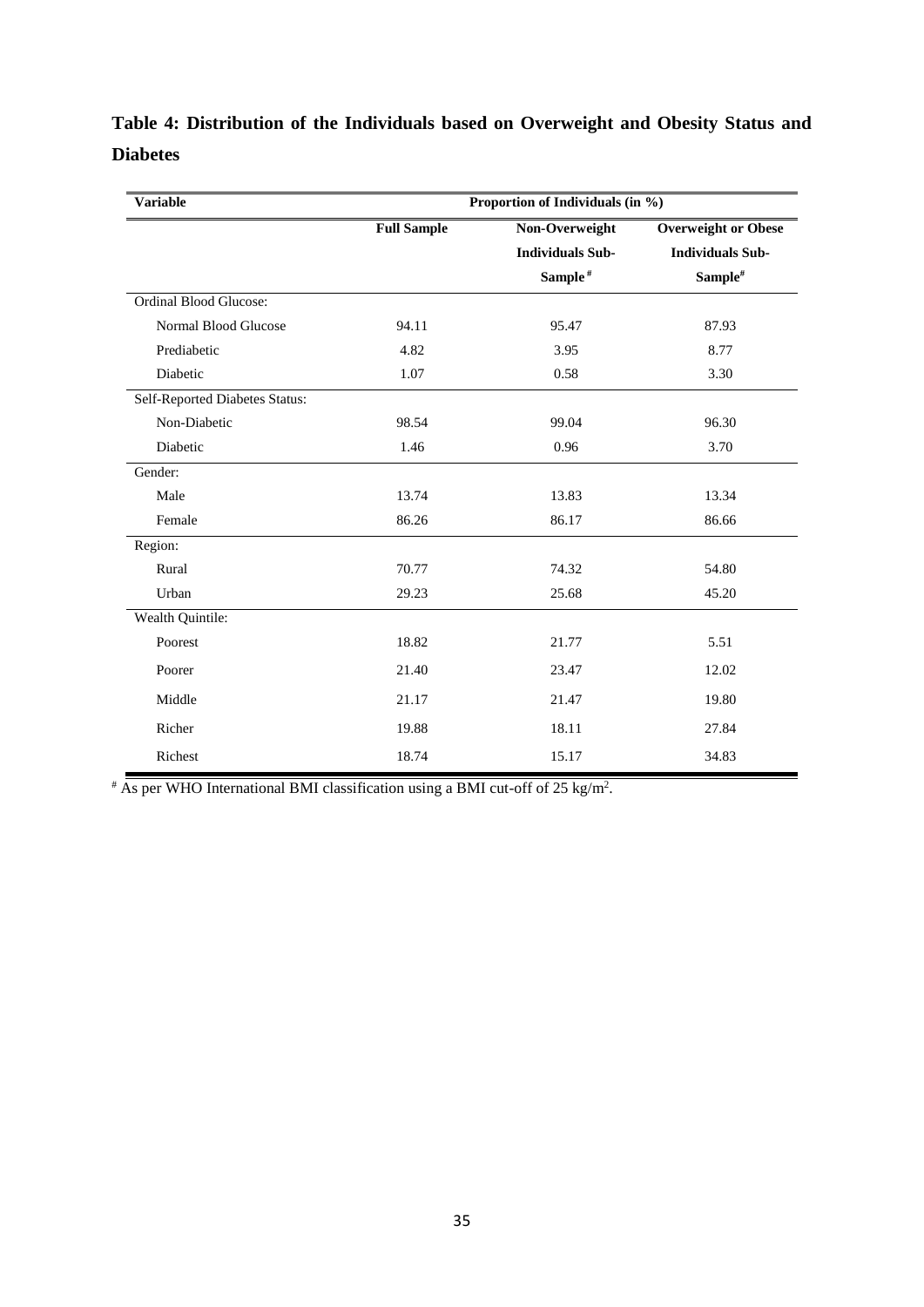# **Table 4: Distribution of the Individuals based on Overweight and Obesity Status and Diabetes**

| <b>Variable</b>                | Proportion of Individuals (in %) |                         |                            |  |  |
|--------------------------------|----------------------------------|-------------------------|----------------------------|--|--|
|                                | <b>Full Sample</b>               | Non-Overweight          | <b>Overweight or Obese</b> |  |  |
|                                |                                  | <b>Individuals Sub-</b> | <b>Individuals Sub-</b>    |  |  |
|                                |                                  | Sample <sup>#</sup>     | Sample#                    |  |  |
| <b>Ordinal Blood Glucose:</b>  |                                  |                         |                            |  |  |
| Normal Blood Glucose           | 94.11                            | 95.47                   | 87.93                      |  |  |
| Prediabetic                    | 4.82                             | 3.95                    | 8.77                       |  |  |
| Diabetic                       | 1.07                             | 0.58                    | 3.30                       |  |  |
| Self-Reported Diabetes Status: |                                  |                         |                            |  |  |
| Non-Diabetic                   | 98.54                            | 99.04                   | 96.30                      |  |  |
| Diabetic                       | 1.46                             | 0.96                    | 3.70                       |  |  |
| Gender:                        |                                  |                         |                            |  |  |
| Male                           | 13.74                            | 13.83                   | 13.34                      |  |  |
| Female                         | 86.26                            | 86.17                   | 86.66                      |  |  |
| Region:                        |                                  |                         |                            |  |  |
| Rural                          | 70.77                            | 74.32                   | 54.80                      |  |  |
| Urban                          | 29.23                            | 25.68                   | 45.20                      |  |  |
| Wealth Quintile:               |                                  |                         |                            |  |  |
| Poorest                        | 18.82                            | 21.77                   | 5.51                       |  |  |
| Poorer                         | 21.40                            | 23.47                   | 12.02                      |  |  |
| Middle                         | 21.17                            | 21.47                   | 19.80                      |  |  |
| Richer                         | 19.88                            | 18.11                   | 27.84                      |  |  |
| Richest                        | 18.74                            | 15.17                   | 34.83                      |  |  |

 $*$  As per WHO International BMI classification using a BMI cut-off of 25 kg/m<sup>2</sup>.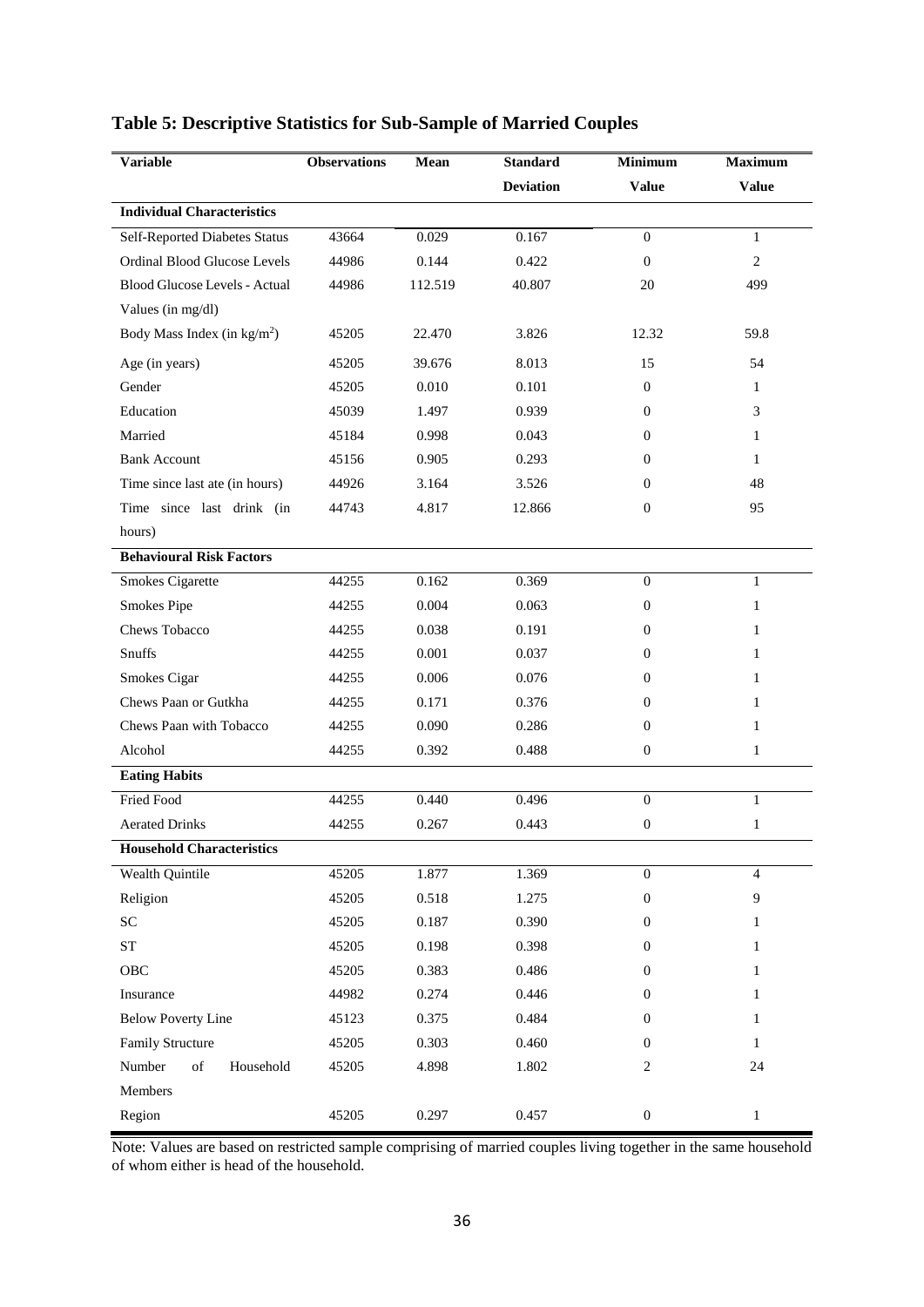| <b>Variable</b>                       | <b>Observations</b> | Mean    | <b>Standard</b>  | <b>Minimum</b>   | <b>Maximum</b> |
|---------------------------------------|---------------------|---------|------------------|------------------|----------------|
|                                       |                     |         | <b>Deviation</b> | <b>Value</b>     | <b>Value</b>   |
| <b>Individual Characteristics</b>     |                     |         |                  |                  |                |
| <b>Self-Reported Diabetes Status</b>  | 43664               | 0.029   | 0.167            | $\mathbf{0}$     | $\mathbf{1}$   |
| <b>Ordinal Blood Glucose Levels</b>   | 44986               | 0.144   | 0.422            | $\mathbf{0}$     | $\overline{c}$ |
| Blood Glucose Levels - Actual         | 44986               | 112.519 | 40.807           | 20               | 499            |
| Values (in mg/dl)                     |                     |         |                  |                  |                |
| Body Mass Index (in $\text{kg/m}^2$ ) | 45205               | 22.470  | 3.826            | 12.32            | 59.8           |
| Age (in years)                        | 45205               | 39.676  | 8.013            | 15               | 54             |
| Gender                                | 45205               | 0.010   | 0.101            | $\mathbf{0}$     | 1              |
| Education                             | 45039               | 1.497   | 0.939            | $\mathbf{0}$     | 3              |
| Married                               | 45184               | 0.998   | 0.043            | $\overline{0}$   | 1              |
| <b>Bank Account</b>                   | 45156               | 0.905   | 0.293            | $\overline{0}$   | 1              |
| Time since last ate (in hours)        | 44926               | 3.164   | 3.526            | $\mathbf{0}$     | 48             |
| Time since last drink (in             | 44743               | 4.817   | 12.866           | $\mathbf{0}$     | 95             |
| hours)                                |                     |         |                  |                  |                |
| <b>Behavioural Risk Factors</b>       |                     |         |                  |                  |                |
| <b>Smokes Cigarette</b>               | 44255               | 0.162   | 0.369            | $\mathbf{0}$     | 1              |
| Smokes Pipe                           | 44255               | 0.004   | 0.063            | $\overline{0}$   | 1              |
| Chews Tobacco                         | 44255               | 0.038   | 0.191            | $\overline{0}$   | 1              |
| Snuffs                                | 44255               | 0.001   | 0.037            | $\overline{0}$   | 1              |
| Smokes Cigar                          | 44255               | 0.006   | 0.076            | $\overline{0}$   | 1              |
| Chews Paan or Gutkha                  | 44255               | 0.171   | 0.376            | $\overline{0}$   | 1              |
| Chews Paan with Tobacco               | 44255               | 0.090   | 0.286            | $\mathbf{0}$     | 1              |
| Alcohol                               | 44255               | 0.392   | 0.488            | $\mathbf{0}$     | $\mathbf{1}$   |
| <b>Eating Habits</b>                  |                     |         |                  |                  |                |
| Fried Food                            | 44255               | 0.440   | 0.496            | $\mathbf{0}$     | $\mathbf{1}$   |
| <b>Aerated Drinks</b>                 | 44255               | 0.267   | 0.443            | $\boldsymbol{0}$ | $\mathbf{1}$   |
| <b>Household Characteristics</b>      |                     |         |                  |                  |                |
| <b>Wealth Quintile</b>                | 45205               | 1.877   | 1.369            | $\boldsymbol{0}$ | $\overline{4}$ |
| Religion                              | 45205               | 0.518   | 1.275            | $\boldsymbol{0}$ | 9              |
| SC                                    | 45205               | 0.187   | 0.390            | $\boldsymbol{0}$ | 1              |
| ST                                    | 45205               | 0.198   | 0.398            | $\boldsymbol{0}$ | 1              |
| OBC                                   | 45205               | 0.383   | 0.486            | $\mathbf{0}$     | 1              |
| Insurance                             | 44982               | 0.274   | 0.446            | $\boldsymbol{0}$ | 1              |
| <b>Below Poverty Line</b>             | 45123               | 0.375   | 0.484            | $\mathbf{0}$     | 1              |
| Family Structure                      | 45205               | 0.303   | 0.460            | $\mathbf{0}$     | 1              |
| Number<br>of<br>Household             | 45205               | 4.898   | 1.802            | $\overline{c}$   | 24             |
| Members                               |                     |         |                  |                  |                |
| Region                                | 45205               | 0.297   | 0.457            | $\boldsymbol{0}$ | $\mathbf{1}$   |

### **Table 5: Descriptive Statistics for Sub-Sample of Married Couples**

Note: Values are based on restricted sample comprising of married couples living together in the same household of whom either is head of the household.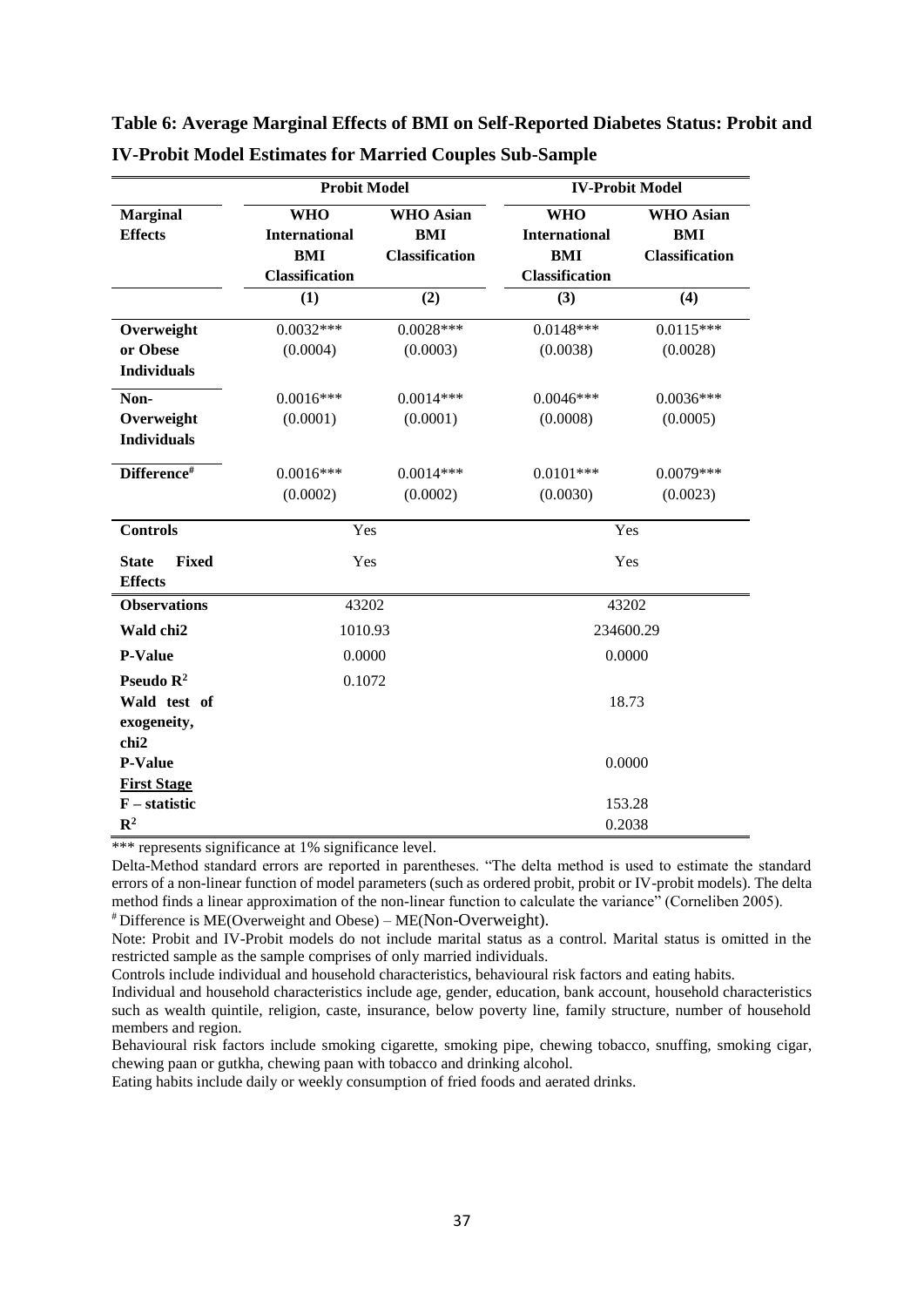|                                         | <b>Probit Model</b>                |                                | <b>IV-Probit Model</b>             |                                |  |
|-----------------------------------------|------------------------------------|--------------------------------|------------------------------------|--------------------------------|--|
| <b>Marginal</b><br><b>Effects</b>       | <b>WHO</b><br><b>International</b> | <b>WHO</b> Asian<br><b>BMI</b> | <b>WHO</b><br><b>International</b> | <b>WHO</b> Asian<br><b>BMI</b> |  |
|                                         | <b>BMI</b>                         | <b>Classification</b>          | <b>BMI</b>                         | <b>Classification</b>          |  |
|                                         | <b>Classification</b>              |                                | <b>Classification</b>              |                                |  |
|                                         | (1)                                | (2)                            | (3)                                | (4)                            |  |
| Overweight                              | $0.0032***$                        | $0.0028***$                    | $0.0148***$                        | $0.0115***$                    |  |
| or Obese                                | (0.0004)                           | (0.0003)                       | (0.0038)                           | (0.0028)                       |  |
| <b>Individuals</b>                      |                                    |                                |                                    |                                |  |
| Non-                                    | $0.0016***$                        | $0.0014***$                    | $0.0046***$                        | $0.0036***$                    |  |
| Overweight                              | (0.0001)                           | (0.0001)                       | (0.0008)                           | (0.0005)                       |  |
| <b>Individuals</b>                      |                                    |                                |                                    |                                |  |
| Difference#                             | $0.0016***$                        | $0.0014***$                    | $0.0101***$                        | $0.0079***$                    |  |
|                                         | (0.0002)                           | (0.0002)                       | (0.0030)                           | (0.0023)                       |  |
| <b>Controls</b>                         | Yes                                |                                | Yes                                |                                |  |
| Fixed<br><b>State</b><br><b>Effects</b> | Yes                                |                                | Yes                                |                                |  |
| <b>Observations</b>                     | 43202                              |                                | 43202                              |                                |  |
| Wald chi2                               | 1010.93                            |                                | 234600.29                          |                                |  |
| <b>P-Value</b>                          | 0.0000                             |                                | 0.0000                             |                                |  |
| Pseudo R <sup>2</sup>                   | 0.1072                             |                                |                                    |                                |  |
| Wald test of                            |                                    |                                | 18.73                              |                                |  |
| exogeneity,                             |                                    |                                |                                    |                                |  |
| chi <sub>2</sub>                        |                                    |                                |                                    |                                |  |
| <b>P-Value</b>                          |                                    |                                | 0.0000                             |                                |  |
| <b>First Stage</b>                      |                                    |                                |                                    |                                |  |
| $F -$ statistic                         |                                    |                                |                                    | 153.28                         |  |
| $\mathbb{R}^2$                          |                                    |                                | 0.2038                             |                                |  |

**Table 6: Average Marginal Effects of BMI on Self-Reported Diabetes Status: Probit and IV-Probit Model Estimates for Married Couples Sub-Sample** 

\*\*\* represents significance at 1% significance level.

Delta-Method standard errors are reported in parentheses. "The delta method is used to estimate the standard errors of a non-linear function of model parameters (such as ordered probit, probit or IV-probit models). The delta method finds a linear approximation of the non-linear function to calculate the variance" (Corneliben 2005). # Difference is ME(Overweight and Obese) – ME(Non-Overweight).

Note: Probit and IV-Probit models do not include marital status as a control. Marital status is omitted in the restricted sample as the sample comprises of only married individuals.

Controls include individual and household characteristics, behavioural risk factors and eating habits.

Behavioural risk factors include smoking cigarette, smoking pipe, chewing tobacco, snuffing, smoking cigar, chewing paan or gutkha, chewing paan with tobacco and drinking alcohol.

Individual and household characteristics include age, gender, education, bank account, household characteristics such as wealth quintile, religion, caste, insurance, below poverty line, family structure, number of household members and region.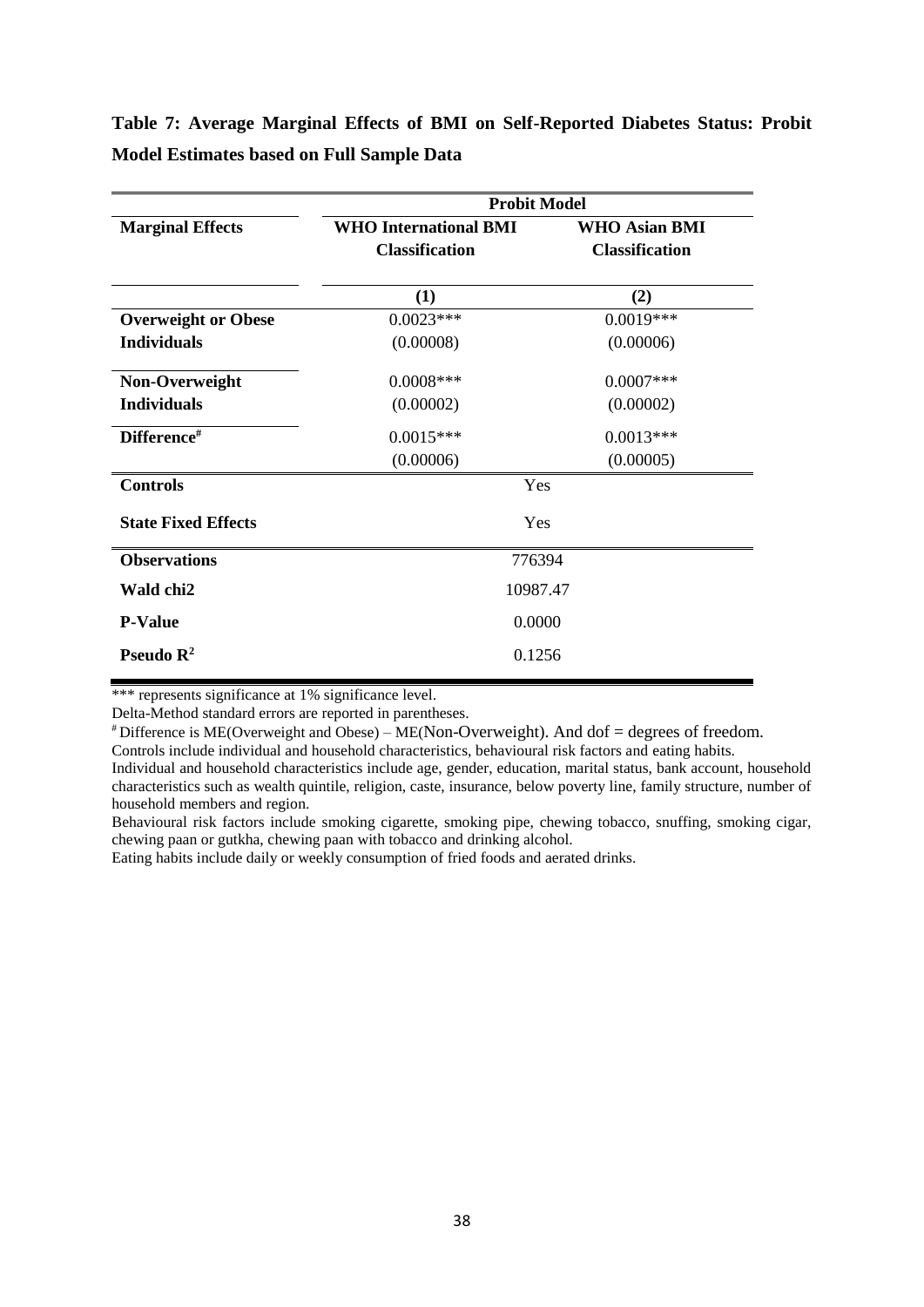**Table 7: Average Marginal Effects of BMI on Self-Reported Diabetes Status: Probit Model Estimates based on Full Sample Data**

|                            | <b>Probit Model</b>          |                       |  |  |  |  |
|----------------------------|------------------------------|-----------------------|--|--|--|--|
| <b>Marginal Effects</b>    | <b>WHO International BMI</b> | <b>WHO Asian BMI</b>  |  |  |  |  |
|                            | <b>Classification</b>        | <b>Classification</b> |  |  |  |  |
|                            | (1)                          | (2)                   |  |  |  |  |
| <b>Overweight or Obese</b> | $0.0023***$                  | $0.0019***$           |  |  |  |  |
| <b>Individuals</b>         | (0.00008)                    | (0.00006)             |  |  |  |  |
| Non-Overweight             | $0.0008***$                  | $0.0007$ ***          |  |  |  |  |
| <b>Individuals</b>         | (0.00002)                    | (0.00002)             |  |  |  |  |
| Difference#                | $0.0015***$                  | $0.0013***$           |  |  |  |  |
|                            | (0.00006)                    | (0.00005)             |  |  |  |  |
| <b>Controls</b>            | Yes                          |                       |  |  |  |  |
| <b>State Fixed Effects</b> | Yes                          |                       |  |  |  |  |
| <b>Observations</b>        | 776394                       |                       |  |  |  |  |
| Wald chi2                  | 10987.47                     |                       |  |  |  |  |
| <b>P-Value</b>             | 0.0000                       |                       |  |  |  |  |
| Pseudo $\mathbb{R}^2$      | 0.1256                       |                       |  |  |  |  |
|                            |                              |                       |  |  |  |  |

\*\*\* represents significance at 1% significance level.

Delta-Method standard errors are reported in parentheses.

 $*$  Difference is ME(Overweight and Obese) – ME(Non-Overweight). And dof = degrees of freedom.

Controls include individual and household characteristics, behavioural risk factors and eating habits.

Individual and household characteristics include age, gender, education, marital status, bank account, household characteristics such as wealth quintile, religion, caste, insurance, below poverty line, family structure, number of household members and region.

Behavioural risk factors include smoking cigarette, smoking pipe, chewing tobacco, snuffing, smoking cigar, chewing paan or gutkha, chewing paan with tobacco and drinking alcohol.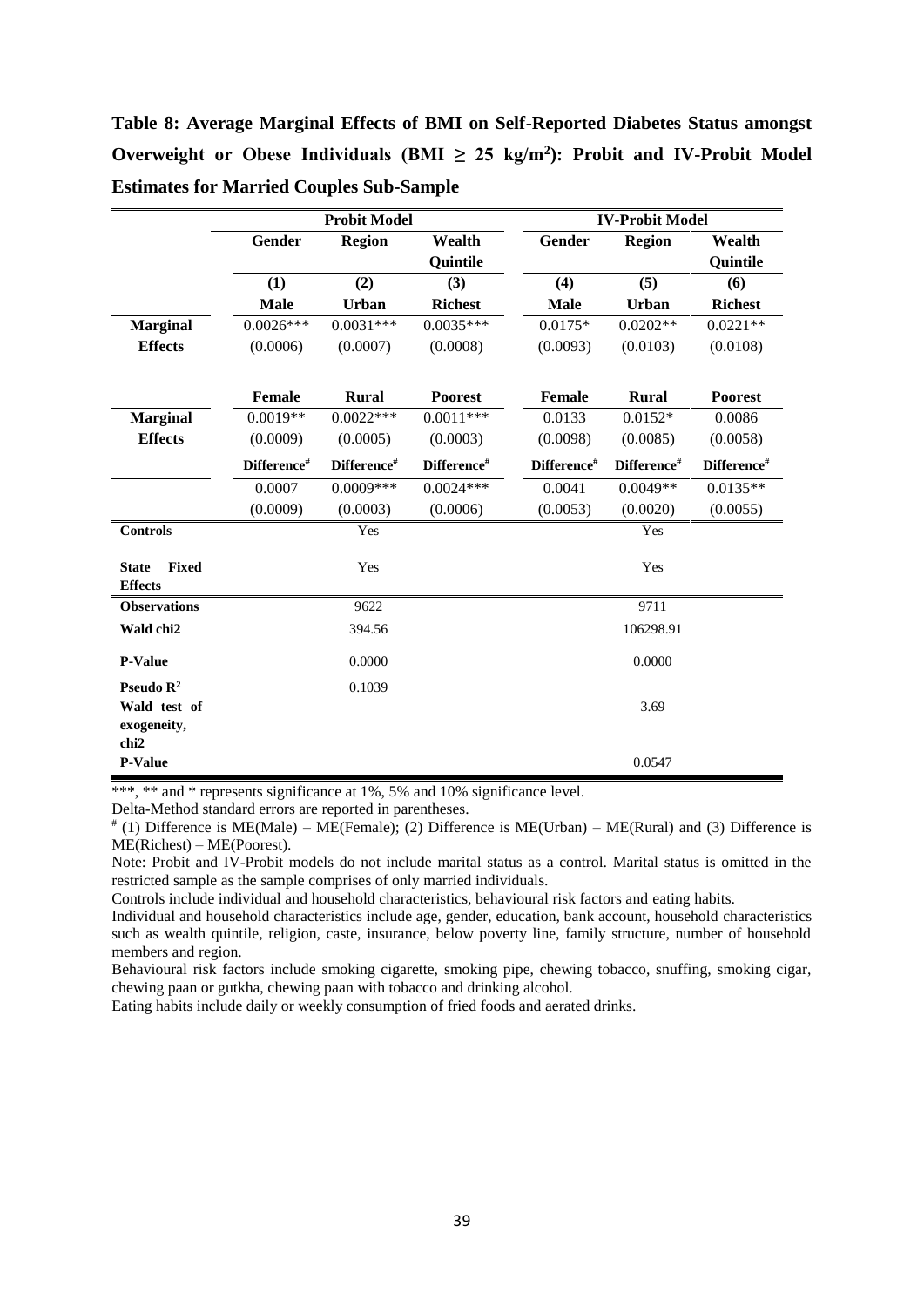**Table 8: Average Marginal Effects of BMI on Self-Reported Diabetes Status amongst**  Overweight or Obese Individuals (BMI  $\geq$  25 kg/m<sup>2</sup>): Probit and IV-Probit Model **Estimates for Married Couples Sub-Sample**

|                                                                          | <b>Probit Model</b> |               |                 | <b>IV-Probit Model</b> |               |                |
|--------------------------------------------------------------------------|---------------------|---------------|-----------------|------------------------|---------------|----------------|
|                                                                          | <b>Gender</b>       | <b>Region</b> | Wealth          | Gender                 | <b>Region</b> | Wealth         |
|                                                                          |                     |               | <b>Quintile</b> |                        |               | Quintile       |
|                                                                          | (1)                 | (2)           | (3)             | (4)                    | (5)           | (6)            |
|                                                                          | <b>Male</b>         | <b>Urban</b>  | <b>Richest</b>  | <b>Male</b>            | Urban         | <b>Richest</b> |
| <b>Marginal</b>                                                          | $0.0026***$         | $0.0031***$   | $0.0035***$     | $0.0175*$              | $0.0202**$    | $0.0221**$     |
| <b>Effects</b>                                                           | (0.0006)            | (0.0007)      | (0.0008)        | (0.0093)               | (0.0103)      | (0.0108)       |
|                                                                          | <b>Female</b>       | <b>Rural</b>  | <b>Poorest</b>  | Female                 | <b>Rural</b>  | <b>Poorest</b> |
| <b>Marginal</b>                                                          | $0.0019**$          | $0.0022***$   | $0.0011***$     | 0.0133                 | $0.0152*$     | 0.0086         |
| <b>Effects</b>                                                           | (0.0009)            | (0.0005)      | (0.0003)        | (0.0098)               | (0.0085)      | (0.0058)       |
|                                                                          | Difference#         | Difference#   | Difference#     | Difference#            | Difference#   | Difference#    |
|                                                                          | 0.0007              | $0.0009***$   | $0.0024***$     | 0.0041                 | $0.0049**$    | $0.0135**$     |
|                                                                          | (0.0009)            | (0.0003)      | (0.0006)        | (0.0053)               | (0.0020)      | (0.0055)       |
| <b>Controls</b>                                                          |                     | Yes           |                 |                        | Yes           |                |
| <b>Fixed</b><br><b>State</b><br><b>Effects</b>                           |                     | Yes           |                 |                        | Yes           |                |
| <b>Observations</b>                                                      |                     | 9622          |                 |                        | 9711          |                |
| Wald chi2                                                                |                     | 394.56        |                 | 106298.91              |               |                |
| <b>P-Value</b>                                                           | 0.0000              |               |                 | 0.0000                 |               |                |
| Pseudo $\mathbb{R}^2$<br>Wald test of<br>exogeneity,<br>chi <sub>2</sub> | 0.1039              |               |                 |                        | 3.69          |                |
| <b>P-Value</b>                                                           |                     |               |                 |                        | 0.0547        |                |

\*\*\*, \*\* and \* represents significance at 1%, 5% and 10% significance level.

Delta-Method standard errors are reported in parentheses.

# (1) Difference is ME(Male) – ME(Female); (2) Difference is ME(Urban) – ME(Rural) and (3) Difference is ME(Richest) – ME(Poorest).

Note: Probit and IV-Probit models do not include marital status as a control. Marital status is omitted in the restricted sample as the sample comprises of only married individuals.

Controls include individual and household characteristics, behavioural risk factors and eating habits.

Individual and household characteristics include age, gender, education, bank account, household characteristics such as wealth quintile, religion, caste, insurance, below poverty line, family structure, number of household members and region.

Behavioural risk factors include smoking cigarette, smoking pipe, chewing tobacco, snuffing, smoking cigar, chewing paan or gutkha, chewing paan with tobacco and drinking alcohol.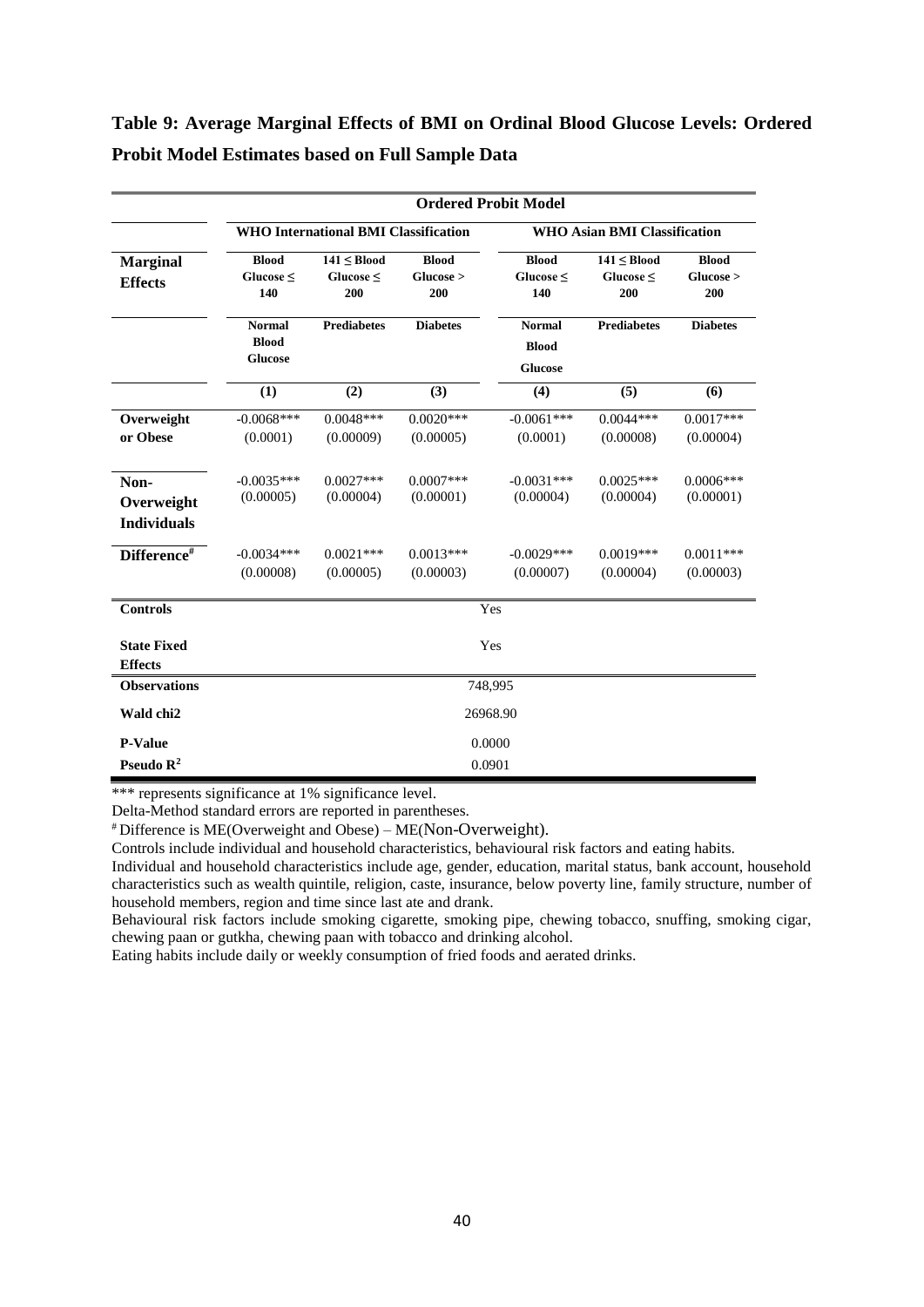### **Table 9: Average Marginal Effects of BMI on Ordinal Blood Glucose Levels: Ordered Probit Model Estimates based on Full Sample Data**

|                                          | <b>Ordered Probit Model</b>                     |                                      |                                  |                                                 |                                      |                                  |  |
|------------------------------------------|-------------------------------------------------|--------------------------------------|----------------------------------|-------------------------------------------------|--------------------------------------|----------------------------------|--|
|                                          | <b>WHO International BMI Classification</b>     |                                      |                                  |                                                 | <b>WHO Asian BMI Classification</b>  |                                  |  |
| <b>Marginal</b><br><b>Effects</b>        | <b>Blood</b><br>Glucose $\leq$<br>140           | $141 \leq Blood$<br>Glucose <<br>200 | <b>Blood</b><br>Glucose ><br>200 | <b>Blood</b><br>Glucose <<br>140                | $141 \leq Blood$<br>Glucose <<br>200 | <b>Blood</b><br>Glucose ><br>200 |  |
|                                          | <b>Normal</b><br><b>Blood</b><br><b>Glucose</b> | <b>Prediabetes</b>                   | <b>Diabetes</b>                  | <b>Normal</b><br><b>Blood</b><br><b>Glucose</b> | <b>Prediabetes</b>                   | <b>Diabetes</b>                  |  |
|                                          | (1)                                             | (2)                                  | (3)                              | (4)                                             | (5)                                  | (6)                              |  |
| Overweight<br>or Obese                   | $-0.0068***$<br>(0.0001)                        | $0.0048***$<br>(0.00009)             | $0.0020***$<br>(0.00005)         | $-0.0061***$<br>(0.0001)                        | $0.0044***$<br>(0.00008)             | $0.0017***$<br>(0.00004)         |  |
| Non-<br>Overweight<br><b>Individuals</b> | $-0.0035***$<br>(0.00005)                       | $0.0027***$<br>(0.00004)             | $0.0007$ ***<br>(0.00001)        | $-0.0031$ ***<br>(0.00004)                      | $0.0025***$<br>(0.00004)             | $0.0006***$<br>(0.00001)         |  |
| Difference#                              | $-0.0034***$<br>(0.00008)                       | $0.0021***$<br>(0.00005)             | $0.0013***$<br>(0.00003)         | $-0.0029***$<br>(0.00007)                       | $0.0019***$<br>(0.00004)             | $0.0011***$<br>(0.00003)         |  |
| <b>Controls</b>                          | Yes                                             |                                      |                                  |                                                 |                                      |                                  |  |
| <b>State Fixed</b><br><b>Effects</b>     | Yes                                             |                                      |                                  |                                                 |                                      |                                  |  |
| <b>Observations</b>                      | 748,995                                         |                                      |                                  |                                                 |                                      |                                  |  |
| Wald chi2                                | 26968.90                                        |                                      |                                  |                                                 |                                      |                                  |  |
| <b>P-Value</b>                           |                                                 |                                      |                                  | 0.0000                                          |                                      |                                  |  |
| Pseudo $\mathbb{R}^2$                    |                                                 |                                      |                                  | 0.0901                                          |                                      |                                  |  |

\*\*\* represents significance at 1% significance level.

Delta-Method standard errors are reported in parentheses.

# Difference is ME(Overweight and Obese) – ME(Non-Overweight).

Controls include individual and household characteristics, behavioural risk factors and eating habits.

Individual and household characteristics include age, gender, education, marital status, bank account, household characteristics such as wealth quintile, religion, caste, insurance, below poverty line, family structure, number of household members, region and time since last ate and drank.

Behavioural risk factors include smoking cigarette, smoking pipe, chewing tobacco, snuffing, smoking cigar, chewing paan or gutkha, chewing paan with tobacco and drinking alcohol.